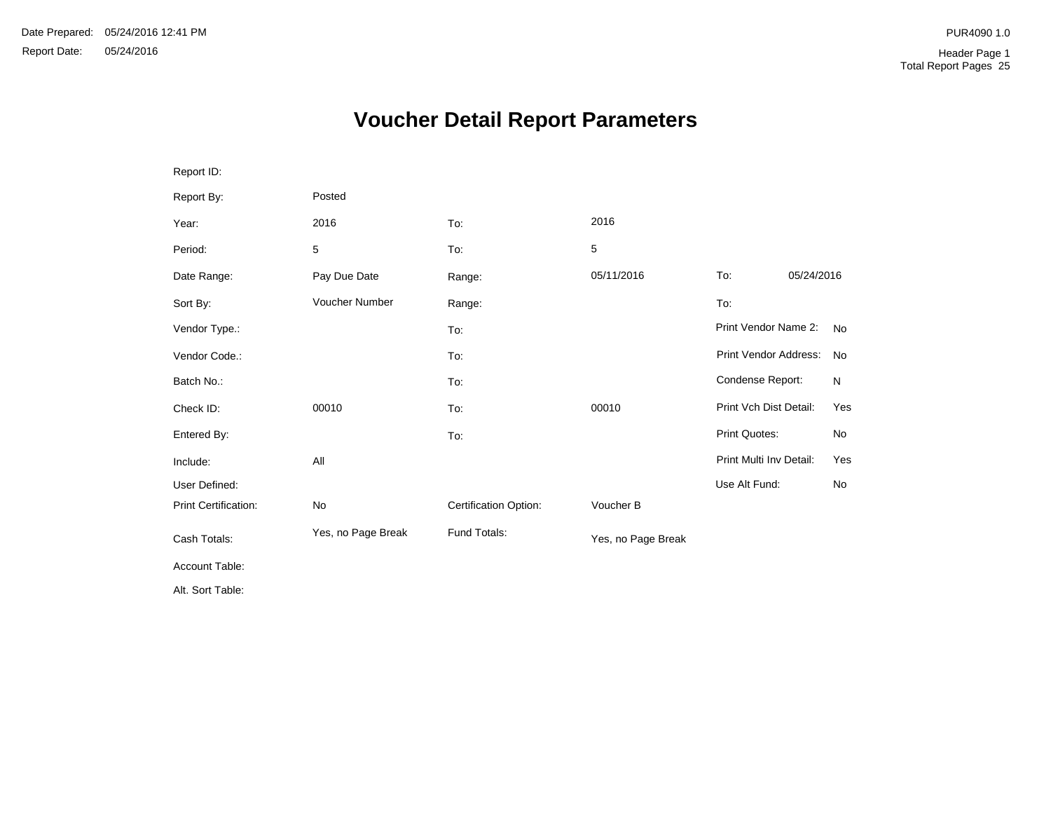# **Voucher Detail Report Parameters**

| Report ID:           |                    |                       |                    |                         |            |           |
|----------------------|--------------------|-----------------------|--------------------|-------------------------|------------|-----------|
| Report By:           | Posted             |                       |                    |                         |            |           |
| Year:                | 2016               | To:                   | 2016               |                         |            |           |
| Period:              | 5                  | To:                   | 5                  |                         |            |           |
| Date Range:          | Pay Due Date       | Range:                | 05/11/2016         | To:                     | 05/24/2016 |           |
| Sort By:             | Voucher Number     | Range:                |                    | To:                     |            |           |
| Vendor Type.:        |                    | To:                   |                    | Print Vendor Name 2:    |            | <b>No</b> |
| Vendor Code.:        |                    | To:                   |                    | Print Vendor Address:   |            | No        |
| Batch No.:           |                    | To:                   |                    | Condense Report:        |            | N         |
| Check ID:            | 00010              | To:                   | 00010              | Print Vch Dist Detail:  |            | Yes       |
| Entered By:          |                    | To:                   |                    | Print Quotes:           |            | No        |
| Include:             | All                |                       |                    | Print Multi Inv Detail: |            | Yes       |
| User Defined:        |                    |                       |                    | Use Alt Fund:           |            | No        |
| Print Certification: | No                 | Certification Option: | Voucher B          |                         |            |           |
| Cash Totals:         | Yes, no Page Break | Fund Totals:          | Yes, no Page Break |                         |            |           |
| Account Table:       |                    |                       |                    |                         |            |           |
| Alt. Sort Table:     |                    |                       |                    |                         |            |           |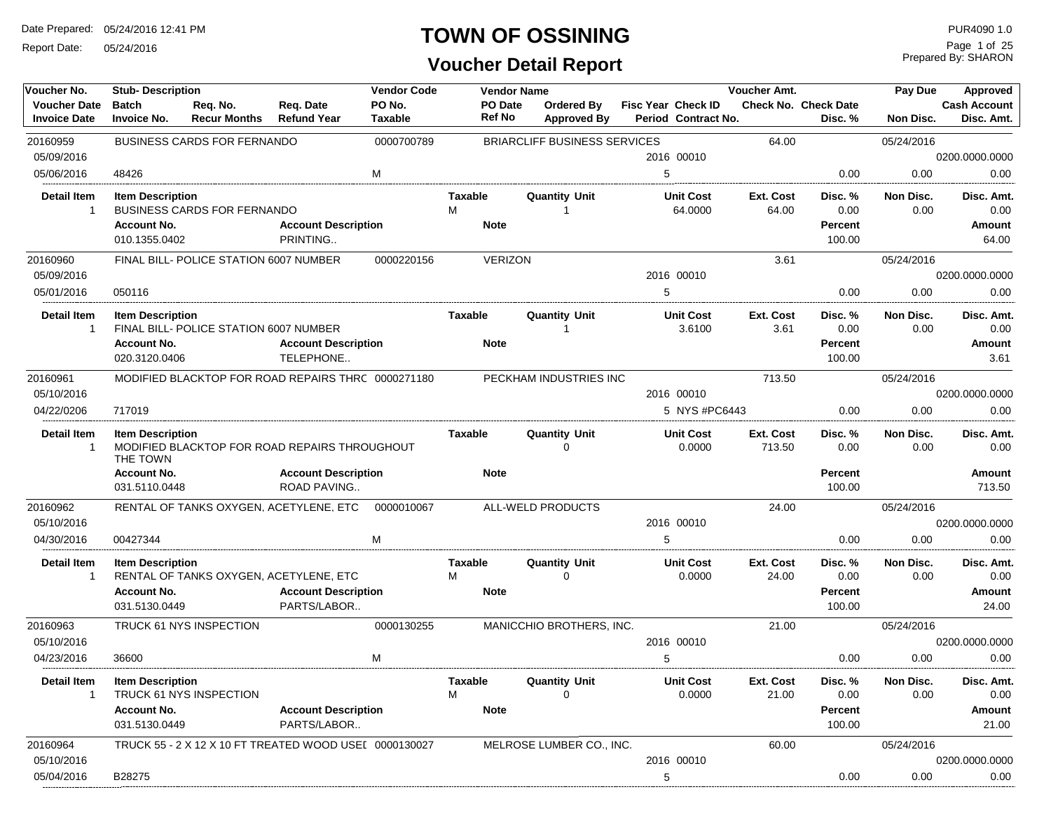Report Date: 05/24/2016

#### **TOWN OF OSSINING**

| Voucher No.                                | <b>Vendor Code</b><br><b>Stub-Description</b>                                                                                                 |                                                                                                                                                                                     |                                                                                     |                   |                     | <b>Vendor Name</b>     |                                         |   |                                           | Voucher Amt.        |                                             | Pay Due           | Approved                              |
|--------------------------------------------|-----------------------------------------------------------------------------------------------------------------------------------------------|-------------------------------------------------------------------------------------------------------------------------------------------------------------------------------------|-------------------------------------------------------------------------------------|-------------------|---------------------|------------------------|-----------------------------------------|---|-------------------------------------------|---------------------|---------------------------------------------|-------------------|---------------------------------------|
| <b>Voucher Date</b><br><b>Invoice Date</b> | <b>Batch</b><br><b>Invoice No.</b>                                                                                                            | Req. No.<br><b>Recur Months</b>                                                                                                                                                     | Req. Date<br><b>Refund Year</b>                                                     | PO No.<br>Taxable |                     | PO Date<br>Ref No      | <b>Ordered By</b><br><b>Approved By</b> |   | Fisc Year Check ID<br>Period Contract No. |                     | <b>Check No. Check Date</b><br>Disc.%       | Non Disc.         | <b>Cash Account</b><br>Disc. Amt.     |
| 20160959                                   |                                                                                                                                               | <b>BUSINESS CARDS FOR FERNANDO</b>                                                                                                                                                  |                                                                                     | 0000700789        |                     |                        | <b>BRIARCLIFF BUSINESS SERVICES</b>     |   |                                           | 64.00               |                                             | 05/24/2016        |                                       |
| 05/09/2016                                 |                                                                                                                                               |                                                                                                                                                                                     |                                                                                     |                   |                     |                        |                                         |   | 2016 00010                                |                     |                                             |                   | 0200.0000.0000                        |
| 05/06/2016                                 | 48426                                                                                                                                         |                                                                                                                                                                                     |                                                                                     | M                 |                     |                        |                                         | 5 |                                           |                     | 0.00                                        | 0.00              | 0.00                                  |
| <b>Detail Item</b><br>$\overline{1}$       | <b>Item Description</b><br><b>Account No.</b><br>010.1355.0402                                                                                | <b>BUSINESS CARDS FOR FERNANDO</b>                                                                                                                                                  | <b>Account Description</b><br>PRINTING                                              |                   | Taxable<br>M        | <b>Note</b>            | <b>Quantity Unit</b><br>1               |   | <b>Unit Cost</b><br>64.0000               | Ext. Cost<br>64.00  | Disc. %<br>0.00<br><b>Percent</b><br>100.00 | Non Disc.<br>0.00 | Disc. Amt.<br>0.00<br>Amount<br>64.00 |
| 20160960                                   |                                                                                                                                               | FINAL BILL- POLICE STATION 6007 NUMBER                                                                                                                                              |                                                                                     | 0000220156        |                     | <b>VERIZON</b>         |                                         |   |                                           | 3.61                |                                             | 05/24/2016        |                                       |
| 05/09/2016                                 |                                                                                                                                               |                                                                                                                                                                                     |                                                                                     |                   |                     |                        |                                         |   | 2016 00010                                |                     |                                             |                   | 0200.0000.0000                        |
| 05/01/2016                                 | 050116                                                                                                                                        |                                                                                                                                                                                     |                                                                                     |                   |                     |                        |                                         | 5 |                                           |                     | 0.00                                        | 0.00              | 0.00                                  |
| <b>Detail Item</b><br>$\overline{1}$       | <b>Account No.</b>                                                                                                                            | <b>Item Description</b><br>FINAL BILL- POLICE STATION 6007 NUMBER<br><b>Account Description</b><br>TELEPHONE<br>020.3120.0406<br>MODIFIED BLACKTOP FOR ROAD REPAIRS THRC 0000271180 |                                                                                     |                   |                     | Taxable<br><b>Note</b> | <b>Quantity Unit</b><br>1               |   | <b>Unit Cost</b><br>3.6100                | Ext. Cost<br>3.61   | Disc. %<br>0.00<br><b>Percent</b><br>100.00 | Non Disc.<br>0.00 | Disc. Amt.<br>0.00<br>Amount<br>3.61  |
| 20160961                                   |                                                                                                                                               |                                                                                                                                                                                     |                                                                                     |                   |                     |                        | PECKHAM INDUSTRIES INC                  |   |                                           | 713.50              |                                             | 05/24/2016        |                                       |
| 05/10/2016                                 |                                                                                                                                               |                                                                                                                                                                                     |                                                                                     |                   |                     |                        |                                         |   | 2016 00010                                |                     |                                             |                   | 0200.0000.0000                        |
| 04/22/0206                                 | 717019                                                                                                                                        |                                                                                                                                                                                     |                                                                                     |                   |                     |                        |                                         |   | 5 NYS #PC6443                             |                     | 0.00                                        | 0.00              | 0.00                                  |
| <b>Detail Item</b><br>$\overline{1}$       | <b>Item Description</b>                                                                                                                       |                                                                                                                                                                                     |                                                                                     |                   | <b>Taxable</b>      |                        | <b>Quantity Unit</b><br>$\Omega$        |   | <b>Unit Cost</b><br>0.0000                | Ext. Cost<br>713.50 | Disc. %<br>0.00                             | Non Disc.<br>0.00 | Disc. Amt.<br>0.00                    |
|                                            | MODIFIED BLACKTOP FOR ROAD REPAIRS THROUGHOUT<br>THE TOWN<br><b>Account No.</b><br><b>Account Description</b><br>ROAD PAVING<br>031.5110.0448 |                                                                                                                                                                                     |                                                                                     |                   |                     | <b>Note</b>            |                                         |   |                                           |                     | <b>Percent</b><br>100.00                    |                   | <b>Amount</b><br>713.50               |
| 20160962                                   |                                                                                                                                               |                                                                                                                                                                                     | RENTAL OF TANKS OXYGEN, ACETYLENE, ETC                                              | 0000010067        |                     |                        | ALL-WELD PRODUCTS                       |   |                                           | 24.00               |                                             | 05/24/2016        |                                       |
| 05/10/2016                                 |                                                                                                                                               |                                                                                                                                                                                     |                                                                                     |                   |                     |                        |                                         |   | 2016 00010                                |                     |                                             |                   | 0200.0000.0000                        |
| 04/30/2016                                 | 00427344                                                                                                                                      |                                                                                                                                                                                     |                                                                                     | м                 |                     |                        |                                         | 5 |                                           |                     | 0.00                                        | 0.00              | 0.00                                  |
| <b>Detail Item</b><br>$\overline{1}$       | <b>Item Description</b><br><b>Account No.</b><br>031.5130.0449                                                                                |                                                                                                                                                                                     | RENTAL OF TANKS OXYGEN, ACETYLENE, ETC<br><b>Account Description</b><br>PARTS/LABOR |                   | Taxable<br>м        | <b>Note</b>            | <b>Quantity Unit</b><br>$\Omega$        |   | <b>Unit Cost</b><br>0.0000                | Ext. Cost<br>24.00  | Disc.%<br>0.00<br><b>Percent</b><br>100.00  | Non Disc.<br>0.00 | Disc. Amt.<br>0.00<br>Amount<br>24.00 |
| 20160963                                   |                                                                                                                                               | TRUCK 61 NYS INSPECTION                                                                                                                                                             |                                                                                     | 0000130255        |                     |                        | MANICCHIO BROTHERS, INC.                |   |                                           | 21.00               |                                             | 05/24/2016        |                                       |
| 05/10/2016                                 |                                                                                                                                               |                                                                                                                                                                                     |                                                                                     |                   |                     |                        |                                         |   | 2016 00010                                |                     |                                             |                   | 0200.0000.0000                        |
| 04/23/2016                                 | 36600                                                                                                                                         |                                                                                                                                                                                     |                                                                                     | м                 |                     |                        |                                         | 5 |                                           |                     | 0.00                                        | 0.00              | 0.00                                  |
| Detail Item<br>$\overline{1}$              | <b>Item Description</b><br><b>Account No.</b><br>031.5130.0449                                                                                | TRUCK 61 NYS INSPECTION                                                                                                                                                             | <b>Account Description</b><br>PARTS/LABOR                                           |                   | <b>Taxable</b><br>M | <b>Note</b>            | <b>Quantity Unit</b><br>$\Omega$        |   | <b>Unit Cost</b><br>0.0000                | Ext. Cost<br>21.00  | Disc. %<br>0.00<br><b>Percent</b><br>100.00 | Non Disc.<br>0.00 | Disc. Amt.<br>0.00<br>Amount<br>21.00 |
| 20160964                                   |                                                                                                                                               |                                                                                                                                                                                     | TRUCK 55 - 2 X 12 X 10 FT TREATED WOOD USEL 0000130027                              |                   |                     |                        | MELROSE LUMBER CO., INC.                |   |                                           | 60.00               |                                             | 05/24/2016        |                                       |
| 05/10/2016                                 |                                                                                                                                               |                                                                                                                                                                                     |                                                                                     |                   |                     |                        |                                         |   | 2016 00010                                |                     |                                             |                   | 0200.0000.0000                        |
| 05/04/2016                                 | B28275                                                                                                                                        |                                                                                                                                                                                     |                                                                                     |                   |                     |                        |                                         | 5 |                                           |                     | 0.00                                        | 0.00              | 0.00                                  |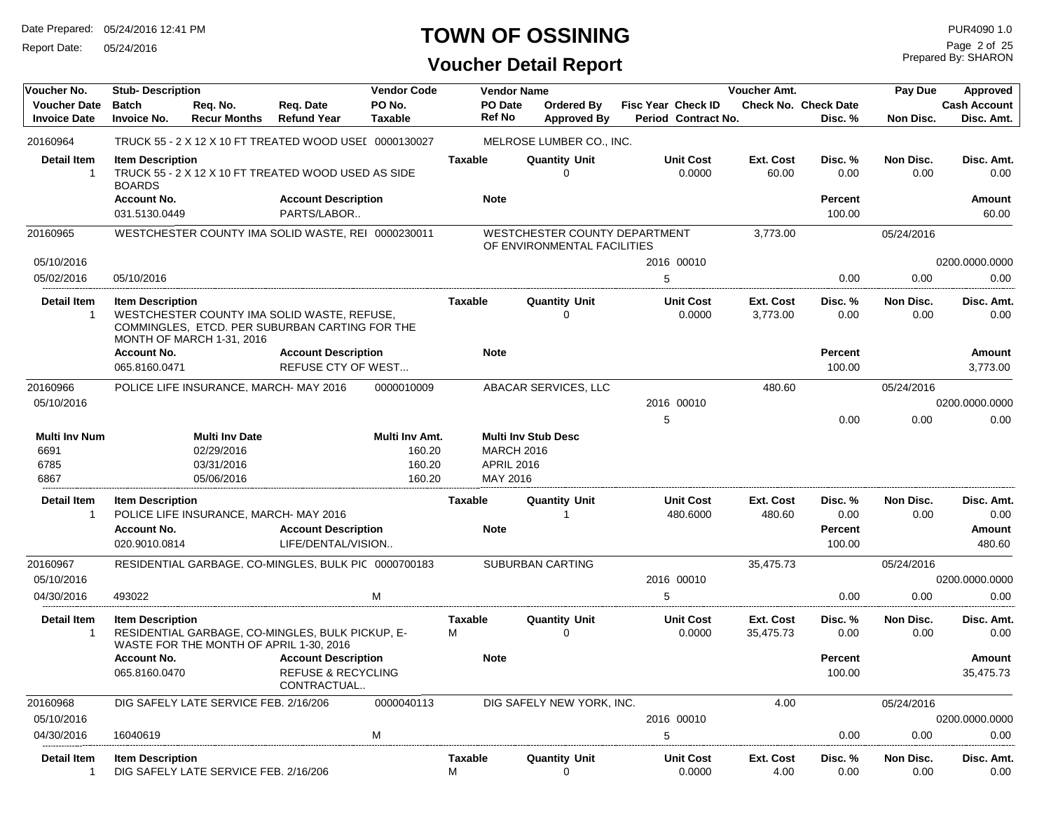Report Date: 05/24/2016

# **TOWN OF OSSINING**

Prepared By: SHARON Page 2 of 25

| Voucher No.                                  | <b>Stub-Description</b>                  |                                                                 |                                                                                               | <b>Vendor Code</b>                           |                          | <b>Vendor Name</b>                                                   |                           |                            | Voucher Amt.           |                                        | Pay Due           | Approved                          |
|----------------------------------------------|------------------------------------------|-----------------------------------------------------------------|-----------------------------------------------------------------------------------------------|----------------------------------------------|--------------------------|----------------------------------------------------------------------|---------------------------|----------------------------|------------------------|----------------------------------------|-------------------|-----------------------------------|
| <b>Voucher Date</b><br><b>Invoice Date</b>   | <b>Batch</b><br><b>Invoice No.</b>       | Req. No.<br><b>Recur Months</b>                                 | Req. Date<br><b>Refund Year</b>                                                               | PO No.<br><b>Taxable</b>                     | <b>PO</b> Date<br>Ref No | Ordered By<br><b>Approved By</b>                                     | <b>Fisc Year Check ID</b> | Period Contract No.        |                        | <b>Check No. Check Date</b><br>Disc. % | Non Disc.         | <b>Cash Account</b><br>Disc. Amt. |
| 20160964                                     |                                          |                                                                 | TRUCK 55 - 2 X 12 X 10 FT TREATED WOOD USEI 0000130027                                        |                                              |                          | MELROSE LUMBER CO., INC.                                             |                           |                            |                        |                                        |                   |                                   |
| <b>Detail Item</b><br>$\overline{1}$         | <b>Item Description</b><br><b>BOARDS</b> |                                                                 | TRUCK 55 - 2 X 12 X 10 FT TREATED WOOD USED AS SIDE                                           |                                              | <b>Taxable</b>           | <b>Quantity Unit</b><br>0                                            |                           | <b>Unit Cost</b><br>0.0000 | Ext. Cost<br>60.00     | Disc. %<br>0.00                        | Non Disc.<br>0.00 | Disc. Amt.<br>0.00                |
|                                              | <b>Account No.</b><br>031.5130.0449      |                                                                 | <b>Account Description</b><br>PARTS/LABOR                                                     |                                              | <b>Note</b>              |                                                                      |                           |                            |                        | <b>Percent</b><br>100.00               |                   | Amount<br>60.00                   |
| 20160965                                     |                                          |                                                                 | WESTCHESTER COUNTY IMA SOLID WASTE, REI 0000230011                                            |                                              |                          | WESTCHESTER COUNTY DEPARTMENT<br>OF ENVIRONMENTAL FACILITIES         |                           |                            | 3,773.00               |                                        | 05/24/2016        |                                   |
| 05/10/2016                                   |                                          |                                                                 |                                                                                               |                                              |                          |                                                                      |                           | 2016 00010                 |                        |                                        |                   | 0200.0000.0000                    |
| 05/02/2016                                   | 05/10/2016                               |                                                                 |                                                                                               |                                              |                          |                                                                      | 5                         |                            |                        | 0.00                                   | 0.00              | 0.00                              |
| <b>Detail Item</b><br>-1                     | <b>Item Description</b>                  | MONTH OF MARCH 1-31, 2016                                       | WESTCHESTER COUNTY IMA SOLID WASTE, REFUSE,<br>COMMINGLES, ETCD. PER SUBURBAN CARTING FOR THE |                                              | Taxable                  | <b>Quantity Unit</b><br>O                                            |                           | <b>Unit Cost</b><br>0.0000 | Ext. Cost<br>3,773.00  | Disc. %<br>0.00                        | Non Disc.<br>0.00 | Disc. Amt.<br>0.00                |
|                                              | <b>Account No.</b>                       |                                                                 | <b>Account Description</b>                                                                    |                                              | <b>Note</b>              |                                                                      |                           |                            |                        | <b>Percent</b>                         |                   | Amount                            |
|                                              | 065.8160.0471                            |                                                                 | <b>REFUSE CTY OF WEST</b>                                                                     |                                              |                          |                                                                      |                           |                            |                        | 100.00                                 |                   | 3,773.00                          |
| 20160966                                     |                                          | POLICE LIFE INSURANCE, MARCH- MAY 2016                          |                                                                                               | 0000010009                                   |                          | ABACAR SERVICES, LLC                                                 |                           |                            | 480.60                 |                                        | 05/24/2016        |                                   |
| 05/10/2016                                   |                                          |                                                                 |                                                                                               |                                              |                          |                                                                      |                           | 2016 00010                 |                        |                                        |                   | 0200.0000.0000                    |
|                                              |                                          |                                                                 |                                                                                               |                                              |                          |                                                                      | 5                         |                            |                        | 0.00                                   | 0.00              | 0.00                              |
| <b>Multi Inv Num</b><br>6691<br>6785<br>6867 |                                          | <b>Multi Inv Date</b><br>02/29/2016<br>03/31/2016<br>05/06/2016 |                                                                                               | Multi Inv Amt.<br>160.20<br>160.20<br>160.20 | MAY 2016                 | <b>Multi Inv Stub Desc</b><br><b>MARCH 2016</b><br><b>APRIL 2016</b> |                           |                            |                        |                                        |                   |                                   |
|                                              |                                          |                                                                 |                                                                                               |                                              |                          |                                                                      |                           |                            |                        |                                        |                   |                                   |
| Detail Item                                  | <b>Item Description</b>                  |                                                                 |                                                                                               |                                              | Taxable                  | <b>Quantity Unit</b>                                                 |                           | <b>Unit Cost</b>           | Ext. Cost              | Disc. %                                | Non Disc.         | Disc. Amt.                        |
| $\mathbf{1}$                                 |                                          | POLICE LIFE INSURANCE, MARCH- MAY 2016                          |                                                                                               |                                              |                          |                                                                      |                           | 480.6000                   | 480.60                 | 0.00                                   | 0.00              | 0.00                              |
|                                              | <b>Account No.</b>                       |                                                                 | <b>Account Description</b><br>LIFE/DENTAL/VISION                                              |                                              | <b>Note</b>              |                                                                      |                           |                            |                        | <b>Percent</b>                         |                   | Amount                            |
|                                              | 020.9010.0814                            |                                                                 |                                                                                               |                                              |                          |                                                                      |                           |                            |                        | 100.00                                 |                   | 480.60                            |
| 20160967                                     |                                          |                                                                 | RESIDENTIAL GARBAGE, CO-MINGLES, BULK PIC 0000700183                                          |                                              |                          | <b>SUBURBAN CARTING</b>                                              |                           |                            | 35,475.73              |                                        | 05/24/2016        |                                   |
| 05/10/2016                                   |                                          |                                                                 |                                                                                               |                                              |                          |                                                                      |                           | 2016 00010                 |                        |                                        |                   | 0200.0000.0000                    |
| 04/30/2016                                   | 493022                                   |                                                                 |                                                                                               | M                                            |                          |                                                                      | 5                         |                            |                        | 0.00                                   | 0.00              | 0.00                              |
| <b>Detail Item</b><br>-1                     | <b>Item Description</b>                  | WASTE FOR THE MONTH OF APRIL 1-30, 2016                         | RESIDENTIAL GARBAGE, CO-MINGLES, BULK PICKUP, E-                                              |                                              | Taxable<br>М             | <b>Quantity Unit</b><br>$\Omega$                                     |                           | <b>Unit Cost</b><br>0.0000 | Ext. Cost<br>35,475.73 | Disc. %<br>0.00                        | Non Disc.<br>0.00 | Disc. Amt.<br>0.00                |
|                                              | <b>Account No.</b>                       |                                                                 | <b>Account Description</b>                                                                    |                                              | <b>Note</b>              |                                                                      |                           |                            |                        | <b>Percent</b>                         |                   | Amount                            |
|                                              | 065.8160.0470                            |                                                                 | <b>REFUSE &amp; RECYCLING</b><br>CONTRACTUAL                                                  |                                              |                          |                                                                      |                           |                            |                        | 100.00                                 |                   | 35,475.73                         |
| 20160968                                     |                                          | DIG SAFELY LATE SERVICE FEB. 2/16/206                           |                                                                                               | 0000040113                                   |                          | DIG SAFELY NEW YORK, INC.                                            |                           |                            | 4.00                   |                                        | 05/24/2016        |                                   |
| 05/10/2016                                   |                                          |                                                                 |                                                                                               |                                              |                          |                                                                      |                           | 2016 00010                 |                        |                                        |                   | 0200.0000.0000                    |
| 04/30/2016                                   | 16040619                                 |                                                                 |                                                                                               | M                                            |                          |                                                                      | 5                         |                            |                        | 0.00                                   | 0.00              | 0.00                              |
| <b>Detail Item</b><br>$\overline{1}$         | <b>Item Description</b>                  | DIG SAFELY LATE SERVICE FEB. 2/16/206                           |                                                                                               |                                              | Taxable<br>М             | <b>Quantity Unit</b><br>0                                            |                           | <b>Unit Cost</b><br>0.0000 | Ext. Cost<br>4.00      | Disc. %<br>0.00                        | Non Disc.<br>0.00 | Disc. Amt.<br>0.00                |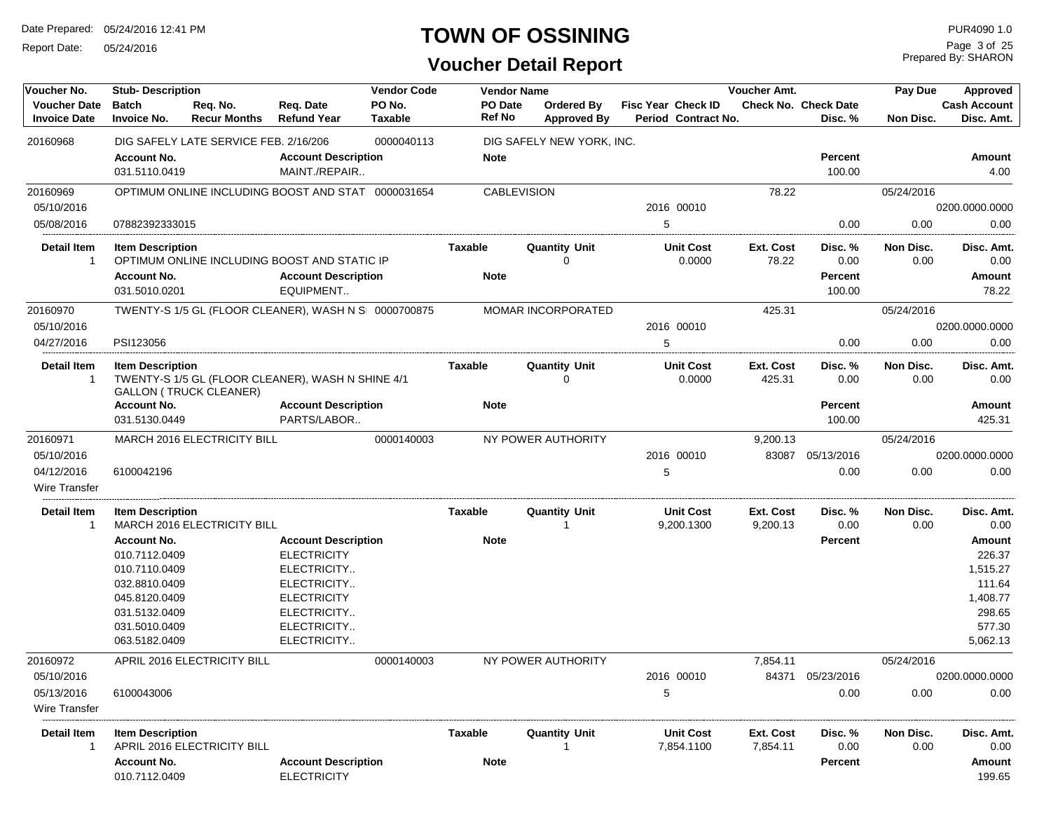Report Date: 05/24/2016

# **TOWN OF OSSINING**

Prepared By: SHARON Page 3 of 25

| Voucher No.                                | <b>Stub-Description</b>                                                                                                                   |                                       |                                                                                                                                                   | <b>Vendor Code</b>       | <b>Vendor Name</b>       |                                  |                           |                                | Voucher Amt.          |                                             | Pay Due           | Approved                                                                                  |
|--------------------------------------------|-------------------------------------------------------------------------------------------------------------------------------------------|---------------------------------------|---------------------------------------------------------------------------------------------------------------------------------------------------|--------------------------|--------------------------|----------------------------------|---------------------------|--------------------------------|-----------------------|---------------------------------------------|-------------------|-------------------------------------------------------------------------------------------|
| <b>Voucher Date</b><br><b>Invoice Date</b> | <b>Batch</b><br><b>Invoice No.</b>                                                                                                        | Req. No.<br><b>Recur Months</b>       | Req. Date<br><b>Refund Year</b>                                                                                                                   | PO No.<br><b>Taxable</b> | PO Date<br><b>Ref No</b> | Ordered By<br><b>Approved By</b> | <b>Fisc Year Check ID</b> | Period Contract No.            |                       | <b>Check No. Check Date</b><br>Disc. %      | Non Disc.         | <b>Cash Account</b><br>Disc. Amt.                                                         |
| 20160968                                   |                                                                                                                                           | DIG SAFELY LATE SERVICE FEB. 2/16/206 |                                                                                                                                                   | 0000040113               |                          | DIG SAFELY NEW YORK, INC.        |                           |                                |                       |                                             |                   |                                                                                           |
|                                            | <b>Account No.</b><br>031.5110.0419                                                                                                       |                                       | <b>Account Description</b><br>MAINT./REPAIR                                                                                                       |                          | <b>Note</b>              |                                  |                           |                                |                       | <b>Percent</b><br>100.00                    |                   | Amount<br>4.00                                                                            |
| 20160969                                   |                                                                                                                                           |                                       | OPTIMUM ONLINE INCLUDING BOOST AND STAT 0000031654                                                                                                |                          |                          | <b>CABLEVISION</b>               |                           |                                | 78.22                 |                                             | 05/24/2016        |                                                                                           |
| 05/10/2016                                 |                                                                                                                                           |                                       |                                                                                                                                                   |                          |                          |                                  |                           | 2016 00010                     |                       |                                             |                   | 0200.0000.0000                                                                            |
| 05/08/2016                                 | 07882392333015                                                                                                                            |                                       |                                                                                                                                                   |                          |                          |                                  | 5                         |                                |                       | 0.00                                        | 0.00              | 0.00                                                                                      |
| <b>Detail Item</b><br>$\overline{1}$       | <b>Item Description</b><br><b>Account No.</b><br>031.5010.0201                                                                            |                                       | OPTIMUM ONLINE INCLUDING BOOST AND STATIC IP<br><b>Account Description</b><br>EQUIPMENT                                                           |                          | Taxable<br><b>Note</b>   | <b>Quantity Unit</b><br>0        |                           | <b>Unit Cost</b><br>0.0000     | Ext. Cost<br>78.22    | Disc. %<br>0.00<br><b>Percent</b><br>100.00 | Non Disc.<br>0.00 | Disc. Amt.<br>0.00<br>Amount<br>78.22                                                     |
| 20160970                                   |                                                                                                                                           |                                       | TWENTY-S 1/5 GL (FLOOR CLEANER), WASH N S 0000700875                                                                                              |                          |                          | MOMAR INCORPORATED               |                           |                                | 425.31                |                                             | 05/24/2016        |                                                                                           |
| 05/10/2016                                 |                                                                                                                                           |                                       |                                                                                                                                                   |                          |                          |                                  |                           | 2016 00010                     |                       |                                             |                   | 0200.0000.0000                                                                            |
| 04/27/2016                                 | PSI123056                                                                                                                                 |                                       |                                                                                                                                                   |                          |                          |                                  | 5                         |                                |                       | 0.00                                        | 0.00              | 0.00                                                                                      |
| <b>Detail Item</b><br>$\mathbf 1$          | <b>Item Description</b>                                                                                                                   | <b>GALLON (TRUCK CLEANER)</b>         | TWENTY-S 1/5 GL (FLOOR CLEANER), WASH N SHINE 4/1                                                                                                 |                          | Taxable                  | <b>Quantity Unit</b><br>$\Omega$ |                           | <b>Unit Cost</b><br>0.0000     | Ext. Cost<br>425.31   | Disc. %<br>0.00                             | Non Disc.<br>0.00 | Disc. Amt.<br>0.00                                                                        |
|                                            | <b>Account No.</b>                                                                                                                        |                                       | <b>Account Description</b>                                                                                                                        |                          | <b>Note</b>              |                                  |                           |                                |                       | <b>Percent</b>                              |                   | Amount                                                                                    |
|                                            | 031.5130.0449                                                                                                                             |                                       | PARTS/LABOR                                                                                                                                       |                          |                          |                                  |                           |                                |                       | 100.00                                      |                   | 425.31                                                                                    |
| 20160971                                   |                                                                                                                                           | MARCH 2016 ELECTRICITY BILL           |                                                                                                                                                   | 0000140003               |                          | NY POWER AUTHORITY               |                           |                                | 9,200.13              |                                             | 05/24/2016        |                                                                                           |
| 05/10/2016                                 |                                                                                                                                           |                                       |                                                                                                                                                   |                          |                          |                                  |                           | 2016 00010                     |                       | 83087 05/13/2016                            |                   | 0200.0000.0000                                                                            |
| 04/12/2016<br>Wire Transfer                | 6100042196                                                                                                                                |                                       |                                                                                                                                                   |                          |                          |                                  | 5                         |                                |                       | 0.00                                        | 0.00              | 0.00                                                                                      |
| Detail Item<br>$\mathbf{1}$                | <b>Item Description</b>                                                                                                                   | MARCH 2016 ELECTRICITY BILL           |                                                                                                                                                   |                          | Taxable                  | <b>Quantity Unit</b>             |                           | <b>Unit Cost</b><br>9,200.1300 | Ext. Cost<br>9,200.13 | Disc. %<br>0.00                             | Non Disc.<br>0.00 | Disc. Amt.<br>0.00                                                                        |
|                                            | <b>Account No.</b><br>010.7112.0409<br>010.7110.0409<br>032.8810.0409<br>045.8120.0409<br>031.5132.0409<br>031.5010.0409<br>063.5182.0409 |                                       | <b>Account Description</b><br><b>ELECTRICITY</b><br>ELECTRICITY<br>ELECTRICITY<br><b>ELECTRICITY</b><br>ELECTRICITY<br>ELECTRICITY<br>ELECTRICITY |                          | <b>Note</b>              |                                  |                           |                                |                       | <b>Percent</b>                              |                   | <b>Amount</b><br>226.37<br>1,515.27<br>111.64<br>1,408.77<br>298.65<br>577.30<br>5,062.13 |
| 20160972                                   |                                                                                                                                           | APRIL 2016 ELECTRICITY BILL           |                                                                                                                                                   | 0000140003               |                          | NY POWER AUTHORITY               |                           |                                | 7,854.11              |                                             | 05/24/2016        |                                                                                           |
| 05/10/2016                                 |                                                                                                                                           |                                       |                                                                                                                                                   |                          |                          |                                  |                           | 2016 00010                     |                       | 84371 05/23/2016                            |                   | 0200.0000.0000                                                                            |
| 05/13/2016<br>Wire Transfer                | 6100043006                                                                                                                                |                                       |                                                                                                                                                   |                          |                          |                                  | 5                         |                                |                       | 0.00                                        | 0.00              | 0.00                                                                                      |
| Detail Item<br>1                           | <b>Item Description</b>                                                                                                                   | APRIL 2016 ELECTRICITY BILL           |                                                                                                                                                   |                          | Taxable                  | <b>Quantity Unit</b>             |                           | <b>Unit Cost</b><br>7,854.1100 | Ext. Cost<br>7,854.11 | Disc. %<br>0.00                             | Non Disc.<br>0.00 | Disc. Amt.<br>0.00                                                                        |
|                                            | <b>Account No.</b><br>010.7112.0409                                                                                                       |                                       | <b>Account Description</b><br><b>ELECTRICITY</b>                                                                                                  |                          | <b>Note</b>              |                                  |                           |                                |                       | Percent                                     |                   | Amount<br>199.65                                                                          |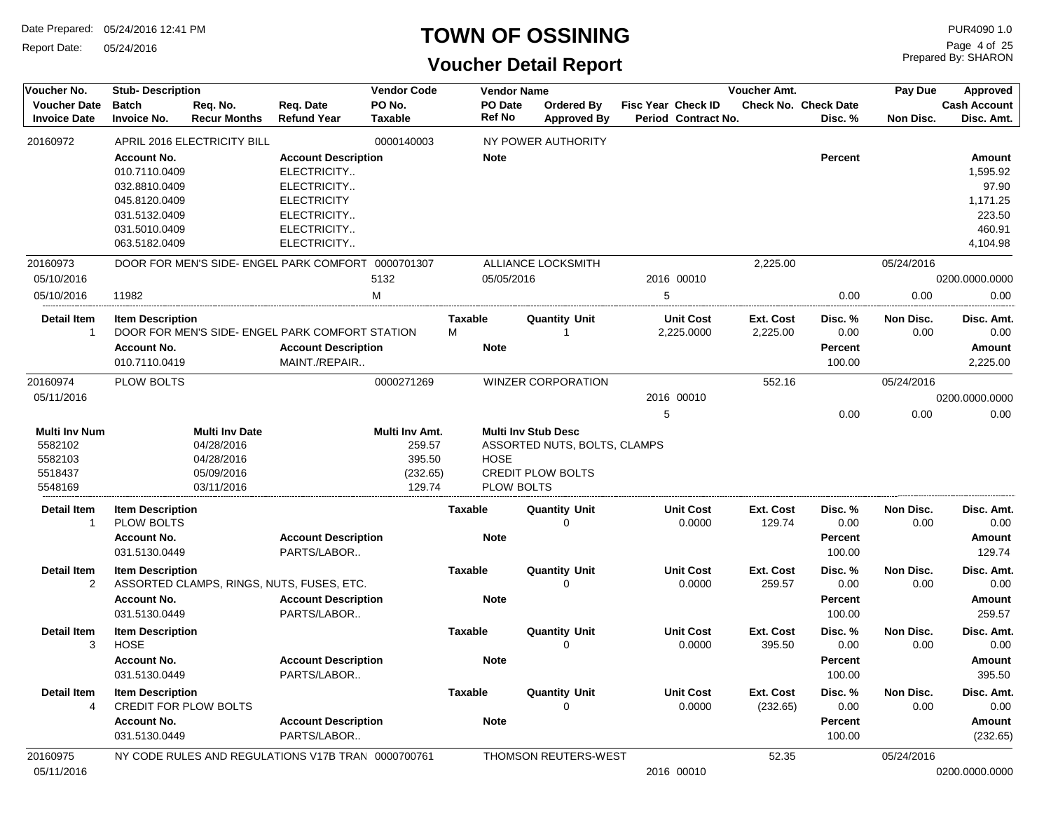Report Date: 05/24/2016

#### **TOWN OF OSSINING**

| Voucher No.                                                      | <b>Stub-Description</b>                      |                                                                               |                                                    | <b>Vendor Code</b>                                       |                | <b>Vendor Name</b>                                      |                                                          |                                                  | <b>Voucher Amt.</b>        |                                        | Pay Due           | Approved                          |
|------------------------------------------------------------------|----------------------------------------------|-------------------------------------------------------------------------------|----------------------------------------------------|----------------------------------------------------------|----------------|---------------------------------------------------------|----------------------------------------------------------|--------------------------------------------------|----------------------------|----------------------------------------|-------------------|-----------------------------------|
| <b>Voucher Date</b><br><b>Invoice Date</b>                       | <b>Batch</b><br><b>Invoice No.</b>           | Req. No.<br><b>Recur Months</b>                                               | Req. Date<br><b>Refund Year</b>                    | PO No.<br><b>Taxable</b>                                 |                | PO Date<br><b>Ref No</b>                                | <b>Ordered By</b><br><b>Approved By</b>                  | <b>Fisc Year Check ID</b><br>Period Contract No. |                            | <b>Check No. Check Date</b><br>Disc. % | Non Disc.         | <b>Cash Account</b><br>Disc. Amt. |
| 20160972                                                         |                                              | APRIL 2016 ELECTRICITY BILL                                                   |                                                    | 0000140003                                               |                |                                                         | NY POWER AUTHORITY                                       |                                                  |                            |                                        |                   |                                   |
|                                                                  | <b>Account No.</b>                           |                                                                               | <b>Account Description</b>                         |                                                          |                | <b>Note</b>                                             |                                                          |                                                  |                            | <b>Percent</b>                         |                   | <b>Amount</b>                     |
|                                                                  | 010.7110.0409                                |                                                                               | ELECTRICITY                                        |                                                          |                |                                                         |                                                          |                                                  |                            |                                        |                   | 1,595.92                          |
|                                                                  | 032.8810.0409                                |                                                                               | ELECTRICITY                                        |                                                          |                |                                                         |                                                          |                                                  |                            |                                        |                   | 97.90                             |
|                                                                  | 045.8120.0409                                |                                                                               | <b>ELECTRICITY</b>                                 |                                                          |                |                                                         |                                                          |                                                  |                            |                                        |                   | 1,171.25                          |
|                                                                  | 031.5132.0409                                |                                                                               | ELECTRICITY                                        |                                                          |                |                                                         |                                                          |                                                  |                            |                                        |                   | 223.50                            |
|                                                                  | 031.5010.0409                                |                                                                               | ELECTRICITY                                        |                                                          |                |                                                         |                                                          |                                                  |                            |                                        |                   | 460.91                            |
|                                                                  | 063.5182.0409                                |                                                                               | ELECTRICITY                                        |                                                          |                |                                                         |                                                          |                                                  |                            |                                        |                   | 4,104.98                          |
| 20160973                                                         |                                              |                                                                               | DOOR FOR MEN'S SIDE- ENGEL PARK COMFORT 0000701307 |                                                          |                |                                                         | ALLIANCE LOCKSMITH                                       |                                                  | 2,225.00                   |                                        | 05/24/2016        |                                   |
| 05/10/2016                                                       |                                              |                                                                               |                                                    | 5132                                                     |                | 05/05/2016                                              |                                                          | 2016 00010                                       |                            |                                        |                   | 0200.0000.0000                    |
| 05/10/2016                                                       | 11982                                        |                                                                               |                                                    | M                                                        |                |                                                         |                                                          | 5                                                |                            | 0.00                                   | 0.00              | 0.00                              |
| <b>Detail Item</b>                                               | <b>Item Description</b>                      |                                                                               |                                                    |                                                          | <b>Taxable</b> |                                                         | <b>Quantity Unit</b>                                     | <b>Unit Cost</b>                                 | Ext. Cost                  | Disc. %                                | <b>Non Disc.</b>  | Disc. Amt.                        |
| $\overline{1}$                                                   |                                              |                                                                               | DOOR FOR MEN'S SIDE- ENGEL PARK COMFORT STATION    |                                                          | М              |                                                         | 1                                                        | 2,225.0000                                       | 2,225.00                   | 0.00                                   | 0.00              | 0.00                              |
|                                                                  | <b>Account No.</b>                           |                                                                               | <b>Account Description</b>                         |                                                          |                | <b>Note</b>                                             |                                                          |                                                  |                            | Percent                                |                   | Amount                            |
|                                                                  | 010.7110.0419                                |                                                                               | MAINT./REPAIR                                      |                                                          |                |                                                         |                                                          |                                                  |                            | 100.00                                 |                   | 2,225.00                          |
| 20160974                                                         | <b>PLOW BOLTS</b>                            |                                                                               |                                                    | 0000271269                                               |                |                                                         | <b>WINZER CORPORATION</b>                                |                                                  | 552.16                     |                                        | 05/24/2016        |                                   |
| 05/11/2016                                                       |                                              |                                                                               |                                                    |                                                          |                |                                                         |                                                          | 2016 00010                                       |                            |                                        |                   | 0200.0000.0000                    |
|                                                                  |                                              |                                                                               |                                                    |                                                          |                |                                                         |                                                          | 5                                                |                            | 0.00                                   | 0.00              | 0.00                              |
| <b>Multi Inv Num</b><br>5582102<br>5582103<br>5518437<br>5548169 |                                              | <b>Multi Inv Date</b><br>04/28/2016<br>04/28/2016<br>05/09/2016<br>03/11/2016 |                                                    | Multi Inv Amt.<br>259.57<br>395.50<br>(232.65)<br>129.74 |                | <b>Multi Inv Stub Desc</b><br><b>HOSE</b><br>PLOW BOLTS | ASSORTED NUTS, BOLTS, CLAMPS<br><b>CREDIT PLOW BOLTS</b> |                                                  |                            |                                        |                   |                                   |
|                                                                  |                                              |                                                                               |                                                    |                                                          |                |                                                         |                                                          |                                                  |                            |                                        |                   |                                   |
| <b>Detail Item</b><br>$\mathbf{1}$                               | <b>Item Description</b><br><b>PLOW BOLTS</b> |                                                                               |                                                    |                                                          | Taxable        |                                                         | <b>Quantity Unit</b><br>$\Omega$                         | <b>Unit Cost</b><br>0.0000                       | Ext. Cost<br>129.74        | Disc. %<br>0.00                        | Non Disc.<br>0.00 | Disc. Amt.<br>0.00                |
|                                                                  | <b>Account No.</b>                           |                                                                               | <b>Account Description</b>                         |                                                          |                | <b>Note</b>                                             |                                                          |                                                  |                            | Percent                                |                   | Amount                            |
|                                                                  | 031.5130.0449                                |                                                                               | PARTS/LABOR                                        |                                                          |                |                                                         |                                                          |                                                  |                            | 100.00                                 |                   | 129.74                            |
| <b>Detail Item</b>                                               | <b>Item Description</b>                      |                                                                               |                                                    |                                                          | <b>Taxable</b> |                                                         | <b>Quantity Unit</b>                                     | <b>Unit Cost</b>                                 | <b>Ext. Cost</b>           | Disc. %                                | Non Disc.         | Disc. Amt.                        |
| 2                                                                |                                              |                                                                               | ASSORTED CLAMPS, RINGS, NUTS, FUSES, ETC.          |                                                          |                |                                                         | $\mathbf 0$                                              | 0.0000                                           | 259.57                     | 0.00                                   | 0.00              | 0.00                              |
|                                                                  | <b>Account No.</b>                           |                                                                               | <b>Account Description</b>                         |                                                          |                | <b>Note</b>                                             |                                                          |                                                  |                            | Percent                                |                   | Amount                            |
|                                                                  | 031.5130.0449                                |                                                                               | PARTS/LABOR                                        |                                                          |                |                                                         |                                                          |                                                  |                            | 100.00                                 |                   | 259.57                            |
| <b>Detail Item</b><br>3                                          | <b>Item Description</b><br><b>HOSE</b>       |                                                                               |                                                    |                                                          | <b>Taxable</b> |                                                         | <b>Quantity Unit</b><br>$\Omega$                         | <b>Unit Cost</b><br>0.0000                       | <b>Ext. Cost</b><br>395.50 | Disc. %<br>0.00                        | Non Disc.<br>0.00 | Disc. Amt.<br>0.00                |
|                                                                  | <b>Account No.</b>                           |                                                                               | <b>Account Description</b>                         |                                                          |                | <b>Note</b>                                             |                                                          |                                                  |                            | Percent                                |                   | Amount                            |
|                                                                  | 031.5130.0449                                |                                                                               | PARTS/LABOR                                        |                                                          |                |                                                         |                                                          |                                                  |                            | 100.00                                 |                   | 395.50                            |
| <b>Detail Item</b><br>$\overline{4}$                             | <b>Item Description</b>                      | <b>CREDIT FOR PLOW BOLTS</b>                                                  |                                                    |                                                          | <b>Taxable</b> |                                                         | <b>Quantity Unit</b><br>$\Omega$                         | <b>Unit Cost</b><br>0.0000                       | Ext. Cost<br>(232.65)      | Disc. %<br>0.00                        | Non Disc.<br>0.00 | Disc. Amt.<br>0.00                |
|                                                                  | <b>Account No.</b>                           |                                                                               | <b>Account Description</b>                         |                                                          |                | <b>Note</b>                                             |                                                          |                                                  |                            | Percent                                |                   | Amount                            |
|                                                                  | 031.5130.0449                                |                                                                               | PARTS/LABOR                                        |                                                          |                |                                                         |                                                          |                                                  |                            | 100.00                                 |                   | (232.65)                          |
| 20160975                                                         |                                              |                                                                               | NY CODE RULES AND REGULATIONS V17B TRAN 0000700761 |                                                          |                |                                                         | THOMSON REUTERS-WEST                                     |                                                  | 52.35                      |                                        | 05/24/2016        |                                   |
| 05/11/2016                                                       |                                              |                                                                               |                                                    |                                                          |                |                                                         |                                                          | 2016 00010                                       |                            |                                        |                   | 0200.0000.0000                    |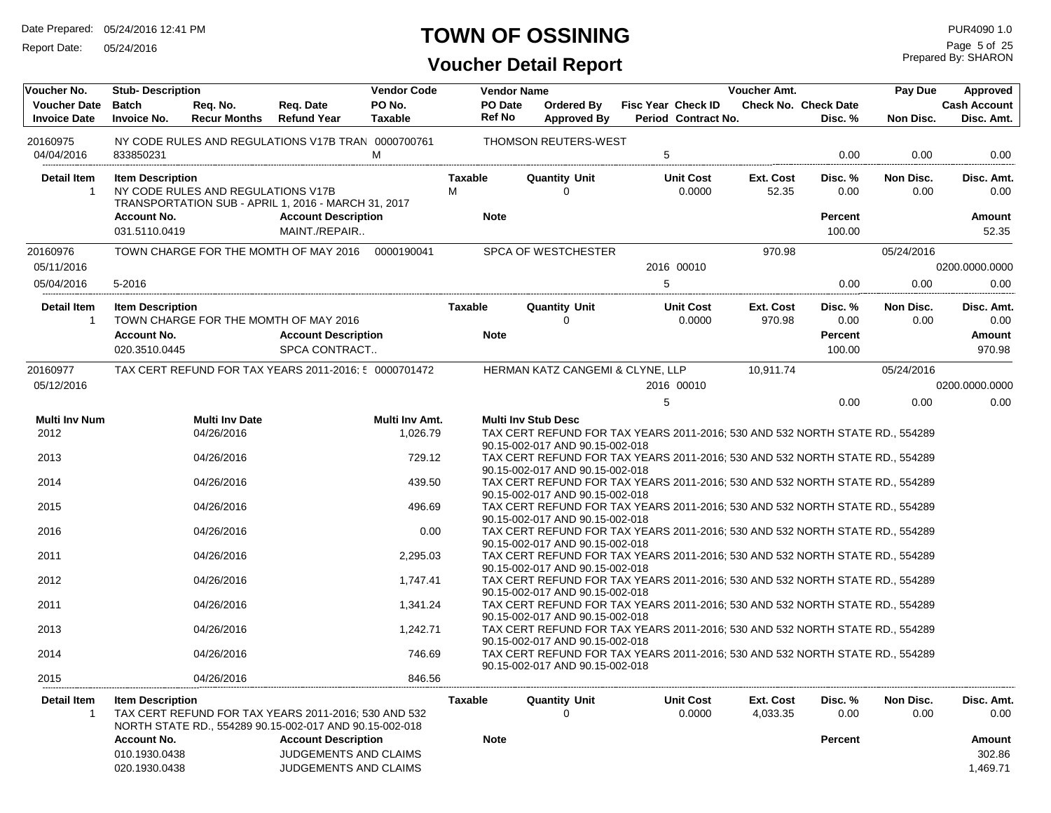Report Date: 05/24/2016

#### **TOWN OF OSSINING**

Prepared By: SHARON Page 5 of 25

| Voucher No.                                | <b>Stub-Description</b>                                        |                                    |                                                                                                                                                                        | <b>Vendor Code</b>       |                          | <b>Vendor Name</b>                                                 |                                                                              | Voucher Amt.          |                                        | Pay Due           | Approved                               |
|--------------------------------------------|----------------------------------------------------------------|------------------------------------|------------------------------------------------------------------------------------------------------------------------------------------------------------------------|--------------------------|--------------------------|--------------------------------------------------------------------|------------------------------------------------------------------------------|-----------------------|----------------------------------------|-------------------|----------------------------------------|
| <b>Voucher Date</b><br><b>Invoice Date</b> | <b>Batch</b><br><b>Invoice No.</b>                             | Reg. No.<br><b>Recur Months</b>    | Req. Date<br><b>Refund Year</b>                                                                                                                                        | PO No.<br><b>Taxable</b> | PO Date<br><b>Ref No</b> | <b>Ordered By</b><br><b>Approved By</b>                            | <b>Fisc Year Check ID</b><br>Period Contract No.                             |                       | <b>Check No. Check Date</b><br>Disc. % | Non Disc.         | <b>Cash Account</b><br>Disc. Amt.      |
| 20160975<br>04/04/2016                     | 833850231                                                      |                                    | NY CODE RULES AND REGULATIONS V17B TRAN 0000700761                                                                                                                     | M                        |                          | <b>THOMSON REUTERS-WEST</b>                                        | $\overline{5}$                                                               |                       | 0.00                                   | 0.00              | 0.00                                   |
|                                            |                                                                |                                    |                                                                                                                                                                        |                          |                          |                                                                    |                                                                              |                       |                                        |                   |                                        |
| <b>Detail Item</b><br>$\overline{1}$       | <b>Item Description</b>                                        | NY CODE RULES AND REGULATIONS V17B | TRANSPORTATION SUB - APRIL 1, 2016 - MARCH 31, 2017                                                                                                                    |                          | <b>Taxable</b><br>м      | <b>Quantity Unit</b><br>$\Omega$                                   | <b>Unit Cost</b><br>0.0000                                                   | Ext. Cost<br>52.35    | Disc. %<br>0.00                        | Non Disc.<br>0.00 | Disc. Amt.<br>0.00                     |
|                                            | <b>Account No.</b><br>031.5110.0419                            |                                    | <b>Account Description</b><br>MAINT./REPAIR                                                                                                                            |                          | <b>Note</b>              |                                                                    |                                                                              |                       | <b>Percent</b><br>100.00               |                   | Amount<br>52.35                        |
| 20160976                                   |                                                                |                                    | TOWN CHARGE FOR THE MOMTH OF MAY 2016                                                                                                                                  | 0000190041               |                          | <b>SPCA OF WESTCHESTER</b>                                         |                                                                              | 970.98                |                                        | 05/24/2016        |                                        |
| 05/11/2016                                 |                                                                |                                    |                                                                                                                                                                        |                          |                          |                                                                    | 2016 00010                                                                   |                       |                                        |                   | 0200.0000.0000                         |
| 05/04/2016                                 | 5-2016                                                         |                                    |                                                                                                                                                                        |                          |                          |                                                                    | 5                                                                            |                       | 0.00                                   | 0.00              | 0.00                                   |
| Detail Item<br>$\overline{1}$              | <b>Item Description</b>                                        |                                    | TOWN CHARGE FOR THE MOMTH OF MAY 2016                                                                                                                                  |                          | Taxable                  | <b>Quantity Unit</b><br>$\Omega$                                   | <b>Unit Cost</b><br>0.0000                                                   | Ext. Cost<br>970.98   | Disc. %<br>0.00                        | Non Disc.<br>0.00 | Disc. Amt.<br>0.00                     |
|                                            | <b>Account No.</b><br>020.3510.0445                            |                                    | <b>Account Description</b><br>SPCA CONTRACT                                                                                                                            |                          | <b>Note</b>              |                                                                    |                                                                              |                       | <b>Percent</b><br>100.00               |                   | Amount<br>970.98                       |
|                                            |                                                                |                                    | TAX CERT REFUND FOR TAX YEARS 2011-2016; 5 0000701472                                                                                                                  |                          |                          |                                                                    |                                                                              |                       |                                        |                   |                                        |
| 20160977<br>05/12/2016                     |                                                                |                                    |                                                                                                                                                                        |                          |                          | HERMAN KATZ CANGEMI & CLYNE, LLP                                   | 2016 00010                                                                   | 10,911.74             |                                        | 05/24/2016        | 0200.0000.0000                         |
|                                            |                                                                |                                    |                                                                                                                                                                        |                          |                          |                                                                    | 5                                                                            |                       | 0.00                                   | 0.00              | 0.00                                   |
| <b>Multi Inv Num</b>                       |                                                                | <b>Multi Inv Date</b>              |                                                                                                                                                                        | Multi Inv Amt.           |                          | <b>Multi Inv Stub Desc</b>                                         |                                                                              |                       |                                        |                   |                                        |
| 2012                                       |                                                                | 04/26/2016                         |                                                                                                                                                                        | 1,026.79                 |                          |                                                                    | TAX CERT REFUND FOR TAX YEARS 2011-2016; 530 AND 532 NORTH STATE RD., 554289 |                       |                                        |                   |                                        |
|                                            |                                                                |                                    |                                                                                                                                                                        |                          |                          | 90.15-002-017 AND 90.15-002-018                                    |                                                                              |                       |                                        |                   |                                        |
| 2013                                       |                                                                | 04/26/2016                         |                                                                                                                                                                        | 729.12                   |                          | 90.15-002-017 AND 90.15-002-018                                    | TAX CERT REFUND FOR TAX YEARS 2011-2016; 530 AND 532 NORTH STATE RD., 554289 |                       |                                        |                   |                                        |
| 2014                                       |                                                                | 04/26/2016                         |                                                                                                                                                                        | 439.50                   |                          | 90.15-002-017 AND 90.15-002-018                                    | TAX CERT REFUND FOR TAX YEARS 2011-2016; 530 AND 532 NORTH STATE RD., 554289 |                       |                                        |                   |                                        |
| 2015                                       |                                                                | 04/26/2016                         |                                                                                                                                                                        | 496.69                   |                          |                                                                    | TAX CERT REFUND FOR TAX YEARS 2011-2016; 530 AND 532 NORTH STATE RD., 554289 |                       |                                        |                   |                                        |
| 2016                                       |                                                                | 04/26/2016                         |                                                                                                                                                                        | 0.00                     |                          | 90.15-002-017 AND 90.15-002-018<br>90.15-002-017 AND 90.15-002-018 | TAX CERT REFUND FOR TAX YEARS 2011-2016; 530 AND 532 NORTH STATE RD., 554289 |                       |                                        |                   |                                        |
| 2011                                       |                                                                | 04/26/2016                         |                                                                                                                                                                        | 2,295.03                 |                          | 90.15-002-017 AND 90.15-002-018                                    | TAX CERT REFUND FOR TAX YEARS 2011-2016; 530 AND 532 NORTH STATE RD., 554289 |                       |                                        |                   |                                        |
| 2012                                       |                                                                | 04/26/2016                         |                                                                                                                                                                        | 1,747.41                 |                          | 90.15-002-017 AND 90.15-002-018                                    | TAX CERT REFUND FOR TAX YEARS 2011-2016; 530 AND 532 NORTH STATE RD., 554289 |                       |                                        |                   |                                        |
| 2011                                       |                                                                | 04/26/2016                         |                                                                                                                                                                        | 1,341.24                 |                          | 90.15-002-017 AND 90.15-002-018                                    | TAX CERT REFUND FOR TAX YEARS 2011-2016; 530 AND 532 NORTH STATE RD., 554289 |                       |                                        |                   |                                        |
| 2013                                       |                                                                | 04/26/2016                         |                                                                                                                                                                        | 1,242.71                 |                          |                                                                    | TAX CERT REFUND FOR TAX YEARS 2011-2016; 530 AND 532 NORTH STATE RD., 554289 |                       |                                        |                   |                                        |
| 2014                                       |                                                                | 04/26/2016                         |                                                                                                                                                                        | 746.69                   |                          | 90.15-002-017 AND 90.15-002-018<br>90.15-002-017 AND 90.15-002-018 | TAX CERT REFUND FOR TAX YEARS 2011-2016; 530 AND 532 NORTH STATE RD., 554289 |                       |                                        |                   |                                        |
| 2015                                       |                                                                | 04/26/2016                         |                                                                                                                                                                        | 846.56                   |                          |                                                                    |                                                                              |                       |                                        |                   |                                        |
| <b>Detail Item</b><br>-1                   | <b>Item Description</b><br><b>Account No.</b><br>010.1930.0438 |                                    | TAX CERT REFUND FOR TAX YEARS 2011-2016; 530 AND 532<br>NORTH STATE RD., 554289 90.15-002-017 AND 90.15-002-018<br><b>Account Description</b><br>JUDGEMENTS AND CLAIMS |                          | Taxable<br><b>Note</b>   | <b>Quantity Unit</b><br>$\mathbf 0$                                | <b>Unit Cost</b><br>0.0000                                                   | Ext. Cost<br>4,033.35 | Disc. %<br>0.00<br><b>Percent</b>      | Non Disc.<br>0.00 | Disc. Amt.<br>0.00<br>Amount<br>302.86 |
|                                            | 020.1930.0438                                                  |                                    | JUDGEMENTS AND CLAIMS                                                                                                                                                  |                          |                          |                                                                    |                                                                              |                       |                                        |                   | 1,469.71                               |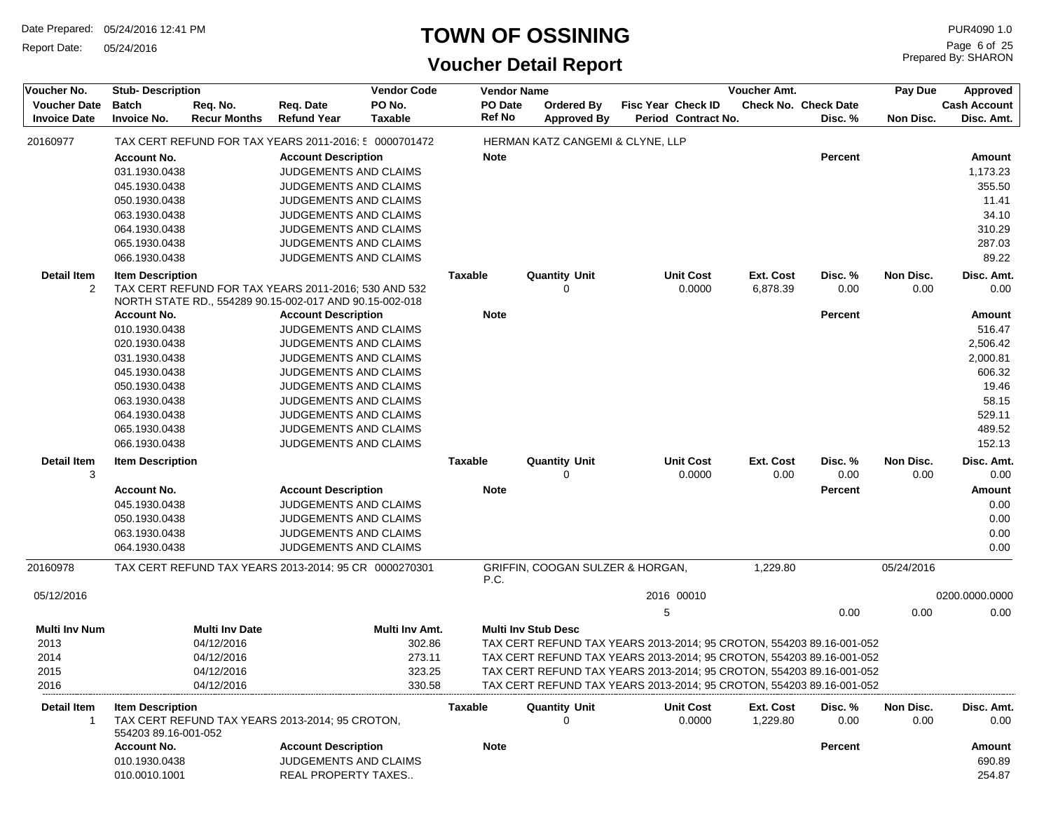Report Date: 05/24/2016

#### **TOWN OF OSSINING**

| Voucher No.                                | <b>Stub-Description</b>                         |                                 |                                                                                       | <b>Vendor Code</b>       |                | <b>Vendor Name</b>         |                                                                      |   |                                           | Voucher Amt.          |                                        | Pay Due           | Approved                          |
|--------------------------------------------|-------------------------------------------------|---------------------------------|---------------------------------------------------------------------------------------|--------------------------|----------------|----------------------------|----------------------------------------------------------------------|---|-------------------------------------------|-----------------------|----------------------------------------|-------------------|-----------------------------------|
| <b>Voucher Date</b><br><b>Invoice Date</b> | <b>Batch</b><br><b>Invoice No.</b>              | Req. No.<br><b>Recur Months</b> | Req. Date<br><b>Refund Year</b>                                                       | PO No.<br><b>Taxable</b> |                | PO Date<br><b>Ref No</b>   | Ordered By<br><b>Approved By</b>                                     |   | Fisc Year Check ID<br>Period Contract No. |                       | <b>Check No. Check Date</b><br>Disc. % | Non Disc.         | <b>Cash Account</b><br>Disc. Amt. |
| 20160977                                   |                                                 |                                 | TAX CERT REFUND FOR TAX YEARS 2011-2016; 5 0000701472                                 |                          |                |                            | HERMAN KATZ CANGEMI & CLYNE, LLP                                     |   |                                           |                       |                                        |                   |                                   |
|                                            | <b>Account No.</b>                              |                                 | <b>Account Description</b>                                                            |                          |                | <b>Note</b>                |                                                                      |   |                                           |                       | <b>Percent</b>                         |                   | Amount                            |
|                                            | 031.1930.0438                                   |                                 | JUDGEMENTS AND CLAIMS                                                                 |                          |                |                            |                                                                      |   |                                           |                       |                                        |                   | 1,173.23                          |
|                                            | 045.1930.0438                                   |                                 | JUDGEMENTS AND CLAIMS                                                                 |                          |                |                            |                                                                      |   |                                           |                       |                                        |                   | 355.50                            |
|                                            | 050.1930.0438                                   |                                 | <b>JUDGEMENTS AND CLAIMS</b>                                                          |                          |                |                            |                                                                      |   |                                           |                       |                                        |                   | 11.41                             |
|                                            | 063.1930.0438                                   |                                 | JUDGEMENTS AND CLAIMS                                                                 |                          |                |                            |                                                                      |   |                                           |                       |                                        |                   | 34.10                             |
|                                            | 064.1930.0438                                   |                                 | JUDGEMENTS AND CLAIMS                                                                 |                          |                |                            |                                                                      |   |                                           |                       |                                        |                   | 310.29                            |
|                                            | 065.1930.0438                                   |                                 | <b>JUDGEMENTS AND CLAIMS</b>                                                          |                          |                |                            |                                                                      |   |                                           |                       |                                        |                   | 287.03                            |
|                                            | 066.1930.0438                                   |                                 | <b>JUDGEMENTS AND CLAIMS</b>                                                          |                          |                |                            |                                                                      |   |                                           |                       |                                        |                   | 89.22                             |
| <b>Detail Item</b>                         | <b>Item Description</b>                         |                                 |                                                                                       |                          | <b>Taxable</b> |                            | <b>Quantity Unit</b>                                                 |   | <b>Unit Cost</b>                          | <b>Ext. Cost</b>      | Disc. %                                | Non Disc.         | Disc. Amt.                        |
| 2                                          |                                                 |                                 | TAX CERT REFUND FOR TAX YEARS 2011-2016; 530 AND 532                                  |                          |                |                            | 0                                                                    |   | 0.0000                                    | 6,878.39              | 0.00                                   | 0.00              | 0.00                              |
|                                            | <b>Account No.</b>                              |                                 | NORTH STATE RD., 554289 90.15-002-017 AND 90.15-002-018<br><b>Account Description</b> |                          |                | <b>Note</b>                |                                                                      |   |                                           |                       | <b>Percent</b>                         |                   | Amount                            |
|                                            | 010.1930.0438                                   |                                 | <b>JUDGEMENTS AND CLAIMS</b>                                                          |                          |                |                            |                                                                      |   |                                           |                       |                                        |                   | 516.47                            |
|                                            | 020.1930.0438                                   |                                 | <b>JUDGEMENTS AND CLAIMS</b>                                                          |                          |                |                            |                                                                      |   |                                           |                       |                                        |                   | 2,506.42                          |
|                                            | 031.1930.0438                                   |                                 | <b>JUDGEMENTS AND CLAIMS</b>                                                          |                          |                |                            |                                                                      |   |                                           |                       |                                        |                   | 2,000.81                          |
|                                            | 045.1930.0438                                   |                                 | JUDGEMENTS AND CLAIMS                                                                 |                          |                |                            |                                                                      |   |                                           |                       |                                        |                   | 606.32                            |
|                                            | 050.1930.0438                                   |                                 | <b>JUDGEMENTS AND CLAIMS</b>                                                          |                          |                |                            |                                                                      |   |                                           |                       |                                        |                   | 19.46                             |
|                                            | 063.1930.0438                                   |                                 | <b>JUDGEMENTS AND CLAIMS</b>                                                          |                          |                |                            |                                                                      |   |                                           |                       |                                        |                   | 58.15                             |
|                                            | 064.1930.0438                                   |                                 | <b>JUDGEMENTS AND CLAIMS</b>                                                          |                          |                |                            |                                                                      |   |                                           |                       |                                        |                   | 529.11                            |
|                                            | 065.1930.0438                                   |                                 | <b>JUDGEMENTS AND CLAIMS</b>                                                          |                          |                |                            |                                                                      |   |                                           |                       |                                        |                   | 489.52                            |
|                                            | 066.1930.0438                                   |                                 | JUDGEMENTS AND CLAIMS                                                                 |                          |                |                            |                                                                      |   |                                           |                       |                                        |                   | 152.13                            |
| <b>Detail Item</b>                         | <b>Item Description</b>                         |                                 |                                                                                       |                          | <b>Taxable</b> |                            | <b>Quantity Unit</b>                                                 |   | <b>Unit Cost</b>                          | <b>Ext. Cost</b>      | Disc. %                                | Non Disc.         | Disc. Amt.                        |
| 3                                          |                                                 |                                 |                                                                                       |                          |                |                            |                                                                      |   | 0.0000                                    | 0.00                  | 0.00                                   | 0.00              | 0.00                              |
|                                            | <b>Account No.</b>                              |                                 | <b>Account Description</b>                                                            |                          |                | <b>Note</b>                |                                                                      |   |                                           |                       | <b>Percent</b>                         |                   | <b>Amount</b>                     |
|                                            | 045.1930.0438                                   |                                 | <b>JUDGEMENTS AND CLAIMS</b>                                                          |                          |                |                            |                                                                      |   |                                           |                       |                                        |                   | 0.00                              |
|                                            | 050.1930.0438                                   |                                 | JUDGEMENTS AND CLAIMS                                                                 |                          |                |                            |                                                                      |   |                                           |                       |                                        |                   | 0.00                              |
|                                            | 063.1930.0438<br>064.1930.0438                  |                                 | <b>JUDGEMENTS AND CLAIMS</b><br>JUDGEMENTS AND CLAIMS                                 |                          |                |                            |                                                                      |   |                                           |                       |                                        |                   | 0.00<br>0.00                      |
|                                            |                                                 |                                 |                                                                                       |                          |                |                            |                                                                      |   |                                           |                       |                                        |                   |                                   |
| 20160978                                   |                                                 |                                 | TAX CERT REFUND TAX YEARS 2013-2014; 95 CR 0000270301                                 |                          |                | P.C.                       | GRIFFIN, COOGAN SULZER & HORGAN,                                     |   |                                           | 1,229.80              |                                        | 05/24/2016        |                                   |
| 05/12/2016                                 |                                                 |                                 |                                                                                       |                          |                |                            |                                                                      |   | 2016 00010                                |                       |                                        |                   | 0200.0000.0000                    |
|                                            |                                                 |                                 |                                                                                       |                          |                |                            |                                                                      | 5 |                                           |                       | 0.00                                   | 0.00              | 0.00                              |
| <b>Multi Inv Num</b>                       |                                                 | <b>Multi Inv Date</b>           |                                                                                       | Multi Inv Amt.           |                | <b>Multi Inv Stub Desc</b> |                                                                      |   |                                           |                       |                                        |                   |                                   |
| 2013                                       |                                                 | 04/12/2016                      |                                                                                       | 302.86                   |                |                            | TAX CERT REFUND TAX YEARS 2013-2014; 95 CROTON, 554203 89.16-001-052 |   |                                           |                       |                                        |                   |                                   |
| 2014                                       |                                                 | 04/12/2016                      |                                                                                       | 273.11                   |                |                            | TAX CERT REFUND TAX YEARS 2013-2014; 95 CROTON, 554203 89.16-001-052 |   |                                           |                       |                                        |                   |                                   |
| 2015                                       |                                                 | 04/12/2016                      |                                                                                       | 323.25                   |                |                            | TAX CERT REFUND TAX YEARS 2013-2014; 95 CROTON, 554203 89.16-001-052 |   |                                           |                       |                                        |                   |                                   |
| 2016                                       |                                                 | 04/12/2016                      |                                                                                       | 330.58                   |                |                            | TAX CERT REFUND TAX YEARS 2013-2014; 95 CROTON, 554203 89.16-001-052 |   |                                           |                       |                                        |                   |                                   |
| Detail Item<br>1                           | <b>Item Description</b><br>554203 89.16-001-052 |                                 | TAX CERT REFUND TAX YEARS 2013-2014; 95 CROTON,                                       |                          | Taxable        |                            | <b>Quantity Unit</b>                                                 |   | <b>Unit Cost</b><br>0.0000                | Ext. Cost<br>1,229.80 | Disc. %<br>0.00                        | Non Disc.<br>0.00 | Disc. Amt.<br>0.00                |
|                                            | <b>Account No.</b>                              |                                 | <b>Account Description</b>                                                            |                          |                | <b>Note</b>                |                                                                      |   |                                           |                       | Percent                                |                   | <b>Amount</b>                     |
|                                            | 010.1930.0438                                   |                                 | <b>JUDGEMENTS AND CLAIMS</b>                                                          |                          |                |                            |                                                                      |   |                                           |                       |                                        |                   | 690.89                            |
|                                            | 010.0010.1001                                   |                                 | REAL PROPERTY TAXES                                                                   |                          |                |                            |                                                                      |   |                                           |                       |                                        |                   | 254.87                            |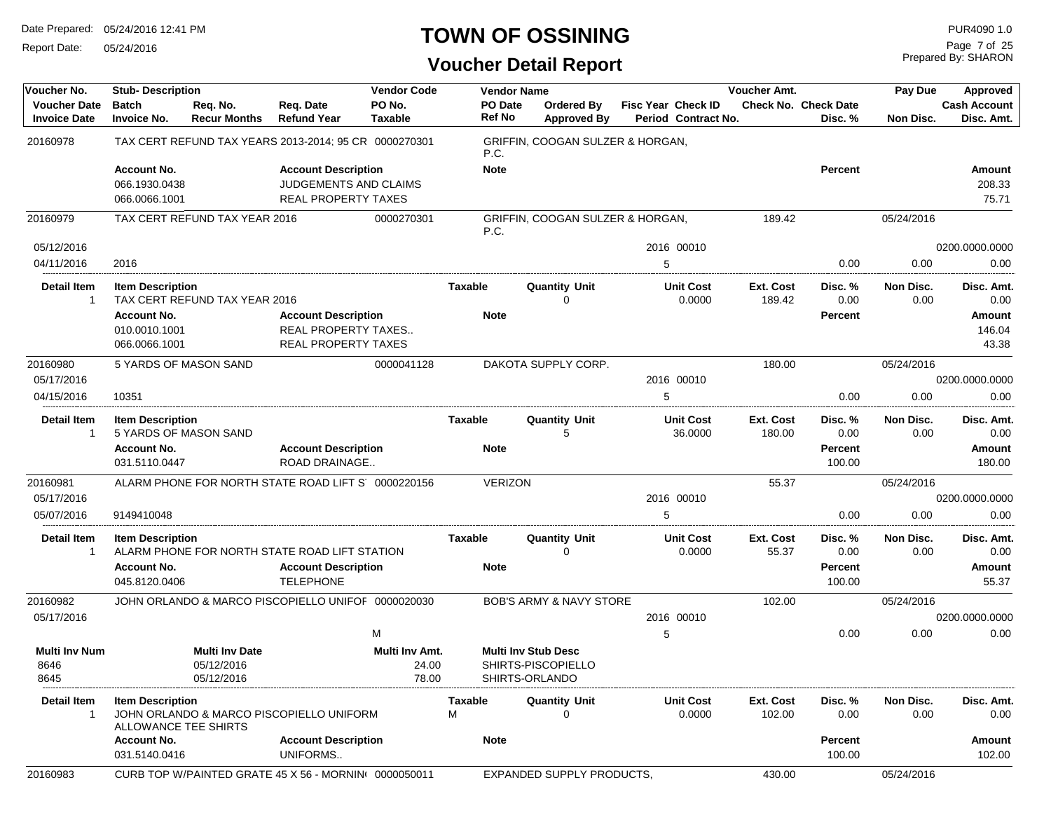Report Date: 05/24/2016

# **TOWN OF OSSINING**

Prepared By: SHARON Page 7 of 25

| Voucher No.                                | <b>Stub-Description</b>                         |                                 |                                                       | <b>Vendor Code</b>       |                   | <b>Vendor Name</b>                      |   |                                           | Voucher Amt.        |                                        | Pay Due           | Approved                          |
|--------------------------------------------|-------------------------------------------------|---------------------------------|-------------------------------------------------------|--------------------------|-------------------|-----------------------------------------|---|-------------------------------------------|---------------------|----------------------------------------|-------------------|-----------------------------------|
| <b>Voucher Date</b><br><b>Invoice Date</b> | <b>Batch</b><br><b>Invoice No.</b>              | Req. No.<br><b>Recur Months</b> | Req. Date<br><b>Refund Year</b>                       | PO No.<br><b>Taxable</b> | PO Date<br>Ref No | <b>Ordered By</b><br><b>Approved By</b> |   | Fisc Year Check ID<br>Period Contract No. |                     | <b>Check No. Check Date</b><br>Disc. % | Non Disc.         | <b>Cash Account</b><br>Disc. Amt. |
| 20160978                                   |                                                 |                                 | TAX CERT REFUND TAX YEARS 2013-2014; 95 CR 0000270301 |                          | P.C.              | GRIFFIN, COOGAN SULZER & HORGAN,        |   |                                           |                     |                                        |                   |                                   |
|                                            | <b>Account No.</b>                              |                                 | <b>Account Description</b>                            |                          | <b>Note</b>       |                                         |   |                                           |                     | Percent                                |                   | Amount                            |
|                                            | 066.1930.0438                                   |                                 | JUDGEMENTS AND CLAIMS                                 |                          |                   |                                         |   |                                           |                     |                                        |                   | 208.33                            |
|                                            | 066.0066.1001                                   |                                 | <b>REAL PROPERTY TAXES</b>                            |                          |                   |                                         |   |                                           |                     |                                        |                   | 75.71                             |
| 20160979                                   |                                                 | TAX CERT REFUND TAX YEAR 2016   |                                                       | 0000270301               | P.C.              | GRIFFIN, COOGAN SULZER & HORGAN,        |   |                                           | 189.42              |                                        | 05/24/2016        |                                   |
| 05/12/2016                                 |                                                 |                                 |                                                       |                          |                   |                                         |   | 2016 00010                                |                     |                                        |                   | 0200.0000.0000                    |
| 04/11/2016                                 | 2016                                            |                                 |                                                       |                          |                   |                                         | 5 |                                           |                     | 0.00                                   | 0.00              | 0.00                              |
| <b>Detail Item</b><br>$\overline{1}$       | <b>Item Description</b>                         | TAX CERT REFUND TAX YEAR 2016   |                                                       |                          | <b>Taxable</b>    | <b>Quantity Unit</b><br>$\Omega$        |   | <b>Unit Cost</b><br>0.0000                | Ext. Cost<br>189.42 | Disc. %<br>0.00                        | Non Disc.<br>0.00 | Disc. Amt.<br>0.00                |
|                                            | <b>Account No.</b>                              |                                 | <b>Account Description</b>                            |                          | <b>Note</b>       |                                         |   |                                           |                     | Percent                                |                   | Amount                            |
|                                            | 010.0010.1001                                   |                                 | REAL PROPERTY TAXES                                   |                          |                   |                                         |   |                                           |                     |                                        |                   | 146.04                            |
|                                            | 066.0066.1001                                   |                                 | <b>REAL PROPERTY TAXES</b>                            |                          |                   |                                         |   |                                           |                     |                                        |                   | 43.38                             |
| 20160980                                   |                                                 | 5 YARDS OF MASON SAND           |                                                       | 0000041128               |                   | DAKOTA SUPPLY CORP.                     |   |                                           | 180.00              |                                        | 05/24/2016        |                                   |
| 05/17/2016                                 |                                                 |                                 |                                                       |                          |                   |                                         |   | 2016 00010                                |                     |                                        |                   | 0200.0000.0000                    |
| 04/15/2016                                 | 10351                                           |                                 |                                                       |                          |                   |                                         | 5 |                                           |                     | 0.00                                   | 0.00              | 0.00                              |
| Detail Item<br>$\overline{1}$              | <b>Item Description</b>                         | 5 YARDS OF MASON SAND           |                                                       |                          | Taxable           | Quantity Unit<br>5                      |   | <b>Unit Cost</b><br>36.0000               | Ext. Cost<br>180.00 | Disc. %<br>0.00                        | Non Disc.<br>0.00 | Disc. Amt.<br>0.00                |
|                                            | <b>Account No.</b>                              |                                 | <b>Account Description</b>                            |                          | Note              |                                         |   |                                           |                     | Percent                                |                   | Amount                            |
|                                            | 031.5110.0447                                   |                                 | ROAD DRAINAGE                                         |                          |                   |                                         |   |                                           |                     | 100.00                                 |                   | 180.00                            |
| 20160981                                   |                                                 |                                 | ALARM PHONE FOR NORTH STATE ROAD LIFT S' 0000220156   |                          | <b>VERIZON</b>    |                                         |   |                                           | 55.37               |                                        | 05/24/2016        |                                   |
| 05/17/2016                                 |                                                 |                                 |                                                       |                          |                   |                                         |   | 2016 00010                                |                     |                                        |                   | 0200.0000.0000                    |
| 05/07/2016                                 | 9149410048                                      |                                 |                                                       |                          |                   |                                         | 5 |                                           |                     | 0.00                                   | 0.00              | 0.00                              |
| <b>Detail Item</b><br>-1                   | <b>Item Description</b>                         |                                 | ALARM PHONE FOR NORTH STATE ROAD LIFT STATION         |                          | <b>Taxable</b>    | <b>Quantity Unit</b><br>$\Omega$        |   | <b>Unit Cost</b><br>0.0000                | Ext. Cost<br>55.37  | Disc. %<br>0.00                        | Non Disc.<br>0.00 | Disc. Amt.<br>0.00                |
|                                            | <b>Account No.</b>                              |                                 | <b>Account Description</b>                            |                          | <b>Note</b>       |                                         |   |                                           |                     | Percent                                |                   | Amount                            |
|                                            | 045.8120.0406                                   |                                 | <b>TELEPHONE</b>                                      |                          |                   |                                         |   |                                           |                     | 100.00                                 |                   | 55.37                             |
| 20160982                                   |                                                 |                                 | JOHN ORLANDO & MARCO PISCOPIELLO UNIFOF 0000020030    |                          |                   | <b>BOB'S ARMY &amp; NAVY STORE</b>      |   |                                           | 102.00              |                                        | 05/24/2016        |                                   |
| 05/17/2016                                 |                                                 |                                 |                                                       |                          |                   |                                         |   | 2016 00010                                |                     |                                        |                   | 0200.0000.0000                    |
|                                            |                                                 |                                 |                                                       | M                        |                   |                                         | 5 |                                           |                     | 0.00                                   | 0.00              | 0.00                              |
| <b>Multi Inv Num</b>                       |                                                 | <b>Multi Inv Date</b>           |                                                       | Multi Inv Amt.           |                   | <b>Multi Inv Stub Desc</b>              |   |                                           |                     |                                        |                   |                                   |
| 8646                                       |                                                 | 05/12/2016                      |                                                       | 24.00                    |                   | SHIRTS-PISCOPIELLO                      |   |                                           |                     |                                        |                   |                                   |
| 8645                                       |                                                 | 05/12/2016                      |                                                       | 78.00                    |                   | SHIRTS-ORLANDO                          |   |                                           |                     |                                        |                   |                                   |
| Detail Item<br>$\mathbf{1}$                | <b>Item Description</b><br>ALLOWANCE TEE SHIRTS |                                 | JOHN ORLANDO & MARCO PISCOPIELLO UNIFORM              |                          | Taxable<br>М      | <b>Quantity Unit</b><br>$\Omega$        |   | <b>Unit Cost</b><br>0.0000                | Ext. Cost<br>102.00 | Disc. %<br>0.00                        | Non Disc.<br>0.00 | Disc. Amt.<br>0.00                |
|                                            | <b>Account No.</b>                              |                                 | <b>Account Description</b>                            |                          | <b>Note</b>       |                                         |   |                                           |                     | Percent                                |                   | Amount                            |
|                                            | 031.5140.0416                                   |                                 | UNIFORMS                                              |                          |                   |                                         |   |                                           |                     | 100.00                                 |                   | 102.00                            |
| 20160983                                   |                                                 |                                 | CURB TOP W/PAINTED GRATE 45 X 56 - MORNIN 0000050011  |                          |                   | EXPANDED SUPPLY PRODUCTS,               |   |                                           | 430.00              |                                        | 05/24/2016        |                                   |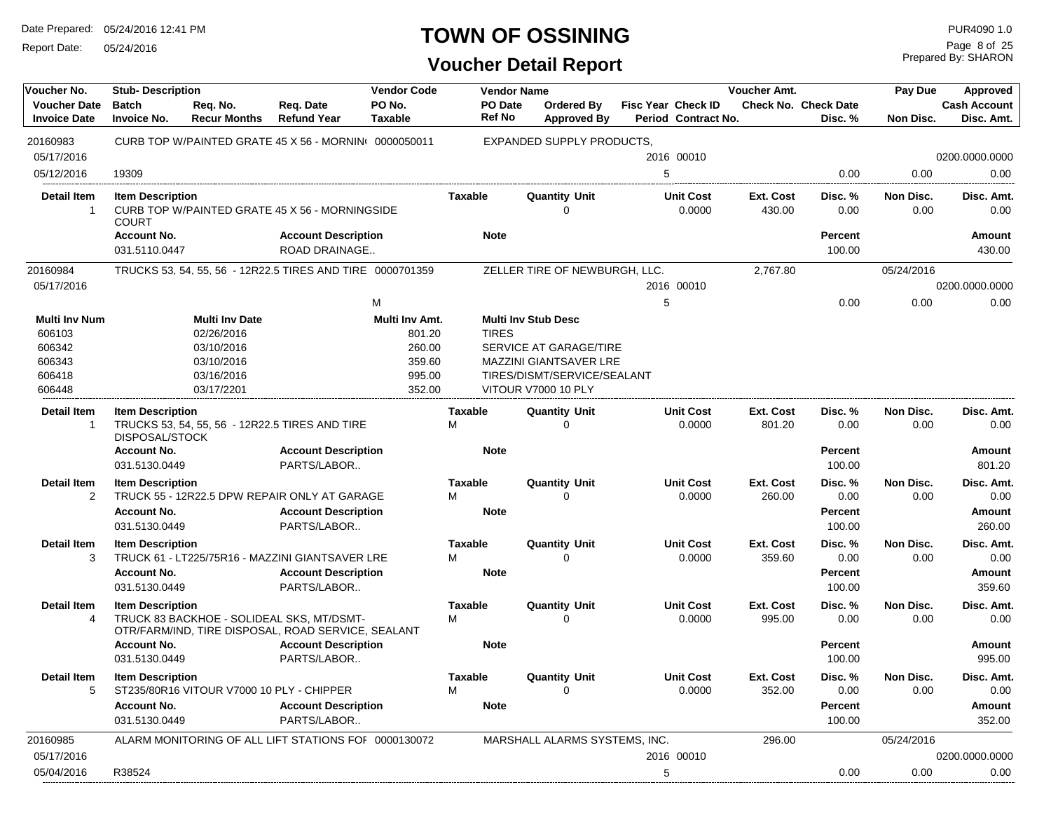Report Date: 05/24/2016

# **TOWN OF OSSINING**

Prepared By: SHARON Page 8 of 25

| Voucher No.                                | <b>Stub-Description</b>                                      |                                           |                                                                                                 | <b>Vendor Code</b>       |                     | <b>Vendor Name</b> |                               |   |                                                  | Voucher Amt.        |                                        | Pay Due           | Approved                          |
|--------------------------------------------|--------------------------------------------------------------|-------------------------------------------|-------------------------------------------------------------------------------------------------|--------------------------|---------------------|--------------------|-------------------------------|---|--------------------------------------------------|---------------------|----------------------------------------|-------------------|-----------------------------------|
| <b>Voucher Date</b><br><b>Invoice Date</b> | <b>Batch</b><br><b>Invoice No.</b>                           | Req. No.<br><b>Recur Months</b>           | Reg. Date<br><b>Refund Year</b>                                                                 | PO No.<br><b>Taxable</b> | Ref No              | PO Date            | Ordered By<br>Approved By     |   | <b>Fisc Year Check ID</b><br>Period Contract No. |                     | <b>Check No. Check Date</b><br>Disc. % | Non Disc.         | <b>Cash Account</b><br>Disc. Amt. |
| 20160983                                   |                                                              |                                           | CURB TOP W/PAINTED GRATE 45 X 56 - MORNINI 0000050011                                           |                          |                     |                    | EXPANDED SUPPLY PRODUCTS,     |   |                                                  |                     |                                        |                   |                                   |
| 05/17/2016                                 |                                                              |                                           |                                                                                                 |                          |                     |                    |                               |   | 2016 00010                                       |                     |                                        |                   | 0200.0000.0000                    |
| 05/12/2016                                 | 19309                                                        |                                           |                                                                                                 |                          |                     |                    |                               | 5 |                                                  |                     | 0.00                                   | 0.00              | 0.00                              |
| Detail Item                                | <b>Item Description</b>                                      |                                           |                                                                                                 |                          | Taxable             |                    | <b>Quantity Unit</b>          |   | <b>Unit Cost</b>                                 | Ext. Cost           | Disc. %                                | Non Disc.         | Disc. Amt.                        |
| $\overline{1}$                             | <b>COURT</b>                                                 |                                           | CURB TOP W/PAINTED GRATE 45 X 56 - MORNINGSIDE                                                  |                          |                     |                    | 0                             |   | 0.0000                                           | 430.00              | 0.00                                   | 0.00              | 0.00                              |
|                                            | <b>Account No.</b>                                           |                                           | <b>Account Description</b>                                                                      |                          | <b>Note</b>         |                    |                               |   |                                                  |                     | <b>Percent</b>                         |                   | <b>Amount</b>                     |
|                                            | 031.5110.0447                                                |                                           | ROAD DRAINAGE                                                                                   |                          |                     |                    |                               |   |                                                  |                     | 100.00                                 |                   | 430.00                            |
| 20160984                                   |                                                              |                                           | TRUCKS 53, 54, 55, 56 - 12R22.5 TIRES AND TIRE 0000701359                                       |                          |                     |                    | ZELLER TIRE OF NEWBURGH, LLC. |   |                                                  | 2,767.80            |                                        | 05/24/2016        |                                   |
| 05/17/2016                                 |                                                              |                                           |                                                                                                 |                          |                     |                    |                               |   | 2016 00010                                       |                     |                                        |                   | 0200.0000.0000                    |
|                                            |                                                              |                                           |                                                                                                 | M                        |                     |                    |                               | 5 |                                                  |                     | 0.00                                   | 0.00              | 0.00                              |
| Multi Inv Num                              |                                                              | <b>Multi Inv Date</b>                     |                                                                                                 | Multi Inv Amt.           |                     |                    | <b>Multi Inv Stub Desc</b>    |   |                                                  |                     |                                        |                   |                                   |
| 606103                                     |                                                              | 02/26/2016                                |                                                                                                 | 801.20                   | <b>TIRES</b>        |                    |                               |   |                                                  |                     |                                        |                   |                                   |
| 606342                                     |                                                              | 03/10/2016                                |                                                                                                 | 260.00                   |                     |                    | SERVICE AT GARAGE/TIRE        |   |                                                  |                     |                                        |                   |                                   |
| 606343                                     |                                                              | 03/10/2016                                |                                                                                                 | 359.60                   |                     |                    | MAZZINI GIANTSAVER LRE        |   |                                                  |                     |                                        |                   |                                   |
| 606418                                     |                                                              | 03/16/2016                                |                                                                                                 | 995.00                   |                     |                    | TIRES/DISMT/SERVICE/SEALANT   |   |                                                  |                     |                                        |                   |                                   |
| 606448                                     |                                                              | 03/17/2201                                |                                                                                                 | 352.00                   |                     |                    | <b>VITOUR V7000 10 PLY</b>    |   |                                                  |                     |                                        |                   |                                   |
| <b>Detail Item</b><br>-1                   | <b>Item Description</b>                                      |                                           | TRUCKS 53, 54, 55, 56 - 12R22.5 TIRES AND TIRE                                                  |                          | Taxable<br>М        |                    | <b>Quantity Unit</b><br>0     |   | <b>Unit Cost</b><br>0.0000                       | Ext. Cost<br>801.20 | Disc. %<br>0.00                        | Non Disc.<br>0.00 | Disc. Amt.<br>0.00                |
|                                            | <b>DISPOSAL/STOCK</b><br><b>Account No.</b><br>031.5130.0449 |                                           | <b>Account Description</b><br>PARTS/LABOR                                                       |                          | <b>Note</b>         |                    |                               |   |                                                  |                     | <b>Percent</b><br>100.00               |                   | Amount<br>801.20                  |
| <b>Detail Item</b><br>$\overline{2}$       | <b>Item Description</b>                                      |                                           | TRUCK 55 - 12R22.5 DPW REPAIR ONLY AT GARAGE                                                    |                          | <b>Taxable</b><br>М |                    | <b>Quantity Unit</b><br>0     |   | <b>Unit Cost</b><br>0.0000                       | Ext. Cost<br>260.00 | Disc. %<br>0.00                        | Non Disc.<br>0.00 | Disc. Amt.<br>0.00                |
|                                            | <b>Account No.</b>                                           |                                           | <b>Account Description</b>                                                                      |                          | <b>Note</b>         |                    |                               |   |                                                  |                     | Percent                                |                   | <b>Amount</b>                     |
|                                            | 031.5130.0449                                                |                                           | PARTS/LABOR                                                                                     |                          |                     |                    |                               |   |                                                  |                     | 100.00                                 |                   | 260.00                            |
| <b>Detail Item</b>                         | <b>Item Description</b>                                      |                                           |                                                                                                 |                          | <b>Taxable</b>      |                    | <b>Quantity Unit</b>          |   | <b>Unit Cost</b>                                 | Ext. Cost           | Disc. %                                | Non Disc.         | Disc. Amt.                        |
| 3                                          |                                                              |                                           | TRUCK 61 - LT225/75R16 - MAZZINI GIANTSAVER LRE                                                 |                          | м                   |                    | $\Omega$                      |   | 0.0000                                           | 359.60              | 0.00                                   | 0.00              | 0.00                              |
|                                            | <b>Account No.</b><br>031.5130.0449                          |                                           | <b>Account Description</b><br>PARTS/LABOR                                                       |                          | <b>Note</b>         |                    |                               |   |                                                  |                     | <b>Percent</b><br>100.00               |                   | <b>Amount</b><br>359.60           |
| <b>Detail Item</b>                         | <b>Item Description</b>                                      |                                           |                                                                                                 |                          | <b>Taxable</b>      |                    | <b>Quantity Unit</b>          |   | <b>Unit Cost</b>                                 | Ext. Cost           | Disc. %                                | Non Disc.         | Disc. Amt.                        |
| 4                                          |                                                              |                                           | TRUCK 83 BACKHOE - SOLIDEAL SKS, MT/DSMT-<br>OTR/FARM/IND, TIRE DISPOSAL, ROAD SERVICE, SEALANT |                          | М                   |                    | 0                             |   | 0.0000                                           | 995.00              | 0.00                                   | 0.00              | 0.00                              |
|                                            | <b>Account No.</b><br>031.5130.0449                          |                                           | <b>Account Description</b><br>PARTS/LABOR                                                       |                          | <b>Note</b>         |                    |                               |   |                                                  |                     | <b>Percent</b><br>100.00               |                   | <b>Amount</b><br>995.00           |
| Detail Item                                | <b>Item Description</b>                                      |                                           |                                                                                                 |                          | <b>Taxable</b>      |                    | <b>Quantity Unit</b>          |   | <b>Unit Cost</b>                                 | Ext. Cost           | Disc.%                                 | Non Disc.         | Disc. Amt.                        |
| 5                                          |                                                              | ST235/80R16 VITOUR V7000 10 PLY - CHIPPER |                                                                                                 |                          | M                   |                    | 0                             |   | 0.0000                                           | 352.00              | 0.00                                   | 0.00              | 0.00                              |
|                                            | <b>Account No.</b><br>031.5130.0449                          |                                           | <b>Account Description</b><br>PARTS/LABOR                                                       |                          | <b>Note</b>         |                    |                               |   |                                                  |                     | Percent<br>100.00                      |                   | Amount<br>352.00                  |
| 20160985                                   |                                                              |                                           | ALARM MONITORING OF ALL LIFT STATIONS FOF 0000130072                                            |                          |                     |                    | MARSHALL ALARMS SYSTEMS, INC. |   |                                                  | 296.00              |                                        | 05/24/2016        |                                   |
| 05/17/2016                                 |                                                              |                                           |                                                                                                 |                          |                     |                    |                               |   | 2016 00010                                       |                     |                                        |                   | 0200.0000.0000                    |
| 05/04/2016                                 | R38524                                                       |                                           |                                                                                                 |                          |                     |                    |                               | 5 |                                                  |                     | 0.00                                   | 0.00              | 0.00                              |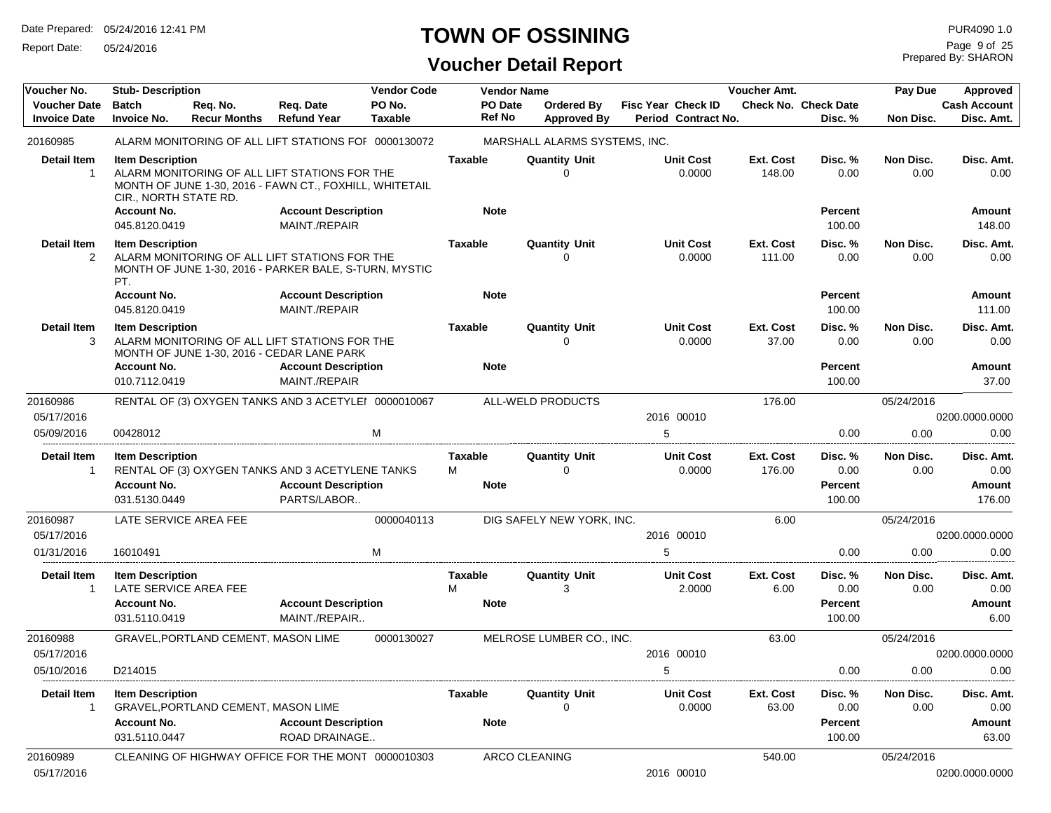Report Date: 05/24/2016

# **TOWN OF OSSINING**

| Voucher No.                                | <b>Stub-Description</b>                                                |                                     |                                                                                                                                        | <b>Vendor Code</b>       | <b>Vendor Name</b>                 |                                         |                                                  | Voucher Amt.        |                                             | Pay Due           | Approved                               |
|--------------------------------------------|------------------------------------------------------------------------|-------------------------------------|----------------------------------------------------------------------------------------------------------------------------------------|--------------------------|------------------------------------|-----------------------------------------|--------------------------------------------------|---------------------|---------------------------------------------|-------------------|----------------------------------------|
| <b>Voucher Date</b><br><b>Invoice Date</b> | <b>Batch</b><br><b>Invoice No.</b>                                     | Req. No.<br><b>Recur Months</b>     | Req. Date<br><b>Refund Year</b>                                                                                                        | PO No.<br><b>Taxable</b> | PO Date<br><b>Ref No</b>           | <b>Ordered Bv</b><br><b>Approved By</b> | <b>Fisc Year Check ID</b><br>Period Contract No. |                     | <b>Check No. Check Date</b><br>Disc. %      | Non Disc.         | <b>Cash Account</b><br>Disc. Amt.      |
| 20160985                                   |                                                                        |                                     | ALARM MONITORING OF ALL LIFT STATIONS FOF 0000130072                                                                                   |                          |                                    | MARSHALL ALARMS SYSTEMS, INC.           |                                                  |                     |                                             |                   |                                        |
| <b>Detail Item</b><br>$\mathbf{1}$         | <b>Item Description</b><br>CIR., NORTH STATE RD.<br><b>Account No.</b> |                                     | ALARM MONITORING OF ALL LIFT STATIONS FOR THE<br>MONTH OF JUNE 1-30, 2016 - FAWN CT., FOXHILL, WHITETAIL<br><b>Account Description</b> |                          | <b>Taxable</b><br><b>Note</b>      | <b>Quantity Unit</b><br>$\Omega$        | <b>Unit Cost</b><br>0.0000                       | Ext. Cost<br>148.00 | Disc. %<br>0.00<br><b>Percent</b>           | Non Disc.<br>0.00 | Disc. Amt.<br>0.00<br>Amount           |
|                                            | 045.8120.0419                                                          |                                     | MAINT./REPAIR                                                                                                                          |                          |                                    |                                         |                                                  |                     | 100.00                                      |                   | 148.00                                 |
| <b>Detail Item</b><br>$\overline{2}$       | <b>Item Description</b><br>PT.                                         |                                     | ALARM MONITORING OF ALL LIFT STATIONS FOR THE<br>MONTH OF JUNE 1-30, 2016 - PARKER BALE, S-TURN, MYSTIC                                |                          | <b>Taxable</b>                     | <b>Quantity Unit</b><br>0               | <b>Unit Cost</b><br>0.0000                       | Ext. Cost<br>111.00 | Disc. %<br>0.00                             | Non Disc.<br>0.00 | Disc. Amt.<br>0.00                     |
|                                            | <b>Account No.</b><br>045.8120.0419                                    |                                     | <b>Account Description</b><br>MAINT./REPAIR                                                                                            |                          | <b>Note</b>                        |                                         |                                                  |                     | <b>Percent</b><br>100.00                    |                   | Amount<br>111.00                       |
| <b>Detail Item</b><br>3                    | <b>Item Description</b>                                                |                                     | ALARM MONITORING OF ALL LIFT STATIONS FOR THE<br>MONTH OF JUNE 1-30, 2016 - CEDAR LANE PARK                                            |                          | <b>Taxable</b>                     | <b>Quantity Unit</b><br>$\Omega$        | <b>Unit Cost</b><br>0.0000                       | Ext. Cost<br>37.00  | Disc. %<br>0.00                             | Non Disc.<br>0.00 | Disc. Amt.<br>0.00                     |
|                                            | <b>Account No.</b>                                                     |                                     | <b>Account Description</b>                                                                                                             |                          | <b>Note</b>                        |                                         |                                                  |                     | <b>Percent</b>                              |                   | Amount                                 |
|                                            | 010.7112.0419                                                          |                                     | MAINT./REPAIR                                                                                                                          |                          |                                    |                                         |                                                  |                     | 100.00                                      |                   | 37.00                                  |
| 20160986                                   |                                                                        |                                     | RENTAL OF (3) OXYGEN TANKS AND 3 ACETYLEI 0000010067                                                                                   |                          |                                    | ALL-WELD PRODUCTS                       |                                                  | 176.00              |                                             | 05/24/2016        |                                        |
| 05/17/2016<br>05/09/2016                   | 00428012                                                               |                                     |                                                                                                                                        | м                        |                                    |                                         | 2016 00010<br>5                                  |                     | 0.00                                        | 0.00              | 0200.0000.0000<br>0.00                 |
|                                            |                                                                        |                                     |                                                                                                                                        |                          |                                    |                                         |                                                  |                     |                                             |                   |                                        |
| <b>Detail Item</b><br>$\mathbf{1}$         | <b>Item Description</b><br><b>Account No.</b><br>031.5130.0449         |                                     | RENTAL OF (3) OXYGEN TANKS AND 3 ACETYLENE TANKS<br><b>Account Description</b><br>PARTS/LABOR                                          |                          | <b>Taxable</b><br>м<br><b>Note</b> | <b>Quantity Unit</b><br>$\Omega$        | <b>Unit Cost</b><br>0.0000                       | Ext. Cost<br>176.00 | Disc. %<br>0.00<br><b>Percent</b><br>100.00 | Non Disc.<br>0.00 | Disc. Amt.<br>0.00<br>Amount<br>176.00 |
| 20160987                                   | LATE SERVICE AREA FEE                                                  |                                     |                                                                                                                                        | 0000040113               |                                    | DIG SAFELY NEW YORK, INC.               |                                                  | 6.00                |                                             | 05/24/2016        |                                        |
| 05/17/2016                                 |                                                                        |                                     |                                                                                                                                        |                          |                                    |                                         | 2016 00010                                       |                     |                                             |                   | 0200.0000.0000                         |
| 01/31/2016                                 | 16010491                                                               |                                     |                                                                                                                                        | м                        |                                    |                                         | 5                                                |                     | 0.00                                        | 0.00              | 0.00                                   |
| <b>Detail Item</b><br>$\mathbf{1}$         | <b>Item Description</b><br>LATE SERVICE AREA FEE                       |                                     |                                                                                                                                        |                          | <b>Taxable</b><br>M                | <b>Quantity Unit</b><br>3               | <b>Unit Cost</b><br>2.0000                       | Ext. Cost<br>6.00   | Disc. %<br>0.00                             | Non Disc.<br>0.00 | Disc. Amt.<br>0.00                     |
|                                            | <b>Account No.</b><br>031.5110.0419                                    |                                     | <b>Account Description</b><br>MAINT./REPAIR                                                                                            |                          | <b>Note</b>                        |                                         |                                                  |                     | <b>Percent</b><br>100.00                    |                   | Amount<br>6.00                         |
| 20160988                                   |                                                                        | GRAVEL, PORTLAND CEMENT, MASON LIME |                                                                                                                                        | 0000130027               |                                    | MELROSE LUMBER CO., INC.                |                                                  | 63.00               |                                             | 05/24/2016        |                                        |
| 05/17/2016                                 |                                                                        |                                     |                                                                                                                                        |                          |                                    |                                         | 2016 00010                                       |                     |                                             |                   | 0200.0000.0000                         |
| 05/10/2016                                 | D214015                                                                |                                     |                                                                                                                                        |                          |                                    |                                         | 5                                                |                     | 0.00                                        | 0.00              | 0.00                                   |
| Detail Item<br>$\mathbf{1}$                | <b>Item Description</b>                                                | GRAVEL, PORTLAND CEMENT, MASON LIME |                                                                                                                                        |                          | Taxable                            | <b>Quantity Unit</b><br>0               | <b>Unit Cost</b><br>0.0000                       | Ext. Cost<br>63.00  | Disc. %<br>0.00                             | Non Disc.<br>0.00 | Disc. Amt.<br>0.00                     |
|                                            | <b>Account No.</b><br>031.5110.0447                                    |                                     | <b>Account Description</b><br><b>ROAD DRAINAGE</b>                                                                                     |                          | <b>Note</b>                        |                                         |                                                  |                     | Percent<br>100.00                           |                   | Amount<br>63.00                        |
| 20160989<br>05/17/2016                     |                                                                        |                                     | CLEANING OF HIGHWAY OFFICE FOR THE MONT 0000010303                                                                                     |                          |                                    | ARCO CLEANING                           | 2016 00010                                       | 540.00              |                                             | 05/24/2016        | 0200.0000.0000                         |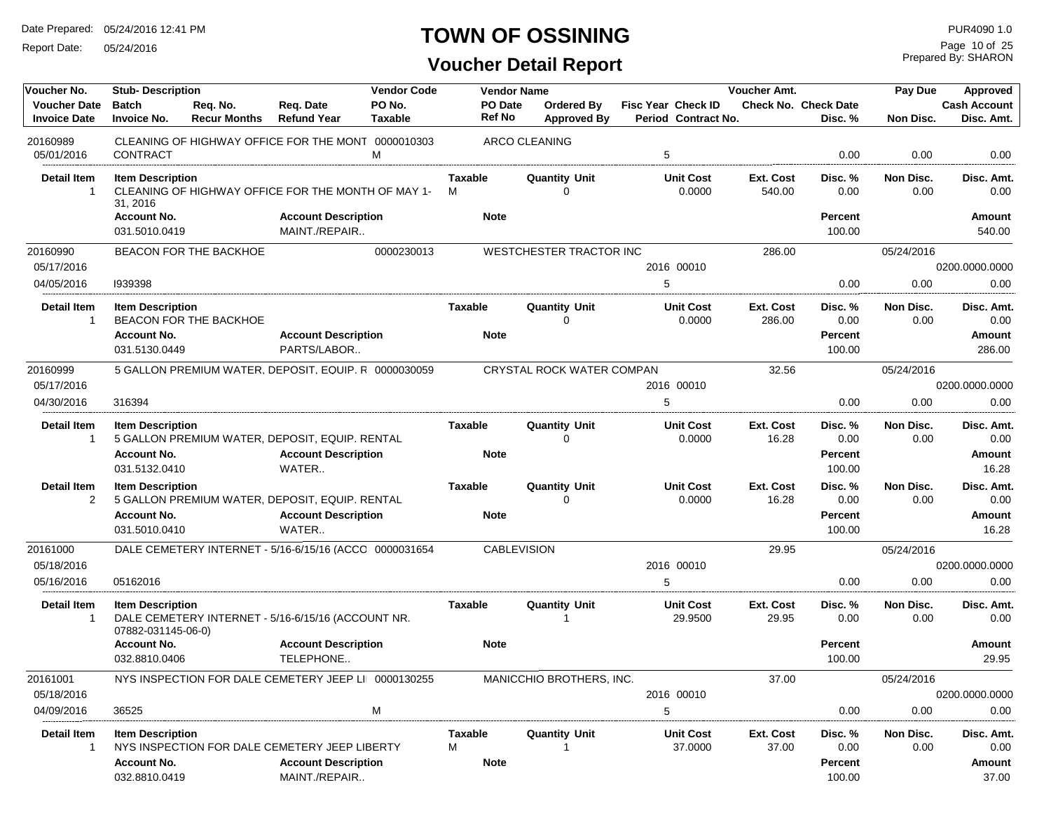Report Date: 05/24/2016

# **TOWN OF OSSINING**

Prepared By: SHARON Page 10 of 25

| Voucher No.                                | <b>Stub- Description</b>                      |                                 |                                                        | <b>Vendor Code</b>       | <b>Vendor Name</b>  |                                  |                                                  | Voucher Amt.        |                                        | Pay Due           | Approved                          |
|--------------------------------------------|-----------------------------------------------|---------------------------------|--------------------------------------------------------|--------------------------|---------------------|----------------------------------|--------------------------------------------------|---------------------|----------------------------------------|-------------------|-----------------------------------|
| <b>Voucher Date</b><br><b>Invoice Date</b> | <b>Batch</b><br><b>Invoice No.</b>            | Reg. No.<br><b>Recur Months</b> | Reg. Date<br><b>Refund Year</b>                        | PO No.<br><b>Taxable</b> | PO Date<br>Ref No   | Ordered By<br><b>Approved By</b> | <b>Fisc Year Check ID</b><br>Period Contract No. |                     | <b>Check No. Check Date</b><br>Disc. % | Non Disc.         | <b>Cash Account</b><br>Disc. Amt. |
| 20160989<br>05/01/2016                     | <b>CONTRACT</b>                               |                                 | CLEANING OF HIGHWAY OFFICE FOR THE MONT 0000010303     | м                        |                     | <b>ARCO CLEANING</b>             | 5                                                |                     | 0.00                                   | 0.00              | 0.00                              |
|                                            |                                               |                                 |                                                        |                          |                     |                                  |                                                  |                     |                                        |                   |                                   |
| <b>Detail Item</b><br>-1                   | <b>Item Description</b><br>31, 2016           |                                 | CLEANING OF HIGHWAY OFFICE FOR THE MONTH OF MAY 1-     |                          | <b>Taxable</b><br>М | <b>Quantity Unit</b><br>$\Omega$ | <b>Unit Cost</b><br>0.0000                       | Ext. Cost<br>540.00 | Disc. %<br>0.00                        | Non Disc.<br>0.00 | Disc. Amt.<br>0.00                |
|                                            | <b>Account No.</b><br>031.5010.0419           |                                 | <b>Account Description</b><br>MAINT./REPAIR            |                          | <b>Note</b>         |                                  |                                                  |                     | Percent<br>100.00                      |                   | Amount<br>540.00                  |
| 20160990<br>05/17/2016                     |                                               | <b>BEACON FOR THE BACKHOE</b>   |                                                        | 0000230013               |                     | WESTCHESTER TRACTOR INC          | 2016 00010                                       | 286.00              |                                        | 05/24/2016        | 0200.0000.0000                    |
| 04/05/2016                                 | 1939398                                       |                                 |                                                        |                          |                     |                                  | 5                                                |                     | 0.00                                   | 0.00              | 0.00                              |
| <b>Detail Item</b><br>-1                   | <b>Item Description</b>                       | BEACON FOR THE BACKHOE          |                                                        |                          | Taxable             | <b>Quantity Unit</b><br>$\Omega$ | <b>Unit Cost</b><br>0.0000                       | Ext. Cost<br>286.00 | Disc. %<br>0.00                        | Non Disc.<br>0.00 | Disc. Amt.<br>0.00                |
|                                            | <b>Account No.</b><br>031.5130.0449           |                                 | <b>Account Description</b><br>PARTS/LABOR              |                          | <b>Note</b>         |                                  |                                                  |                     | Percent<br>100.00                      |                   | Amount<br>286.00                  |
| 20160999                                   |                                               |                                 | 5 GALLON PREMIUM WATER, DEPOSIT, EQUIP. R 0000030059   |                          |                     | CRYSTAL ROCK WATER COMPAN        |                                                  | 32.56               |                                        | 05/24/2016        |                                   |
| 05/17/2016                                 |                                               |                                 |                                                        |                          |                     |                                  | 2016 00010                                       |                     |                                        |                   | 0200.0000.0000                    |
| 04/30/2016                                 | 316394                                        |                                 |                                                        |                          |                     |                                  | 5                                                |                     | 0.00                                   | 0.00              | 0.00                              |
| <b>Detail Item</b><br>$\overline{1}$       | <b>Item Description</b>                       |                                 | 5 GALLON PREMIUM WATER, DEPOSIT, EQUIP. RENTAL         |                          | Taxable             | <b>Quantity Unit</b><br>$\Omega$ | <b>Unit Cost</b><br>0.0000                       | Ext. Cost<br>16.28  | Disc. %<br>0.00                        | Non Disc.<br>0.00 | Disc. Amt.<br>0.00                |
|                                            | <b>Account No.</b><br>031.5132.0410           |                                 | <b>Account Description</b><br>WATER                    |                          | <b>Note</b>         |                                  |                                                  |                     | Percent<br>100.00                      |                   | Amount<br>16.28                   |
| <b>Detail Item</b><br>$\overline{2}$       | <b>Item Description</b>                       |                                 | 5 GALLON PREMIUM WATER, DEPOSIT, EQUIP. RENTAL         |                          | Taxable             | <b>Quantity Unit</b><br>$\Omega$ | <b>Unit Cost</b><br>0.0000                       | Ext. Cost<br>16.28  | Disc. %<br>0.00                        | Non Disc.<br>0.00 | Disc. Amt.<br>0.00                |
|                                            | <b>Account No.</b>                            |                                 | <b>Account Description</b>                             |                          | <b>Note</b>         |                                  |                                                  |                     | Percent                                |                   | Amount                            |
|                                            | 031.5010.0410                                 |                                 | WATER                                                  |                          |                     |                                  |                                                  |                     | 100.00                                 |                   | 16.28                             |
| 20161000                                   |                                               |                                 | DALE CEMETERY INTERNET - 5/16-6/15/16 (ACCC 0000031654 |                          | <b>CABLEVISION</b>  |                                  |                                                  | 29.95               |                                        | 05/24/2016        |                                   |
| 05/18/2016                                 |                                               |                                 |                                                        |                          |                     |                                  | 2016 00010                                       |                     |                                        |                   | 0200.0000.0000                    |
| 05/16/2016                                 | 05162016                                      |                                 |                                                        |                          |                     |                                  | 5                                                |                     | 0.00                                   | 0.00              | 0.00                              |
| <b>Detail Item</b><br>$\overline{1}$       | <b>Item Description</b><br>07882-031145-06-0) |                                 | DALE CEMETERY INTERNET - 5/16-6/15/16 (ACCOUNT NR.     |                          | <b>Taxable</b>      | <b>Quantity Unit</b><br>1        | <b>Unit Cost</b><br>29.9500                      | Ext. Cost<br>29.95  | Disc. %<br>0.00                        | Non Disc.<br>0.00 | Disc. Amt.<br>0.00                |
|                                            | <b>Account No.</b><br>032.8810.0406           |                                 | <b>Account Description</b><br>TELEPHONE                |                          | <b>Note</b>         |                                  |                                                  |                     | Percent<br>100.00                      |                   | Amount<br>29.95                   |
| 20161001<br>05/18/2016                     |                                               |                                 | NYS INSPECTION FOR DALE CEMETERY JEEP LI 0000130255    |                          |                     | MANICCHIO BROTHERS, INC.         | 2016 00010                                       | 37.00               |                                        | 05/24/2016        | 0200.0000.0000                    |
| 04/09/2016                                 | 36525                                         |                                 |                                                        | M                        |                     |                                  | 5                                                |                     | 0.00                                   | 0.00              | 0.00                              |
| <b>Detail Item</b><br>$\overline{1}$       | <b>Item Description</b>                       |                                 | NYS INSPECTION FOR DALE CEMETERY JEEP LIBERTY          |                          | <b>Taxable</b><br>М | <b>Quantity Unit</b>             | <b>Unit Cost</b><br>37.0000                      | Ext. Cost<br>37.00  | Disc. %<br>0.00                        | Non Disc.<br>0.00 | Disc. Amt.<br>0.00                |
|                                            | <b>Account No.</b><br>032.8810.0419           |                                 | <b>Account Description</b><br>MAINT./REPAIR            |                          | <b>Note</b>         |                                  |                                                  |                     | Percent<br>100.00                      |                   | Amount<br>37.00                   |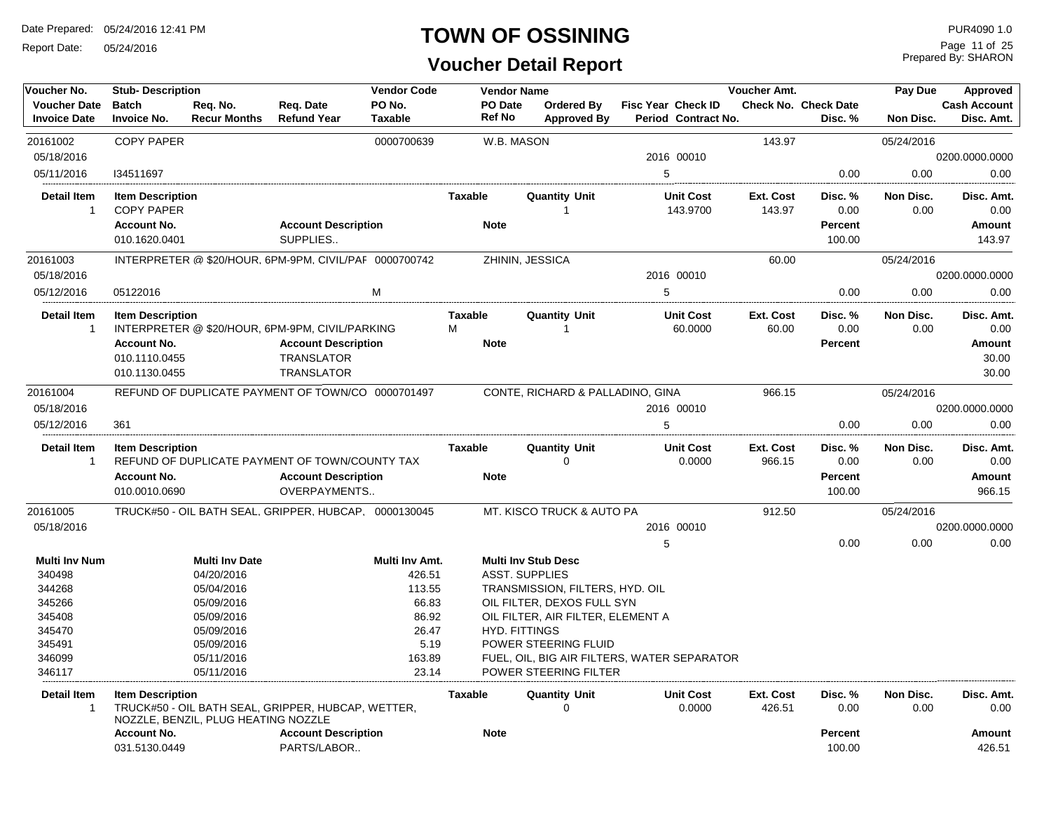Report Date: 05/24/2016

#### **TOWN OF OSSINING**

**Voucher Detail Report**

Prepared By: SHARON Page 11 of 25

| Voucher No.                                | <b>Stub-Description</b>                      |                                     |                                                        | <b>Vendor Code</b> |                          | <b>Vendor Name</b>                          |   |                                           | Voucher Amt.        |                                        | Pay Due           | Approved                          |
|--------------------------------------------|----------------------------------------------|-------------------------------------|--------------------------------------------------------|--------------------|--------------------------|---------------------------------------------|---|-------------------------------------------|---------------------|----------------------------------------|-------------------|-----------------------------------|
| <b>Voucher Date</b><br><b>Invoice Date</b> | <b>Batch</b><br><b>Invoice No.</b>           | Reg. No.<br><b>Recur Months</b>     | Reg. Date<br><b>Refund Year</b>                        | PO No.<br>Taxable  | PO Date<br><b>Ref No</b> | <b>Ordered By</b><br><b>Approved By</b>     |   | Fisc Year Check ID<br>Period Contract No. |                     | <b>Check No. Check Date</b><br>Disc. % | Non Disc.         | <b>Cash Account</b><br>Disc. Amt. |
| 20161002                                   | <b>COPY PAPER</b>                            |                                     |                                                        | 0000700639         |                          | W.B. MASON                                  |   |                                           | 143.97              |                                        | 05/24/2016        |                                   |
| 05/18/2016                                 |                                              |                                     |                                                        |                    |                          |                                             |   | 2016 00010                                |                     |                                        |                   | 0200.0000.0000                    |
| 05/11/2016                                 | 134511697                                    |                                     |                                                        |                    |                          |                                             | 5 |                                           |                     | 0.00                                   | 0.00              | 0.00                              |
| <b>Detail Item</b><br>$\mathbf{1}$         | <b>Item Description</b><br><b>COPY PAPER</b> |                                     |                                                        |                    | Taxable                  | <b>Quantity Unit</b><br>-1                  |   | <b>Unit Cost</b><br>143.9700              | Ext. Cost<br>143.97 | Disc. %<br>0.00                        | Non Disc.<br>0.00 | Disc. Amt.<br>0.00                |
|                                            | <b>Account No.</b><br>010.1620.0401          |                                     | <b>Account Description</b><br>SUPPLIES                 |                    | <b>Note</b>              |                                             |   |                                           |                     | <b>Percent</b><br>100.00               |                   | Amount<br>143.97                  |
| 20161003                                   |                                              |                                     | INTERPRETER @ \$20/HOUR, 6PM-9PM, CIVIL/PAF 0000700742 |                    |                          | ZHININ, JESSICA                             |   |                                           | 60.00               |                                        | 05/24/2016        |                                   |
| 05/18/2016                                 |                                              |                                     |                                                        |                    |                          |                                             |   | 2016 00010                                |                     |                                        |                   | 0200.0000.0000                    |
| 05/12/2016                                 | 05122016                                     |                                     |                                                        | M                  |                          |                                             | 5 |                                           |                     | 0.00                                   | 0.00              | 0.00                              |
| <b>Detail Item</b><br>$\mathbf 1$          | <b>Item Description</b>                      |                                     | INTERPRETER @ \$20/HOUR, 6PM-9PM, CIVIL/PARKING        |                    | Taxable<br>М             | Quantity Unit<br>-1                         |   | <b>Unit Cost</b><br>60.0000               | Ext. Cost<br>60.00  | Disc. %<br>0.00                        | Non Disc.<br>0.00 | Disc. Amt.<br>0.00                |
|                                            | <b>Account No.</b><br>010.1110.0455          |                                     | <b>Account Description</b><br><b>TRANSLATOR</b>        |                    | <b>Note</b>              |                                             |   |                                           |                     | <b>Percent</b>                         |                   | Amount<br>30.00                   |
|                                            | 010.1130.0455                                |                                     | <b>TRANSLATOR</b>                                      |                    |                          |                                             |   |                                           |                     |                                        |                   | 30.00                             |
| 20161004                                   |                                              |                                     | REFUND OF DUPLICATE PAYMENT OF TOWN/CO 0000701497      |                    |                          | CONTE, RICHARD & PALLADINO, GINA            |   |                                           | 966.15              |                                        | 05/24/2016        |                                   |
| 05/18/2016                                 |                                              |                                     |                                                        |                    |                          |                                             |   | 2016 00010                                |                     |                                        |                   | 0200.0000.0000                    |
| 05/12/2016                                 | 361                                          |                                     |                                                        |                    |                          |                                             | 5 |                                           |                     | 0.00                                   | 0.00              | 0.00                              |
| <b>Detail Item</b><br>$\mathbf{1}$         | <b>Item Description</b>                      |                                     | REFUND OF DUPLICATE PAYMENT OF TOWN/COUNTY TAX         |                    | <b>Taxable</b>           | <b>Quantity Unit</b><br>$\mathbf 0$         |   | <b>Unit Cost</b><br>0.0000                | Ext. Cost<br>966.15 | Disc. %<br>0.00                        | Non Disc.<br>0.00 | Disc. Amt.<br>0.00                |
|                                            | <b>Account No.</b><br>010.0010.0690          |                                     | <b>Account Description</b><br>OVERPAYMENTS             |                    | <b>Note</b>              |                                             |   |                                           |                     | <b>Percent</b><br>100.00               |                   | Amount<br>966.15                  |
| 20161005                                   |                                              |                                     | TRUCK#50 - OIL BATH SEAL, GRIPPER, HUBCAP, 0000130045  |                    |                          | MT. KISCO TRUCK & AUTO PA                   |   |                                           | 912.50              |                                        | 05/24/2016        |                                   |
| 05/18/2016                                 |                                              |                                     |                                                        |                    |                          |                                             |   | 2016 00010                                |                     |                                        |                   | 0200.0000.0000                    |
|                                            |                                              |                                     |                                                        |                    |                          |                                             | 5 |                                           |                     | 0.00                                   | 0.00              | 0.00                              |
| <b>Multi Inv Num</b>                       |                                              | <b>Multi Inv Date</b>               |                                                        | Multi Inv Amt.     |                          | <b>Multi Inv Stub Desc</b>                  |   |                                           |                     |                                        |                   |                                   |
| 340498                                     |                                              | 04/20/2016                          |                                                        | 426.51             |                          | <b>ASST. SUPPLIES</b>                       |   |                                           |                     |                                        |                   |                                   |
| 344268                                     |                                              | 05/04/2016                          |                                                        | 113.55             |                          | TRANSMISSION, FILTERS, HYD. OIL             |   |                                           |                     |                                        |                   |                                   |
| 345266                                     |                                              | 05/09/2016                          |                                                        | 66.83              |                          | OIL FILTER, DEXOS FULL SYN                  |   |                                           |                     |                                        |                   |                                   |
| 345408                                     |                                              | 05/09/2016                          |                                                        | 86.92              |                          | OIL FILTER, AIR FILTER, ELEMENT A           |   |                                           |                     |                                        |                   |                                   |
| 345470                                     |                                              | 05/09/2016                          |                                                        | 26.47              |                          | <b>HYD. FITTINGS</b>                        |   |                                           |                     |                                        |                   |                                   |
| 345491                                     |                                              | 05/09/2016                          |                                                        | 5.19               |                          | POWER STEERING FLUID                        |   |                                           |                     |                                        |                   |                                   |
| 346099                                     |                                              | 05/11/2016                          |                                                        | 163.89             |                          | FUEL, OIL, BIG AIR FILTERS, WATER SEPARATOR |   |                                           |                     |                                        |                   |                                   |
| 346117                                     |                                              | 05/11/2016                          |                                                        | 23.14              |                          | POWER STEERING FILTER                       |   |                                           |                     |                                        |                   |                                   |
| <b>Detail Item</b><br>$\mathbf 1$          | <b>Item Description</b>                      | NOZZLE, BENZIL, PLUG HEATING NOZZLE | TRUCK#50 - OIL BATH SEAL, GRIPPER, HUBCAP, WETTER,     |                    | Taxable                  | <b>Quantity Unit</b><br>0                   |   | <b>Unit Cost</b><br>0.0000                | Ext. Cost<br>426.51 | Disc. %<br>0.00                        | Non Disc.<br>0.00 | Disc. Amt.<br>0.00                |
|                                            | <b>Account No.</b>                           |                                     | <b>Account Description</b>                             |                    | <b>Note</b>              |                                             |   |                                           |                     | <b>Percent</b>                         |                   | Amount                            |
|                                            | 031.5130.0449                                |                                     | PARTS/LABOR                                            |                    |                          |                                             |   |                                           |                     | 100.00                                 |                   | 426.51                            |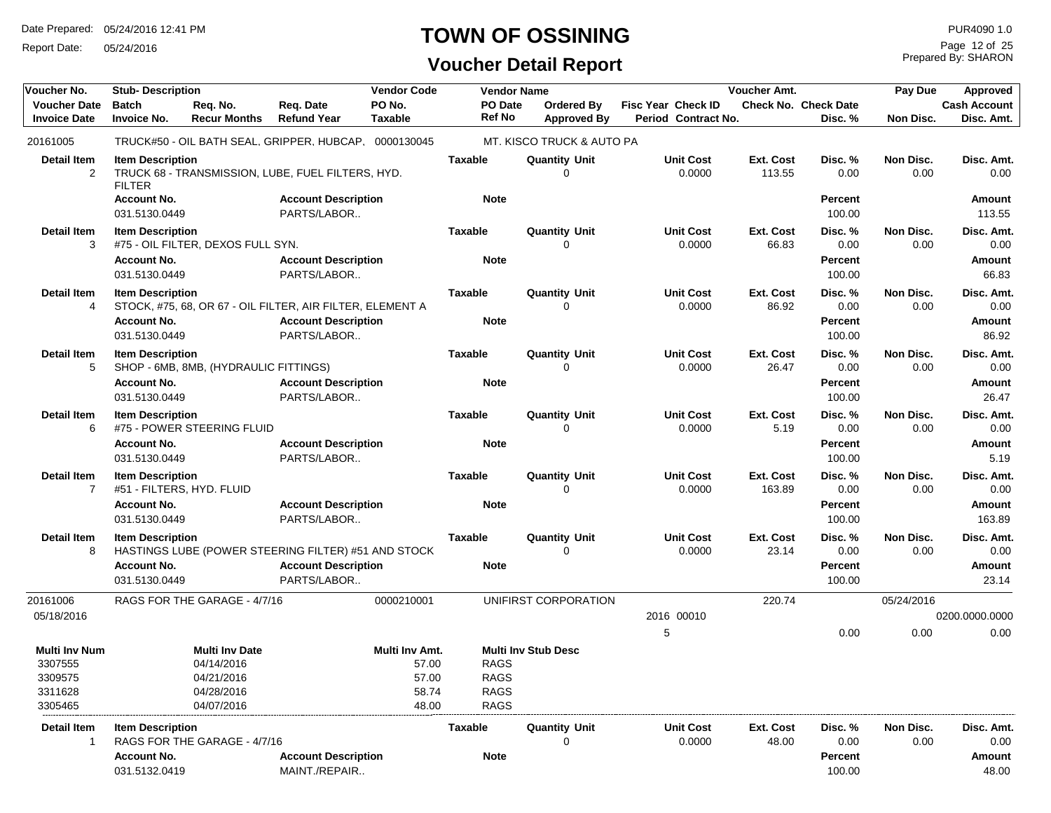Report Date: 05/24/2016

#### **TOWN OF OSSINING**

**Voucher Detail Report**

Prepared By: SHARON Page 12 of 25

| Voucher No.                                                      | <b>Stub-Description</b>                              |                                                                               |                                                           | <b>Vendor Code</b>                                 | <b>Vendor Name</b>                                       |                                  |                                                  | Voucher Amt.        |                                 | Pay Due           | Approved                          |
|------------------------------------------------------------------|------------------------------------------------------|-------------------------------------------------------------------------------|-----------------------------------------------------------|----------------------------------------------------|----------------------------------------------------------|----------------------------------|--------------------------------------------------|---------------------|---------------------------------|-------------------|-----------------------------------|
| <b>Voucher Date</b><br><b>Invoice Date</b>                       | <b>Batch</b><br><b>Invoice No.</b>                   | Reg. No.<br><b>Recur Months</b>                                               | Req. Date<br><b>Refund Year</b>                           | PO No.<br><b>Taxable</b>                           | PO Date<br><b>Ref No</b>                                 | Ordered By<br><b>Approved By</b> | <b>Fisc Year Check ID</b><br>Period Contract No. |                     | Check No. Check Date<br>Disc. % | Non Disc.         | <b>Cash Account</b><br>Disc. Amt. |
| 20161005                                                         |                                                      |                                                                               | TRUCK#50 - OIL BATH SEAL, GRIPPER, HUBCAP, 0000130045     |                                                    |                                                          | MT. KISCO TRUCK & AUTO PA        |                                                  |                     |                                 |                   |                                   |
| <b>Detail Item</b><br>2                                          | <b>Item Description</b><br><b>FILTER</b>             |                                                                               | TRUCK 68 - TRANSMISSION, LUBE, FUEL FILTERS, HYD.         |                                                    | <b>Taxable</b>                                           | <b>Quantity Unit</b><br>0        | <b>Unit Cost</b><br>0.0000                       | Ext. Cost<br>113.55 | Disc. %<br>0.00                 | Non Disc.<br>0.00 | Disc. Amt.<br>0.00                |
|                                                                  | <b>Account No.</b><br>031.5130.0449                  |                                                                               | <b>Account Description</b><br>PARTS/LABOR                 |                                                    | <b>Note</b>                                              |                                  |                                                  |                     | <b>Percent</b><br>100.00        |                   | <b>Amount</b><br>113.55           |
| <b>Detail Item</b><br>3                                          | <b>Item Description</b>                              | #75 - OIL FILTER, DEXOS FULL SYN.                                             |                                                           |                                                    | <b>Taxable</b>                                           | <b>Quantity Unit</b><br>0        | <b>Unit Cost</b><br>0.0000                       | Ext. Cost<br>66.83  | Disc. %<br>0.00                 | Non Disc.<br>0.00 | Disc. Amt.<br>0.00                |
|                                                                  | <b>Account No.</b><br>031.5130.0449                  |                                                                               | <b>Account Description</b><br>PARTS/LABOR                 |                                                    | <b>Note</b>                                              |                                  |                                                  |                     | <b>Percent</b><br>100.00        |                   | <b>Amount</b><br>66.83            |
| <b>Detail Item</b><br>4                                          | <b>Item Description</b>                              |                                                                               | STOCK, #75, 68, OR 67 - OIL FILTER, AIR FILTER, ELEMENT A |                                                    | <b>Taxable</b>                                           | <b>Quantity Unit</b><br>0        | <b>Unit Cost</b><br>0.0000                       | Ext. Cost<br>86.92  | Disc. %<br>0.00                 | Non Disc.<br>0.00 | Disc. Amt.<br>0.00                |
|                                                                  | <b>Account No.</b><br>031.5130.0449                  |                                                                               | <b>Account Description</b><br>PARTS/LABOR                 |                                                    | <b>Note</b>                                              |                                  |                                                  |                     | <b>Percent</b><br>100.00        |                   | Amount<br>86.92                   |
| <b>Detail Item</b><br>5                                          | <b>Item Description</b>                              | SHOP - 6MB, 8MB, (HYDRAULIC FITTINGS)                                         |                                                           |                                                    | <b>Taxable</b>                                           | <b>Quantity Unit</b><br>U        | <b>Unit Cost</b><br>0.0000                       | Ext. Cost<br>26.47  | Disc. %<br>0.00                 | Non Disc.<br>0.00 | Disc. Amt.<br>0.00                |
|                                                                  | <b>Account No.</b><br>031.5130.0449                  |                                                                               | <b>Account Description</b><br>PARTS/LABOR                 |                                                    | <b>Note</b>                                              |                                  |                                                  |                     | Percent<br>100.00               |                   | <b>Amount</b><br>26.47            |
| <b>Detail Item</b><br>6                                          | <b>Item Description</b>                              | #75 - POWER STEERING FLUID                                                    |                                                           |                                                    | <b>Taxable</b>                                           | <b>Quantity Unit</b><br>0        | <b>Unit Cost</b><br>0.0000                       | Ext. Cost<br>5.19   | Disc. %<br>0.00                 | Non Disc.<br>0.00 | Disc. Amt.<br>0.00                |
|                                                                  | <b>Account No.</b><br>031.5130.0449                  |                                                                               | <b>Account Description</b><br>PARTS/LABOR                 |                                                    | <b>Note</b>                                              |                                  |                                                  |                     | <b>Percent</b><br>100.00        |                   | Amount<br>5.19                    |
| <b>Detail Item</b><br>$\overline{7}$                             | <b>Item Description</b><br>#51 - FILTERS, HYD. FLUID |                                                                               |                                                           |                                                    | <b>Taxable</b>                                           | <b>Quantity Unit</b><br>U        | <b>Unit Cost</b><br>0.0000                       | Ext. Cost<br>163.89 | Disc. %<br>0.00                 | Non Disc.<br>0.00 | Disc. Amt.<br>0.00                |
|                                                                  | <b>Account No.</b><br>031.5130.0449                  |                                                                               | <b>Account Description</b><br>PARTS/LABOR                 |                                                    | <b>Note</b>                                              |                                  |                                                  |                     | Percent<br>100.00               |                   | Amount<br>163.89                  |
| <b>Detail Item</b><br>8                                          | <b>Item Description</b>                              |                                                                               | HASTINGS LUBE (POWER STEERING FILTER) #51 AND STOCK       |                                                    | <b>Taxable</b>                                           | <b>Quantity Unit</b><br>U        | <b>Unit Cost</b><br>0.0000                       | Ext. Cost<br>23.14  | Disc. %<br>0.00                 | Non Disc.<br>0.00 | Disc. Amt.<br>0.00                |
|                                                                  | <b>Account No.</b><br>031.5130.0449                  |                                                                               | <b>Account Description</b><br>PARTS/LABOR                 |                                                    | Note                                                     |                                  |                                                  |                     | <b>Percent</b><br>100.00        |                   | Amount<br>23.14                   |
| 20161006<br>05/18/2016                                           |                                                      | RAGS FOR THE GARAGE - 4/7/16                                                  |                                                           | 0000210001                                         |                                                          | UNIFIRST CORPORATION             | 2016 00010                                       | 220.74              |                                 | 05/24/2016        | 0200.0000.0000                    |
|                                                                  |                                                      |                                                                               |                                                           |                                                    |                                                          |                                  | 5                                                |                     | 0.00                            | 0.00              | 0.00                              |
| <b>Multi Inv Num</b><br>3307555<br>3309575<br>3311628<br>3305465 |                                                      | <b>Multi Inv Date</b><br>04/14/2016<br>04/21/2016<br>04/28/2016<br>04/07/2016 |                                                           | Multi Inv Amt.<br>57.00<br>57.00<br>58.74<br>48.00 | <b>RAGS</b><br><b>RAGS</b><br><b>RAGS</b><br><b>RAGS</b> | <b>Multi Inv Stub Desc</b>       |                                                  |                     |                                 |                   |                                   |
| <b>Detail Item</b>                                               | <b>Item Description</b>                              | RAGS FOR THE GARAGE - 4/7/16                                                  |                                                           |                                                    | Taxable                                                  | <b>Quantity Unit</b>             | <b>Unit Cost</b><br>0.0000                       | Ext. Cost<br>48.00  | Disc. %<br>0.00                 | Non Disc.<br>0.00 | Disc. Amt.<br>0.00                |
|                                                                  | <b>Account No.</b><br>031.5132.0419                  |                                                                               | <b>Account Description</b><br>MAINT./REPAIR               |                                                    | <b>Note</b>                                              |                                  |                                                  |                     | <b>Percent</b><br>100.00        |                   | Amount<br>48.00                   |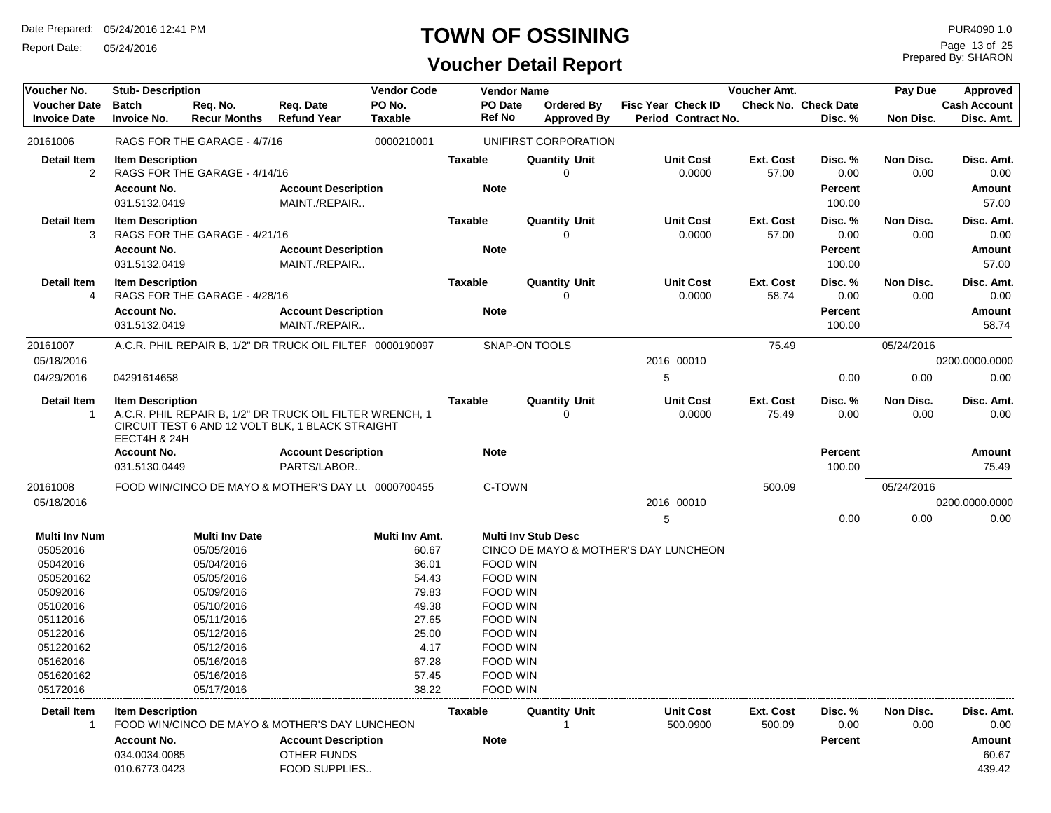Report Date: 05/24/2016

# **TOWN OF OSSINING**

# **Voucher Detail Report**

Prepared By: SHARON Page 13 of 25

| Voucher No.                                | <b>Stub-Description</b>                                        |                                 |                                                                                                              | <b>Vendor Code</b>       |                               | <b>Vendor Name</b>                      |                                                  | <b>Voucher Amt.</b>       |                                             | Pay Due           | Approved                              |
|--------------------------------------------|----------------------------------------------------------------|---------------------------------|--------------------------------------------------------------------------------------------------------------|--------------------------|-------------------------------|-----------------------------------------|--------------------------------------------------|---------------------------|---------------------------------------------|-------------------|---------------------------------------|
| <b>Voucher Date</b><br><b>Invoice Date</b> | <b>Batch</b><br><b>Invoice No.</b>                             | Req. No.<br><b>Recur Months</b> | Req. Date<br><b>Refund Year</b>                                                                              | PO No.<br><b>Taxable</b> | PO Date<br><b>Ref No</b>      | <b>Ordered By</b><br><b>Approved By</b> | <b>Fisc Year Check ID</b><br>Period Contract No. |                           | <b>Check No. Check Date</b><br>Disc. %      | Non Disc.         | <b>Cash Account</b><br>Disc. Amt.     |
| 20161006                                   |                                                                | RAGS FOR THE GARAGE - 4/7/16    |                                                                                                              | 0000210001               |                               | UNIFIRST CORPORATION                    |                                                  |                           |                                             |                   |                                       |
| <b>Detail Item</b><br>$\overline{2}$       | <b>Item Description</b><br><b>Account No.</b>                  | RAGS FOR THE GARAGE - 4/14/16   | <b>Account Description</b>                                                                                   |                          | <b>Taxable</b><br><b>Note</b> | <b>Quantity Unit</b><br>0               | <b>Unit Cost</b><br>0.0000                       | Ext. Cost<br>57.00        | Disc. %<br>0.00<br><b>Percent</b>           | Non Disc.<br>0.00 | Disc. Amt.<br>0.00<br>Amount          |
|                                            | 031.5132.0419                                                  |                                 | MAINT./REPAIR                                                                                                |                          |                               |                                         |                                                  |                           | 100.00                                      |                   | 57.00                                 |
| <b>Detail Item</b><br>3                    | <b>Item Description</b><br><b>Account No.</b><br>031.5132.0419 | RAGS FOR THE GARAGE - 4/21/16   | <b>Account Description</b><br>MAINT./REPAIR                                                                  |                          | <b>Taxable</b><br><b>Note</b> | <b>Quantity Unit</b><br>0               | <b>Unit Cost</b><br>0.0000                       | <b>Ext. Cost</b><br>57.00 | Disc. %<br>0.00<br><b>Percent</b><br>100.00 | Non Disc.<br>0.00 | Disc. Amt.<br>0.00<br>Amount<br>57.00 |
| <b>Detail Item</b><br>4                    | <b>Item Description</b><br><b>Account No.</b>                  | RAGS FOR THE GARAGE - 4/28/16   | <b>Account Description</b>                                                                                   |                          | <b>Taxable</b><br><b>Note</b> | <b>Quantity Unit</b><br>$\Omega$        | <b>Unit Cost</b><br>0.0000                       | Ext. Cost<br>58.74        | Disc. %<br>0.00<br><b>Percent</b>           | Non Disc.<br>0.00 | Disc. Amt.<br>0.00<br><b>Amount</b>   |
|                                            | 031.5132.0419                                                  |                                 | MAINT./REPAIR                                                                                                |                          |                               |                                         |                                                  |                           | 100.00                                      |                   | 58.74                                 |
| 20161007                                   |                                                                |                                 | A.C.R. PHIL REPAIR B, 1/2" DR TRUCK OIL FILTEF 0000190097                                                    |                          |                               | <b>SNAP-ON TOOLS</b>                    |                                                  | 75.49                     |                                             | 05/24/2016        |                                       |
| 05/18/2016                                 |                                                                |                                 |                                                                                                              |                          |                               |                                         | 2016 00010                                       |                           |                                             |                   | 0200.0000.0000                        |
| 04/29/2016                                 | 04291614658                                                    |                                 |                                                                                                              |                          |                               |                                         | 5                                                |                           | 0.00                                        | 0.00              | 0.00                                  |
| <b>Detail Item</b><br>$\overline{1}$       | <b>Item Description</b><br>EECT4H & 24H                        |                                 | A.C.R. PHIL REPAIR B, 1/2" DR TRUCK OIL FILTER WRENCH, 1<br>CIRCUIT TEST 6 AND 12 VOLT BLK, 1 BLACK STRAIGHT |                          | <b>Taxable</b>                | <b>Quantity Unit</b><br>$\Omega$        | <b>Unit Cost</b><br>0.0000                       | Ext. Cost<br>75.49        | Disc.%<br>0.00                              | Non Disc.<br>0.00 | Disc. Amt.<br>0.00                    |
|                                            | <b>Account No.</b><br>031.5130.0449                            |                                 | <b>Account Description</b><br>PARTS/LABOR                                                                    |                          | <b>Note</b>                   |                                         |                                                  |                           | <b>Percent</b><br>100.00                    |                   | <b>Amount</b><br>75.49                |
| 20161008                                   |                                                                |                                 | FOOD WIN/CINCO DE MAYO & MOTHER'S DAY LL 0000700455                                                          |                          | C-TOWN                        |                                         |                                                  | 500.09                    |                                             | 05/24/2016        |                                       |
| 05/18/2016                                 |                                                                |                                 |                                                                                                              |                          |                               |                                         | 2016 00010                                       |                           |                                             |                   | 0200.0000.0000                        |
|                                            |                                                                |                                 |                                                                                                              |                          |                               |                                         | 5                                                |                           | 0.00                                        | 0.00              | 0.00                                  |
| <b>Multi Inv Num</b>                       |                                                                | <b>Multi Inv Date</b>           |                                                                                                              | Multi Inv Amt.           |                               | <b>Multi Inv Stub Desc</b>              |                                                  |                           |                                             |                   |                                       |
| 05052016                                   |                                                                | 05/05/2016                      |                                                                                                              | 60.67                    |                               |                                         | CINCO DE MAYO & MOTHER'S DAY LUNCHEON            |                           |                                             |                   |                                       |
| 05042016                                   |                                                                | 05/04/2016                      |                                                                                                              | 36.01                    |                               | <b>FOOD WIN</b>                         |                                                  |                           |                                             |                   |                                       |
| 050520162                                  |                                                                | 05/05/2016                      |                                                                                                              | 54.43                    |                               | <b>FOOD WIN</b>                         |                                                  |                           |                                             |                   |                                       |
| 05092016                                   |                                                                | 05/09/2016                      |                                                                                                              | 79.83                    |                               | <b>FOOD WIN</b>                         |                                                  |                           |                                             |                   |                                       |
| 05102016                                   |                                                                | 05/10/2016                      |                                                                                                              | 49.38                    |                               | FOOD WIN                                |                                                  |                           |                                             |                   |                                       |
| 05112016                                   |                                                                | 05/11/2016                      |                                                                                                              | 27.65                    |                               | FOOD WIN                                |                                                  |                           |                                             |                   |                                       |
| 05122016<br>051220162                      |                                                                | 05/12/2016<br>05/12/2016        |                                                                                                              | 25.00<br>4.17            |                               | FOOD WIN<br><b>FOOD WIN</b>             |                                                  |                           |                                             |                   |                                       |
| 05162016                                   |                                                                | 05/16/2016                      |                                                                                                              | 67.28                    |                               | FOOD WIN                                |                                                  |                           |                                             |                   |                                       |
| 051620162                                  |                                                                | 05/16/2016                      |                                                                                                              | 57.45                    |                               | FOOD WIN                                |                                                  |                           |                                             |                   |                                       |
| 05172016                                   |                                                                | 05/17/2016                      |                                                                                                              | 38.22                    |                               | FOOD WIN                                |                                                  |                           |                                             |                   |                                       |
|                                            |                                                                |                                 |                                                                                                              |                          |                               |                                         |                                                  |                           |                                             |                   |                                       |
| <b>Detail Item</b><br>$\overline{1}$       | <b>Item Description</b>                                        |                                 | FOOD WIN/CINCO DE MAYO & MOTHER'S DAY LUNCHEON                                                               |                          | Taxable                       | <b>Quantity Unit</b><br>1               | <b>Unit Cost</b><br>500.0900                     | Ext. Cost<br>500.09       | Disc. %<br>0.00                             | Non Disc.<br>0.00 | Disc. Amt.<br>0.00                    |
|                                            | <b>Account No.</b>                                             |                                 | <b>Account Description</b>                                                                                   |                          | <b>Note</b>                   |                                         |                                                  |                           | <b>Percent</b>                              |                   | Amount                                |
|                                            | 034.0034.0085<br>010.6773.0423                                 |                                 | OTHER FUNDS<br>FOOD SUPPLIES                                                                                 |                          |                               |                                         |                                                  |                           |                                             |                   | 60.67<br>439.42                       |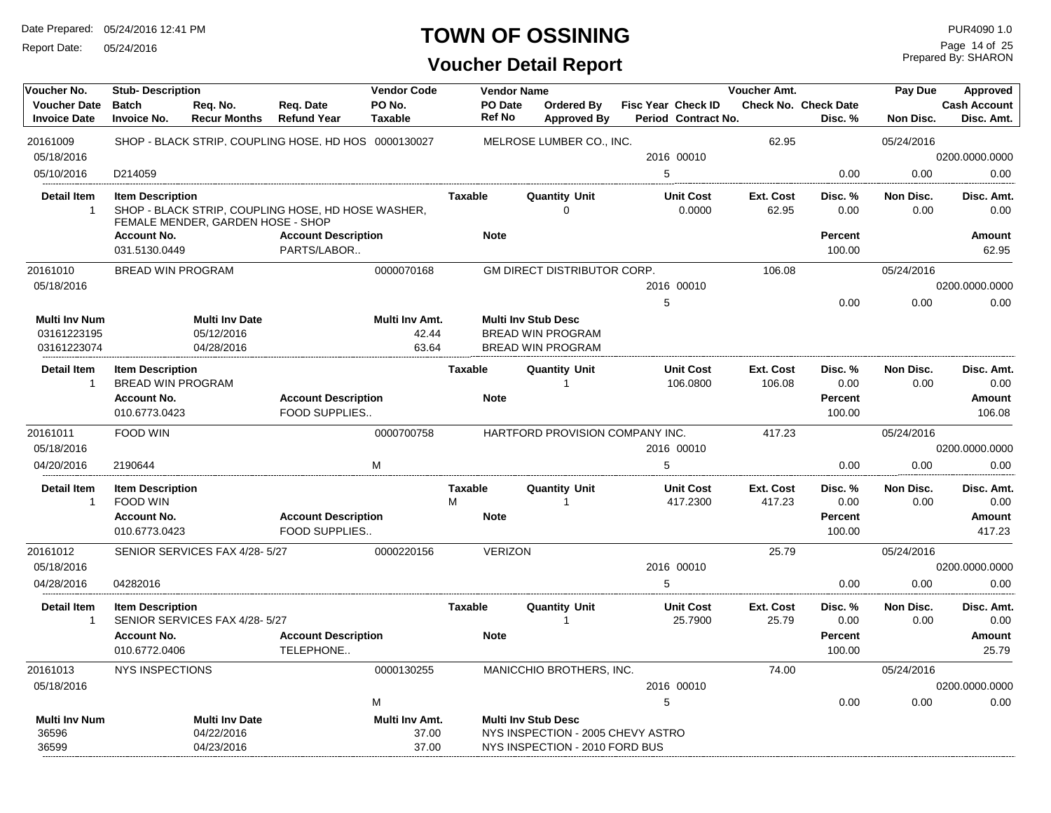Report Date: 05/24/2016

#### **TOWN OF OSSINING**

Prepared By: SHARON Page 14 of 25

| Voucher No.                                        | <b>Stub-Description</b>                             |                                                   |                                                      | <b>Vendor Code</b>               |                          | <b>Vendor Name</b> |                                                                                    | <b>Voucher Amt.</b><br>Pay Due | Approved                                         |                           |                                        |                   |                                   |
|----------------------------------------------------|-----------------------------------------------------|---------------------------------------------------|------------------------------------------------------|----------------------------------|--------------------------|--------------------|------------------------------------------------------------------------------------|--------------------------------|--------------------------------------------------|---------------------------|----------------------------------------|-------------------|-----------------------------------|
| <b>Voucher Date</b><br><b>Invoice Date</b>         | <b>Batch</b><br><b>Invoice No.</b>                  | Req. No.<br><b>Recur Months</b>                   | Req. Date<br><b>Refund Year</b>                      | PO No.<br><b>Taxable</b>         | PO Date<br><b>Ref No</b> |                    | <b>Ordered By</b><br><b>Approved By</b>                                            |                                | <b>Fisc Year Check ID</b><br>Period Contract No. |                           | <b>Check No. Check Date</b><br>Disc. % | Non Disc.         | <b>Cash Account</b><br>Disc. Amt. |
| 20161009                                           |                                                     |                                                   | SHOP - BLACK STRIP, COUPLING HOSE, HD HOS 0000130027 |                                  |                          |                    | MELROSE LUMBER CO., INC.                                                           |                                |                                                  | 62.95                     |                                        | 05/24/2016        |                                   |
| 05/18/2016                                         |                                                     |                                                   |                                                      |                                  |                          |                    |                                                                                    |                                | 2016 00010                                       |                           |                                        |                   | 0200.0000.0000                    |
| 05/10/2016                                         | D214059                                             |                                                   |                                                      |                                  |                          |                    |                                                                                    | 5                              |                                                  |                           | 0.00                                   | 0.00              | 0.00                              |
| <b>Detail Item</b><br>$\mathbf{1}$                 | <b>Item Description</b>                             | FEMALE MENDER, GARDEN HOSE - SHOP                 | SHOP - BLACK STRIP, COUPLING HOSE, HD HOSE WASHER,   |                                  | <b>Taxable</b>           |                    | <b>Quantity Unit</b><br>$\Omega$                                                   |                                | <b>Unit Cost</b><br>0.0000                       | <b>Ext. Cost</b><br>62.95 | Disc. %<br>0.00                        | Non Disc.<br>0.00 | Disc. Amt.<br>0.00                |
|                                                    | <b>Account No.</b><br>031.5130.0449                 |                                                   | <b>Account Description</b><br>PARTS/LABOR            |                                  | <b>Note</b>              |                    |                                                                                    |                                |                                                  |                           | <b>Percent</b><br>100.00               |                   | Amount<br>62.95                   |
| 20161010                                           | <b>BREAD WIN PROGRAM</b>                            |                                                   |                                                      | 0000070168                       |                          |                    | <b>GM DIRECT DISTRIBUTOR CORP.</b>                                                 |                                |                                                  | 106.08                    |                                        | 05/24/2016        |                                   |
| 05/18/2016                                         |                                                     |                                                   |                                                      |                                  |                          |                    |                                                                                    |                                | 2016 00010                                       |                           |                                        |                   | 0200.0000.0000                    |
|                                                    |                                                     |                                                   |                                                      |                                  |                          |                    |                                                                                    | 5                              |                                                  |                           | 0.00                                   | 0.00              | 0.00                              |
| <b>Multi Inv Num</b><br>03161223195<br>03161223074 |                                                     | <b>Multi Inv Date</b><br>05/12/2016<br>04/28/2016 |                                                      | Multi Inv Amt.<br>42.44<br>63.64 |                          |                    | <b>Multi Inv Stub Desc</b><br><b>BREAD WIN PROGRAM</b><br><b>BREAD WIN PROGRAM</b> |                                |                                                  |                           |                                        |                   |                                   |
| Detail Item<br>$\mathbf{1}$                        | <b>Item Description</b><br><b>BREAD WIN PROGRAM</b> |                                                   |                                                      |                                  | Taxable                  |                    | <b>Quantity Unit</b><br>-1                                                         |                                | <b>Unit Cost</b><br>106.0800                     | Ext. Cost<br>106.08       | Disc. %<br>0.00                        | Non Disc.<br>0.00 | Disc. Amt.<br>0.00                |
|                                                    | <b>Account No.</b><br>010.6773.0423                 |                                                   | <b>Account Description</b><br><b>FOOD SUPPLIES</b>   |                                  | <b>Note</b>              |                    |                                                                                    |                                |                                                  |                           | <b>Percent</b><br>100.00               |                   | Amount<br>106.08                  |
| 20161011<br>05/18/2016                             | <b>FOOD WIN</b>                                     |                                                   |                                                      | 0000700758                       |                          |                    | HARTFORD PROVISION COMPANY INC.                                                    |                                | 2016 00010                                       | 417.23                    |                                        | 05/24/2016        | 0200.0000.0000                    |
| 04/20/2016                                         | 2190644                                             |                                                   |                                                      | M                                |                          |                    |                                                                                    | 5                              |                                                  |                           | 0.00                                   | 0.00              | 0.00                              |
| <b>Detail Item</b><br>$\mathbf{1}$                 | <b>Item Description</b><br>FOOD WIN                 |                                                   |                                                      |                                  | <b>Taxable</b><br>M      |                    | <b>Quantity Unit</b><br>$\mathbf{1}$                                               |                                | <b>Unit Cost</b><br>417.2300                     | Ext. Cost<br>417.23       | Disc. %<br>0.00                        | Non Disc.<br>0.00 | Disc. Amt.<br>0.00                |
|                                                    | <b>Account No.</b><br>010.6773.0423                 |                                                   | <b>Account Description</b><br>FOOD SUPPLIES          |                                  | <b>Note</b>              |                    |                                                                                    |                                |                                                  |                           | <b>Percent</b><br>100.00               |                   | Amount<br>417.23                  |
| 20161012                                           |                                                     | SENIOR SERVICES FAX 4/28-5/27                     |                                                      | 0000220156                       |                          | <b>VERIZON</b>     |                                                                                    |                                |                                                  | 25.79                     |                                        | 05/24/2016        |                                   |
| 05/18/2016                                         |                                                     |                                                   |                                                      |                                  |                          |                    |                                                                                    |                                | 2016 00010                                       |                           |                                        |                   | 0200.0000.0000                    |
| 04/28/2016                                         | 04282016                                            |                                                   |                                                      |                                  |                          |                    |                                                                                    | 5                              |                                                  |                           | 0.00                                   | 0.00              | 0.00                              |
| <b>Detail Item</b><br>$\mathbf{1}$                 | <b>Item Description</b>                             | SENIOR SERVICES FAX 4/28-5/27                     |                                                      |                                  | <b>Taxable</b>           |                    | <b>Quantity Unit</b><br>-1                                                         |                                | <b>Unit Cost</b><br>25.7900                      | Ext. Cost<br>25.79        | Disc. %<br>0.00                        | Non Disc.<br>0.00 | Disc. Amt.<br>0.00                |
|                                                    | <b>Account No.</b><br>010.6772.0406                 |                                                   | <b>Account Description</b><br>TELEPHONE              |                                  | <b>Note</b>              |                    |                                                                                    |                                |                                                  |                           | Percent<br>100.00                      |                   | Amount<br>25.79                   |
| 20161013                                           | <b>NYS INSPECTIONS</b>                              |                                                   |                                                      | 0000130255                       |                          |                    | MANICCHIO BROTHERS, INC.                                                           |                                |                                                  | 74.00                     |                                        | 05/24/2016        |                                   |
| 05/18/2016                                         |                                                     |                                                   |                                                      |                                  |                          |                    |                                                                                    |                                | 2016 00010                                       |                           |                                        |                   | 0200.0000.0000                    |
|                                                    |                                                     |                                                   |                                                      | M                                |                          |                    |                                                                                    | 5                              |                                                  |                           | 0.00                                   | 0.00              | 0.00                              |
| <b>Multi Inv Num</b><br>36596                      |                                                     | <b>Multi Inv Date</b><br>04/22/2016               |                                                      | Multi Inv Amt.<br>37.00          |                          |                    | <b>Multi Inv Stub Desc</b><br>NYS INSPECTION - 2005 CHEVY ASTRO                    |                                |                                                  |                           |                                        |                   |                                   |
| 36599                                              |                                                     | 04/23/2016                                        |                                                      | 37.00                            |                          |                    | NYS INSPECTION - 2010 FORD BUS                                                     |                                |                                                  |                           |                                        |                   |                                   |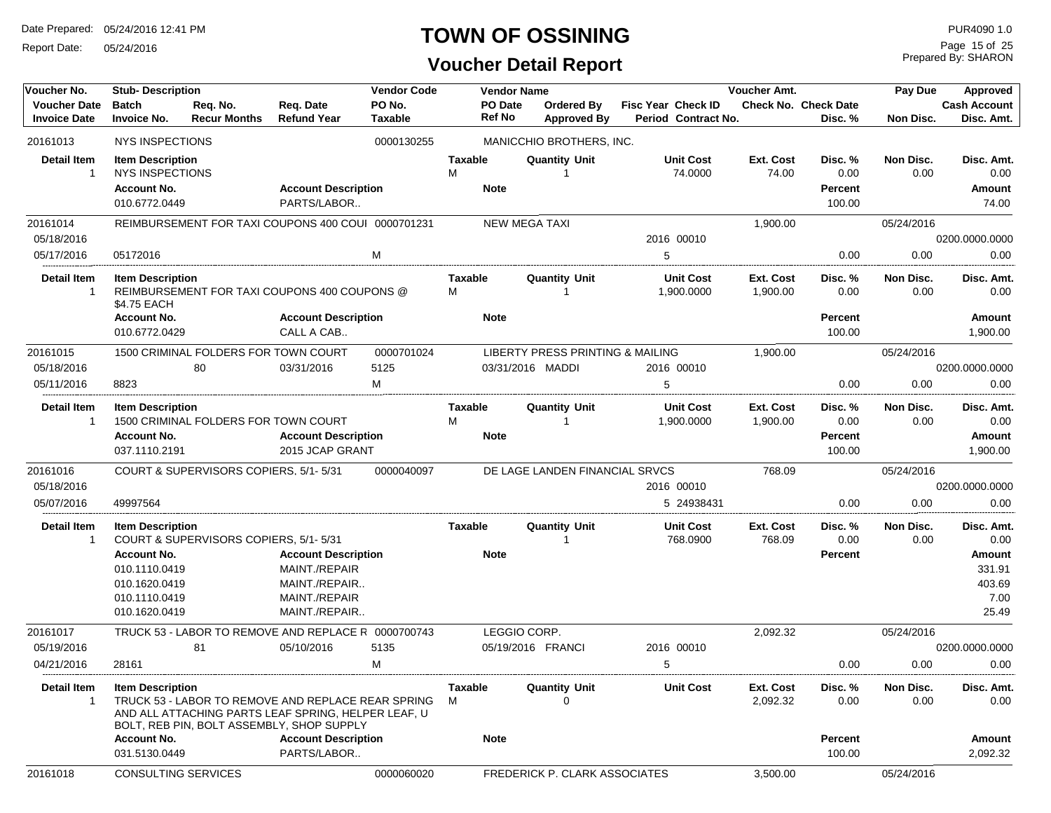Report Date: 05/24/2016

# **TOWN OF OSSINING**

# **Voucher Detail Report**

Prepared By: SHARON Page 15 of 25

| Voucher No.                                | <b>Stub- Description</b>                                                                                          |                                                                                                                                                        |                                                                                                | <b>Vendor Code</b>       |                                    | <b>Vendor Name</b> |                                      |                                                  | Voucher Amt.          |                                             | Pay Due            | Approved                                                                 |
|--------------------------------------------|-------------------------------------------------------------------------------------------------------------------|--------------------------------------------------------------------------------------------------------------------------------------------------------|------------------------------------------------------------------------------------------------|--------------------------|------------------------------------|--------------------|--------------------------------------|--------------------------------------------------|-----------------------|---------------------------------------------|--------------------|--------------------------------------------------------------------------|
| <b>Voucher Date</b><br><b>Invoice Date</b> | <b>Batch</b><br><b>Invoice No.</b>                                                                                | Req. No.<br><b>Recur Months</b>                                                                                                                        | Req. Date<br><b>Refund Year</b>                                                                | PO No.<br><b>Taxable</b> | <b>Ref No</b>                      | PO Date            | Ordered By<br><b>Approved By</b>     | <b>Fisc Year Check ID</b><br>Period Contract No. |                       | <b>Check No. Check Date</b><br>Disc. %      | Non Disc.          | <b>Cash Account</b><br>Disc. Amt.                                        |
| 20161013                                   | NYS INSPECTIONS                                                                                                   |                                                                                                                                                        |                                                                                                | 0000130255               |                                    |                    | MANICCHIO BROTHERS, INC.             |                                                  |                       |                                             |                    |                                                                          |
| Detail Item<br>-1                          | <b>Item Description</b><br><b>NYS INSPECTIONS</b><br><b>Account No.</b><br>010.6772.0449                          |                                                                                                                                                        | <b>Account Description</b><br>PARTS/LABOR                                                      |                          | <b>Taxable</b><br>м<br><b>Note</b> |                    | <b>Quantity Unit</b>                 | <b>Unit Cost</b><br>74.0000                      | Ext. Cost<br>74.00    | Disc. %<br>0.00<br><b>Percent</b><br>100.00 | Non Disc.<br>0.00  | Disc. Amt.<br>0.00<br>Amount<br>74.00                                    |
| 20161014                                   |                                                                                                                   | REIMBURSEMENT FOR TAXI COUPONS 400 COUI 0000701231                                                                                                     |                                                                                                |                          |                                    |                    | <b>NEW MEGA TAXI</b>                 |                                                  | 1,900.00              |                                             | 05/24/2016         |                                                                          |
| 05/18/2016                                 |                                                                                                                   |                                                                                                                                                        |                                                                                                |                          |                                    |                    |                                      | 2016 00010                                       |                       |                                             |                    | 0200.0000.0000                                                           |
| 05/17/2016                                 | 05172016                                                                                                          |                                                                                                                                                        |                                                                                                | M                        |                                    |                    |                                      | 5                                                |                       | 0.00                                        | 0.00               | 0.00                                                                     |
| <b>Detail Item</b><br>1                    | <b>Item Description</b><br>\$4.75 EACH                                                                            | REIMBURSEMENT FOR TAXI COUPONS 400 COUPONS @                                                                                                           |                                                                                                |                          | Taxable<br>М                       |                    | <b>Quantity Unit</b>                 | <b>Unit Cost</b><br>1,900.0000                   | Ext. Cost<br>1,900.00 | Disc. %<br>0.00                             | Non Disc.<br>0.00  | Disc. Amt.<br>0.00                                                       |
|                                            | <b>Account No.</b><br>010.6772.0429                                                                               |                                                                                                                                                        | <b>Account Description</b><br>CALL A CAB                                                       |                          | <b>Note</b>                        |                    |                                      |                                                  |                       | <b>Percent</b><br>100.00                    |                    | <b>Amount</b><br>1,900.00                                                |
| 20161015                                   |                                                                                                                   | 1500 CRIMINAL FOLDERS FOR TOWN COURT                                                                                                                   |                                                                                                | 0000701024               |                                    |                    | LIBERTY PRESS PRINTING & MAILING     |                                                  | 1,900.00              |                                             | 05/24/2016         |                                                                          |
| 05/18/2016                                 |                                                                                                                   | 80                                                                                                                                                     | 03/31/2016                                                                                     | 5125                     |                                    |                    | 03/31/2016 MADDI                     | 2016 00010                                       |                       |                                             |                    | 0200.0000.0000                                                           |
| 05/11/2016                                 | 8823                                                                                                              |                                                                                                                                                        |                                                                                                | M                        |                                    |                    |                                      | 5                                                |                       | 0.00                                        | 0.00               | 0.00                                                                     |
| Detail Item<br>-1                          | <b>Item Description</b><br><b>Account No.</b><br>037.1110.2191                                                    | 1500 CRIMINAL FOLDERS FOR TOWN COURT                                                                                                                   | <b>Account Description</b><br>2015 JCAP GRANT                                                  |                          | Taxable<br>M<br><b>Note</b>        |                    | <b>Quantity Unit</b><br>$\mathbf{1}$ | <b>Unit Cost</b><br>1,900.0000                   | Ext. Cost<br>1,900.00 | Disc. %<br>0.00<br><b>Percent</b><br>100.00 | Non Disc.<br>0.00  | Disc. Amt.<br>0.00<br>Amount<br>1,900.00                                 |
| 20161016<br>05/18/2016<br>05/07/2016       | 49997564                                                                                                          | COURT & SUPERVISORS COPIERS, 5/1-5/31                                                                                                                  |                                                                                                | 0000040097               |                                    |                    | DE LAGE LANDEN FINANCIAL SRVCS       | 2016 00010<br>5 24938431                         | 768.09                | 0.00                                        | 05/24/2016<br>0.00 | 0200.0000.0000<br>0.00                                                   |
| <b>Detail Item</b><br>$\mathbf{1}$         | <b>Item Description</b><br><b>Account No.</b><br>010.1110.0419<br>010.1620.0419<br>010.1110.0419<br>010.1620.0419 | COURT & SUPERVISORS COPIERS, 5/1-5/31                                                                                                                  | <b>Account Description</b><br>MAINT./REPAIR<br>MAINT./REPAIR<br>MAINT./REPAIR<br>MAINT./REPAIR |                          | Taxable<br><b>Note</b>             |                    | <b>Quantity Unit</b>                 | <b>Unit Cost</b><br>768.0900                     | Ext. Cost<br>768.09   | Disc. %<br>0.00<br><b>Percent</b>           | Non Disc.<br>0.00  | Disc. Amt.<br>0.00<br><b>Amount</b><br>331.91<br>403.69<br>7.00<br>25.49 |
| 20161017                                   |                                                                                                                   | TRUCK 53 - LABOR TO REMOVE AND REPLACE R 0000700743                                                                                                    |                                                                                                |                          |                                    |                    | LEGGIO CORP.                         |                                                  | 2,092.32              |                                             | 05/24/2016         |                                                                          |
| 05/19/2016                                 |                                                                                                                   | 81                                                                                                                                                     | 05/10/2016                                                                                     | 5135                     |                                    |                    | 05/19/2016 FRANCI                    | 2016 00010                                       |                       |                                             |                    | 0200.0000.0000                                                           |
| 04/21/2016                                 | 28161                                                                                                             |                                                                                                                                                        |                                                                                                | М                        |                                    |                    |                                      | 5                                                |                       | 0.00                                        | 0.00               | 0.00                                                                     |
| <b>Detail Item</b><br>$\mathbf{1}$         | <b>Item Description</b><br><b>Account No.</b>                                                                     | TRUCK 53 - LABOR TO REMOVE AND REPLACE REAR SPRING<br>AND ALL ATTACHING PARTS LEAF SPRING, HELPER LEAF, U<br>BOLT, REB PIN, BOLT ASSEMBLY, SHOP SUPPLY | <b>Account Description</b>                                                                     |                          | <b>Taxable</b><br>М<br><b>Note</b> |                    | <b>Quantity Unit</b><br>$\Omega$     | <b>Unit Cost</b>                                 | Ext. Cost<br>2,092.32 | Disc. %<br>0.00<br><b>Percent</b>           | Non Disc.<br>0.00  | Disc. Amt.<br>0.00<br>Amount                                             |
| 20161018                                   | 031.5130.0449                                                                                                     | CONSULTING SERVICES                                                                                                                                    | PARTS/LABOR                                                                                    | 0000060020               |                                    |                    | FREDERICK P. CLARK ASSOCIATES        |                                                  | 3,500.00              | 100.00                                      | 05/24/2016         | 2,092.32                                                                 |
|                                            |                                                                                                                   |                                                                                                                                                        |                                                                                                |                          |                                    |                    |                                      |                                                  |                       |                                             |                    |                                                                          |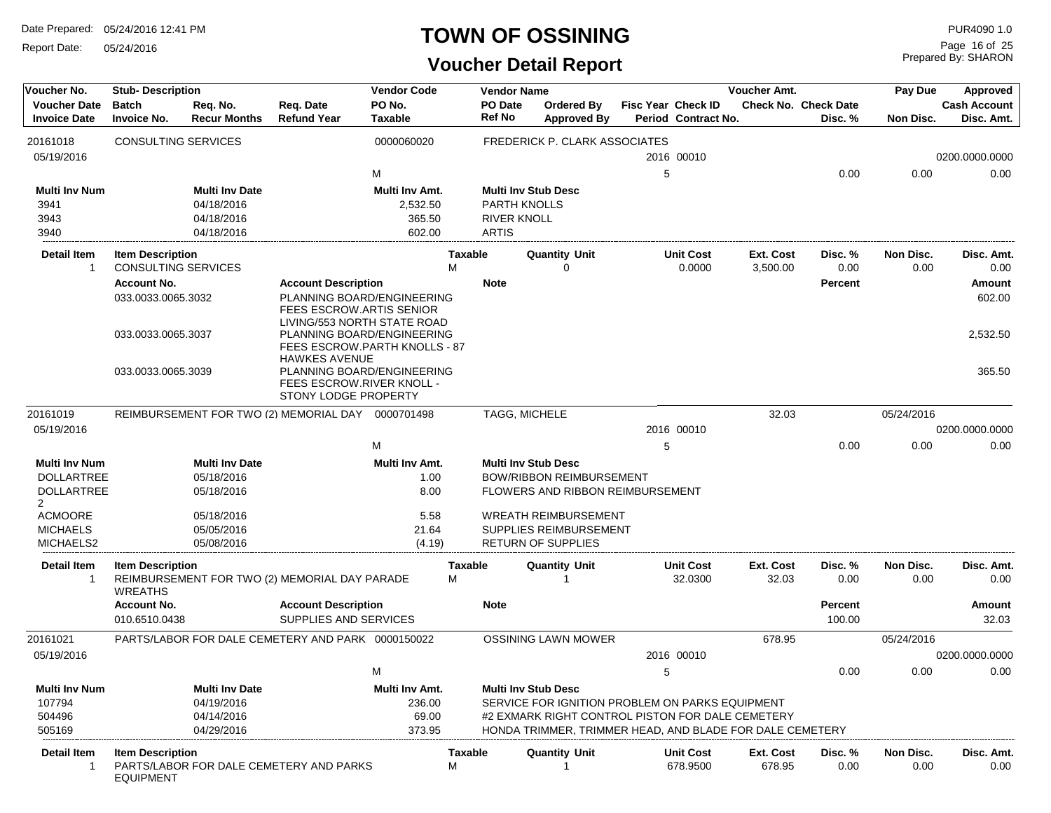Report Date: 05/24/2016

#### **TOWN OF OSSINING**

# **Voucher Detail Report**

Prepared By: SHARON Page 16 of 25

| Voucher No.          | <b>Stub-Description</b>    |                       |                                                       | <b>Vendor Code</b> |                | <b>Vendor Name</b>         |                                                          |   |                     | Voucher Amt. |                      | Pay Due    | Approved            |
|----------------------|----------------------------|-----------------------|-------------------------------------------------------|--------------------|----------------|----------------------------|----------------------------------------------------------|---|---------------------|--------------|----------------------|------------|---------------------|
| <b>Voucher Date</b>  | <b>Batch</b>               | Req. No.              | Reg. Date                                             | PO No.             |                | PO Date                    | Ordered By                                               |   | Fisc Year Check ID  |              | Check No. Check Date |            | <b>Cash Account</b> |
| <b>Invoice Date</b>  | <b>Invoice No.</b>         | <b>Recur Months</b>   | <b>Refund Year</b>                                    | <b>Taxable</b>     |                | <b>Ref No</b>              | <b>Approved By</b>                                       |   | Period Contract No. |              | Disc. %              | Non Disc.  | Disc. Amt.          |
| 20161018             | <b>CONSULTING SERVICES</b> |                       |                                                       | 0000060020         |                |                            | <b>FREDERICK P. CLARK ASSOCIATES</b>                     |   |                     |              |                      |            |                     |
| 05/19/2016           |                            |                       |                                                       |                    |                |                            |                                                          |   | 2016 00010          |              |                      |            | 0200.0000.0000      |
|                      |                            |                       |                                                       | M                  |                |                            |                                                          | 5 |                     |              | 0.00                 | 0.00       | 0.00                |
|                      |                            |                       |                                                       |                    |                |                            |                                                          |   |                     |              |                      |            |                     |
| <b>Multi Inv Num</b> |                            | <b>Multi Inv Date</b> |                                                       | Multi Inv Amt.     |                | <b>Multi Inv Stub Desc</b> |                                                          |   |                     |              |                      |            |                     |
| 3941                 |                            | 04/18/2016            |                                                       | 2,532.50           |                | <b>PARTH KNOLLS</b>        |                                                          |   |                     |              |                      |            |                     |
| 3943                 |                            | 04/18/2016            |                                                       | 365.50             |                | <b>RIVER KNOLL</b>         |                                                          |   |                     |              |                      |            |                     |
| 3940                 |                            | 04/18/2016            |                                                       | 602.00             |                | <b>ARTIS</b>               |                                                          |   |                     |              |                      |            |                     |
| <b>Detail Item</b>   | <b>Item Description</b>    |                       |                                                       |                    | <b>Taxable</b> |                            | <b>Quantity Unit</b>                                     |   | <b>Unit Cost</b>    | Ext. Cost    | Disc. %              | Non Disc.  | Disc. Amt.          |
| $\mathbf{1}$         | <b>CONSULTING SERVICES</b> |                       |                                                       |                    | M              |                            | 0                                                        |   | 0.0000              | 3,500.00     | 0.00                 | 0.00       | 0.00                |
|                      | <b>Account No.</b>         |                       | <b>Account Description</b>                            |                    |                | <b>Note</b>                |                                                          |   |                     |              | <b>Percent</b>       |            | Amount              |
|                      | 033.0033.0065.3032         |                       | PLANNING BOARD/ENGINEERING                            |                    |                |                            |                                                          |   |                     |              |                      |            | 602.00              |
|                      |                            |                       | FEES ESCROW.ARTIS SENIOR                              |                    |                |                            |                                                          |   |                     |              |                      |            |                     |
|                      |                            |                       | LIVING/553 NORTH STATE ROAD                           |                    |                |                            |                                                          |   |                     |              |                      |            |                     |
|                      | 033.0033.0065.3037         |                       | PLANNING BOARD/ENGINEERING                            |                    |                |                            |                                                          |   |                     |              |                      |            | 2,532.50            |
|                      |                            |                       | FEES ESCROW.PARTH KNOLLS - 87<br><b>HAWKES AVENUE</b> |                    |                |                            |                                                          |   |                     |              |                      |            |                     |
|                      | 033.0033.0065.3039         |                       | PLANNING BOARD/ENGINEERING                            |                    |                |                            |                                                          |   |                     |              |                      |            | 365.50              |
|                      |                            |                       | FEES ESCROW.RIVER KNOLL -                             |                    |                |                            |                                                          |   |                     |              |                      |            |                     |
|                      |                            |                       | STONY LODGE PROPERTY                                  |                    |                |                            |                                                          |   |                     |              |                      |            |                     |
| 20161019             |                            |                       | REIMBURSEMENT FOR TWO (2) MEMORIAL DAY 0000701498     |                    |                | TAGG, MICHELE              |                                                          |   |                     | 32.03        |                      | 05/24/2016 |                     |
| 05/19/2016           |                            |                       |                                                       |                    |                |                            |                                                          |   | 2016 00010          |              |                      |            | 0200.0000.0000      |
|                      |                            |                       |                                                       | M                  |                |                            |                                                          | 5 |                     |              | 0.00                 | 0.00       | 0.00                |
| <b>Multi Inv Num</b> |                            | <b>Multi Inv Date</b> |                                                       | Multi Inv Amt.     |                | <b>Multi Inv Stub Desc</b> |                                                          |   |                     |              |                      |            |                     |
| <b>DOLLARTREE</b>    |                            | 05/18/2016            |                                                       | 1.00               |                |                            | <b>BOW/RIBBON REIMBURSEMENT</b>                          |   |                     |              |                      |            |                     |
| <b>DOLLARTREE</b>    |                            | 05/18/2016            |                                                       | 8.00               |                |                            | FLOWERS AND RIBBON REIMBURSEMENT                         |   |                     |              |                      |            |                     |
| $\overline{2}$       |                            |                       |                                                       |                    |                |                            |                                                          |   |                     |              |                      |            |                     |
| <b>ACMOORE</b>       |                            | 05/18/2016            |                                                       | 5.58               |                |                            | <b>WREATH REIMBURSEMENT</b>                              |   |                     |              |                      |            |                     |
| <b>MICHAELS</b>      |                            | 05/05/2016            |                                                       | 21.64              |                |                            | SUPPLIES REIMBURSEMENT                                   |   |                     |              |                      |            |                     |
| MICHAELS2            |                            | 05/08/2016            |                                                       | (4.19)             |                |                            | <b>RETURN OF SUPPLIES</b>                                |   |                     |              |                      |            |                     |
| <b>Detail Item</b>   | <b>Item Description</b>    |                       |                                                       |                    | <b>Taxable</b> |                            | <b>Quantity Unit</b>                                     |   | <b>Unit Cost</b>    | Ext. Cost    | Disc. %              | Non Disc.  | Disc. Amt.          |
| -1                   |                            |                       | REIMBURSEMENT FOR TWO (2) MEMORIAL DAY PARADE         |                    | М              |                            | 1                                                        |   | 32.0300             | 32.03        | 0.00                 | 0.00       | 0.00                |
|                      | <b>WREATHS</b>             |                       |                                                       |                    |                |                            |                                                          |   |                     |              |                      |            |                     |
|                      | <b>Account No.</b>         |                       | <b>Account Description</b>                            |                    |                | <b>Note</b>                |                                                          |   |                     |              | <b>Percent</b>       |            | Amount              |
|                      | 010.6510.0438              |                       | SUPPLIES AND SERVICES                                 |                    |                |                            |                                                          |   |                     |              | 100.00               |            | 32.03               |
| 20161021             |                            |                       | PARTS/LABOR FOR DALE CEMETERY AND PARK 0000150022     |                    |                |                            | <b>OSSINING LAWN MOWER</b>                               |   |                     | 678.95       |                      | 05/24/2016 |                     |
|                      |                            |                       |                                                       |                    |                |                            |                                                          |   |                     |              |                      |            |                     |
| 05/19/2016           |                            |                       |                                                       |                    |                |                            |                                                          |   | 2016 00010          |              |                      |            | 0200.0000.0000      |
|                      |                            |                       |                                                       | M                  |                |                            |                                                          | 5 |                     |              | 0.00                 | 0.00       | 0.00                |
| <b>Multi Inv Num</b> |                            | <b>Multi Inv Date</b> |                                                       | Multi Inv Amt.     |                | <b>Multi Inv Stub Desc</b> |                                                          |   |                     |              |                      |            |                     |
| 107794               |                            | 04/19/2016            |                                                       | 236.00             |                |                            | SERVICE FOR IGNITION PROBLEM ON PARKS EQUIPMENT          |   |                     |              |                      |            |                     |
| 504496               |                            | 04/14/2016            |                                                       | 69.00              |                |                            | #2 EXMARK RIGHT CONTROL PISTON FOR DALE CEMETERY         |   |                     |              |                      |            |                     |
| 505169               |                            | 04/29/2016            |                                                       | 373.95             |                |                            | HONDA TRIMMER, TRIMMER HEAD, AND BLADE FOR DALE CEMETERY |   |                     |              |                      |            |                     |
| Detail Item          | <b>Item Description</b>    |                       |                                                       |                    | Taxable        |                            | <b>Quantity Unit</b>                                     |   | <b>Unit Cost</b>    | Ext. Cost    | Disc. %              | Non Disc.  | Disc. Amt.          |
| -1                   |                            |                       | PARTS/LABOR FOR DALE CEMETERY AND PARKS               |                    | M              |                            |                                                          |   | 678.9500            | 678.95       | 0.00                 | 0.00       | 0.00                |
|                      | <b>EQUIPMENT</b>           |                       |                                                       |                    |                |                            |                                                          |   |                     |              |                      |            |                     |
|                      |                            |                       |                                                       |                    |                |                            |                                                          |   |                     |              |                      |            |                     |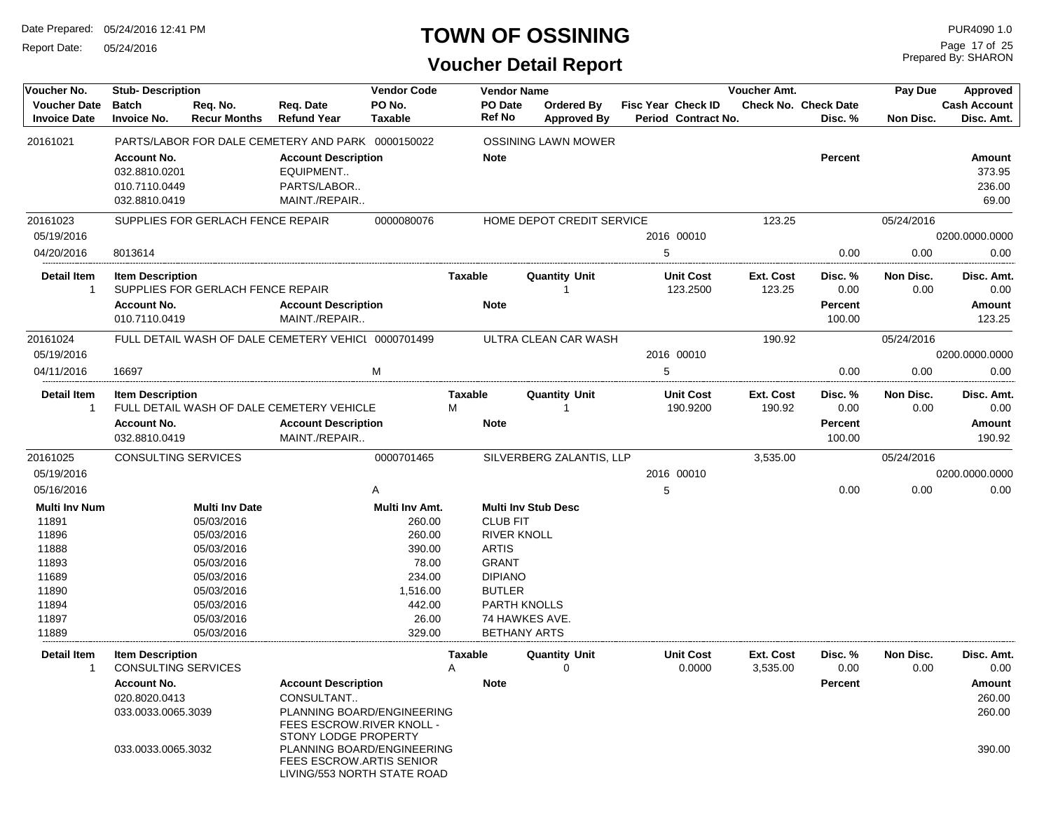Report Date: 05/24/2016

# **TOWN OF OSSINING**

Prepared By: SHARON Page 17 of 25

| Voucher No.                                | <b>Stub-Description</b>                                               |                                                                                       | <b>Vendor Code</b>       |                     | <b>Vendor Name</b>       |                                         |                                                  | Voucher Amt.          |                                 | Pay Due           | Approved                            |
|--------------------------------------------|-----------------------------------------------------------------------|---------------------------------------------------------------------------------------|--------------------------|---------------------|--------------------------|-----------------------------------------|--------------------------------------------------|-----------------------|---------------------------------|-------------------|-------------------------------------|
| <b>Voucher Date</b><br><b>Invoice Date</b> | <b>Batch</b><br>Reg. No.<br><b>Invoice No.</b><br><b>Recur Months</b> | Reg. Date<br><b>Refund Year</b>                                                       | PO No.<br><b>Taxable</b> |                     | PO Date<br><b>Ref No</b> | <b>Ordered By</b><br><b>Approved By</b> | <b>Fisc Year Check ID</b><br>Period Contract No. |                       | Check No. Check Date<br>Disc. % | Non Disc.         | <b>Cash Account</b><br>Disc. Amt.   |
| 20161021                                   | PARTS/LABOR FOR DALE CEMETERY AND PARK 0000150022                     |                                                                                       |                          |                     |                          | <b>OSSINING LAWN MOWER</b>              |                                                  |                       |                                 |                   |                                     |
|                                            | <b>Account No.</b><br>032.8810.0201<br>010.7110.0449<br>032.8810.0419 | <b>Account Description</b><br>EQUIPMENT<br>PARTS/LABOR<br>MAINT./REPAIR               |                          |                     | <b>Note</b>              |                                         |                                                  |                       | <b>Percent</b>                  |                   | Amount<br>373.95<br>236.00<br>69.00 |
| 20161023                                   | SUPPLIES FOR GERLACH FENCE REPAIR                                     |                                                                                       | 0000080076               |                     |                          | HOME DEPOT CREDIT SERVICE               |                                                  | 123.25                |                                 | 05/24/2016        |                                     |
| 05/19/2016                                 |                                                                       |                                                                                       |                          |                     |                          |                                         | 2016 00010<br>5                                  |                       |                                 |                   | 0200.0000.0000                      |
| 04/20/2016                                 | 8013614                                                               |                                                                                       |                          |                     |                          |                                         |                                                  |                       | 0.00                            | 0.00              | 0.00                                |
| Detail Item<br>$\mathbf{1}$                | <b>Item Description</b><br>SUPPLIES FOR GERLACH FENCE REPAIR          |                                                                                       |                          | <b>Taxable</b>      |                          | <b>Quantity Unit</b><br>1               | <b>Unit Cost</b><br>123.2500                     | Ext. Cost<br>123.25   | Disc. %<br>0.00                 | Non Disc.<br>0.00 | Disc. Amt.<br>0.00                  |
|                                            | <b>Account No.</b><br>010.7110.0419                                   | <b>Account Description</b><br>MAINT./REPAIR                                           |                          |                     | <b>Note</b>              |                                         |                                                  |                       | <b>Percent</b><br>100.00        |                   | Amount<br>123.25                    |
| 20161024                                   | FULL DETAIL WASH OF DALE CEMETERY VEHICL 0000701499                   |                                                                                       |                          |                     |                          | ULTRA CLEAN CAR WASH                    |                                                  | 190.92                |                                 | 05/24/2016        |                                     |
| 05/19/2016                                 |                                                                       |                                                                                       |                          |                     |                          |                                         | 2016 00010                                       |                       |                                 |                   | 0200.0000.0000                      |
| 04/11/2016                                 | 16697                                                                 |                                                                                       | м                        |                     |                          |                                         | 5                                                |                       | 0.00                            | 0.00              | 0.00                                |
| <b>Detail Item</b><br>$\mathbf{1}$         | <b>Item Description</b><br>FULL DETAIL WASH OF DALE CEMETERY VEHICLE  |                                                                                       |                          | <b>Taxable</b><br>M |                          | <b>Quantity Unit</b><br>-1              | <b>Unit Cost</b><br>190.9200                     | Ext. Cost<br>190.92   | Disc. %<br>0.00                 | Non Disc.<br>0.00 | Disc. Amt.<br>0.00                  |
|                                            | <b>Account No.</b><br>032.8810.0419                                   | <b>Account Description</b><br>MAINT./REPAIR                                           |                          |                     | <b>Note</b>              |                                         |                                                  |                       | Percent<br>100.00               |                   | Amount<br>190.92                    |
| 20161025                                   | CONSULTING SERVICES                                                   |                                                                                       | 0000701465               |                     |                          | SILVERBERG ZALANTIS, LLP                |                                                  | 3,535.00              |                                 | 05/24/2016        |                                     |
| 05/19/2016                                 |                                                                       |                                                                                       |                          |                     |                          |                                         | 2016 00010                                       |                       |                                 |                   | 0200.0000.0000                      |
| 05/16/2016                                 |                                                                       |                                                                                       | Α                        |                     |                          |                                         | 5                                                |                       | 0.00                            | 0.00              | 0.00                                |
| <b>Multi Inv Num</b><br>11891              | <b>Multi Inv Date</b><br>05/03/2016                                   |                                                                                       | Multi Inv Amt.<br>260.00 |                     | <b>CLUB FIT</b>          | <b>Multi Inv Stub Desc</b>              |                                                  |                       |                                 |                   |                                     |
| 11896                                      | 05/03/2016                                                            |                                                                                       | 260.00                   |                     | <b>RIVER KNOLL</b>       |                                         |                                                  |                       |                                 |                   |                                     |
| 11888                                      | 05/03/2016                                                            |                                                                                       | 390.00                   |                     | <b>ARTIS</b>             |                                         |                                                  |                       |                                 |                   |                                     |
| 11893                                      | 05/03/2016                                                            |                                                                                       | 78.00                    |                     | <b>GRANT</b>             |                                         |                                                  |                       |                                 |                   |                                     |
| 11689                                      | 05/03/2016                                                            |                                                                                       | 234.00                   |                     | <b>DIPIANO</b>           |                                         |                                                  |                       |                                 |                   |                                     |
| 11890                                      | 05/03/2016                                                            |                                                                                       | 1,516.00                 |                     | <b>BUTLER</b>            |                                         |                                                  |                       |                                 |                   |                                     |
| 11894                                      | 05/03/2016                                                            |                                                                                       | 442.00                   |                     | <b>PARTH KNOLLS</b>      |                                         |                                                  |                       |                                 |                   |                                     |
| 11897                                      | 05/03/2016                                                            |                                                                                       | 26.00                    |                     | 74 HAWKES AVE.           |                                         |                                                  |                       |                                 |                   |                                     |
| 11889                                      | 05/03/2016                                                            |                                                                                       | 329.00                   |                     | <b>BETHANY ARTS</b>      |                                         |                                                  |                       |                                 |                   |                                     |
| <b>Detail Item</b><br>$\mathbf{1}$         | <b>Item Description</b><br><b>CONSULTING SERVICES</b>                 |                                                                                       |                          | <b>Taxable</b><br>A |                          | <b>Quantity Unit</b><br>$\Omega$        | <b>Unit Cost</b><br>0.0000                       | Ext. Cost<br>3,535.00 | Disc. %<br>0.00                 | Non Disc.<br>0.00 | Disc. Amt.<br>0.00                  |
|                                            | <b>Account No.</b>                                                    | <b>Account Description</b>                                                            |                          |                     | <b>Note</b>              |                                         |                                                  |                       | <b>Percent</b>                  |                   | <b>Amount</b>                       |
|                                            | 020.8020.0413                                                         | CONSULTANT                                                                            |                          |                     |                          |                                         |                                                  |                       |                                 |                   | 260.00                              |
|                                            | 033.0033.0065.3039                                                    | PLANNING BOARD/ENGINEERING<br>FEES ESCROW.RIVER KNOLL -<br>STONY LODGE PROPERTY       |                          |                     |                          |                                         |                                                  |                       |                                 |                   | 260.00                              |
|                                            | 033.0033.0065.3032                                                    | PLANNING BOARD/ENGINEERING<br>FEES ESCROW.ARTIS SENIOR<br>LIVING/553 NORTH STATE ROAD |                          |                     |                          |                                         |                                                  |                       |                                 |                   | 390.00                              |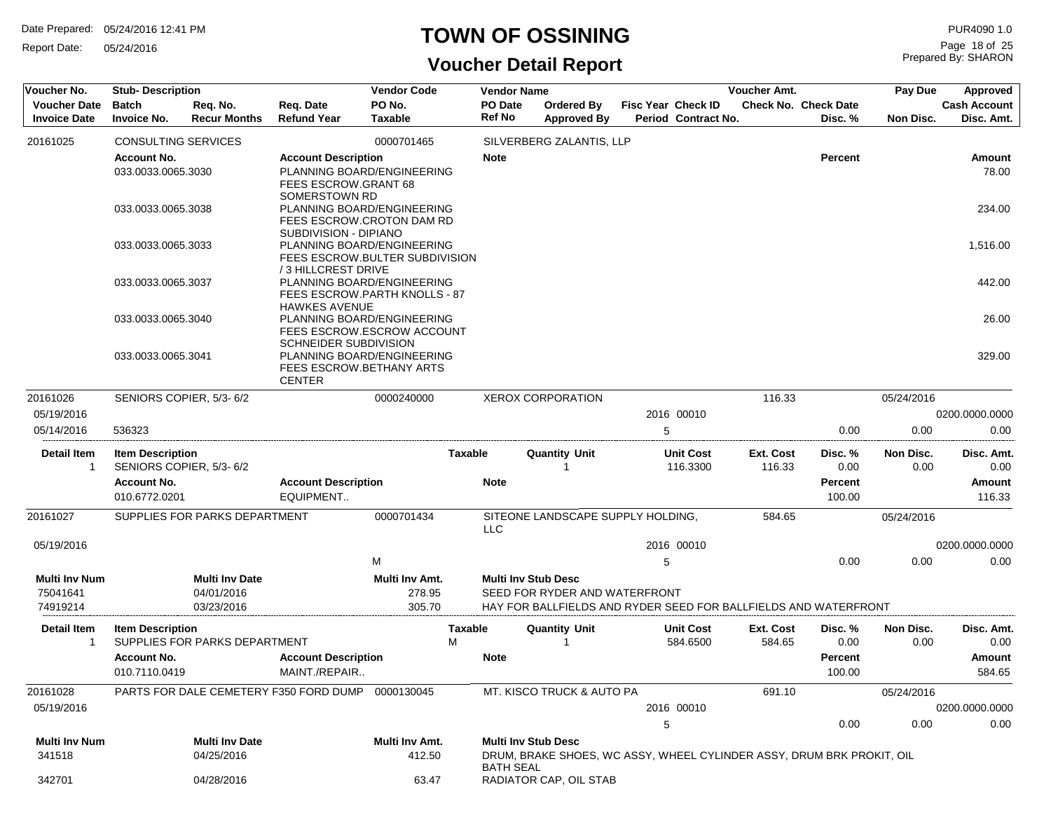Report Date: 05/24/2016

# **TOWN OF OSSINING**

Prepared By: SHARON Page 18 of 25

| Voucher No.                                | <b>Stub-Description</b>             |                                 |                                                              | <b>Vendor Code</b>       |                | <b>Vendor Name</b> |                                                                       |   |                                                  | Voucher Amt.        |                                        | Pay Due           | Approved                          |
|--------------------------------------------|-------------------------------------|---------------------------------|--------------------------------------------------------------|--------------------------|----------------|--------------------|-----------------------------------------------------------------------|---|--------------------------------------------------|---------------------|----------------------------------------|-------------------|-----------------------------------|
| <b>Voucher Date</b><br><b>Invoice Date</b> | <b>Batch</b><br><b>Invoice No.</b>  | Req. No.<br><b>Recur Months</b> | Req. Date<br><b>Refund Year</b>                              | PO No.<br><b>Taxable</b> |                | PO Date<br>Ref No  | <b>Ordered By</b><br><b>Approved By</b>                               |   | <b>Fisc Year Check ID</b><br>Period Contract No. |                     | <b>Check No. Check Date</b><br>Disc. % | Non Disc.         | <b>Cash Account</b><br>Disc. Amt. |
| 20161025                                   | <b>CONSULTING SERVICES</b>          |                                 |                                                              | 0000701465               |                |                    | SILVERBERG ZALANTIS, LLP                                              |   |                                                  |                     |                                        |                   |                                   |
|                                            | <b>Account No.</b>                  |                                 | <b>Account Description</b>                                   |                          |                | <b>Note</b>        |                                                                       |   |                                                  |                     | <b>Percent</b>                         |                   | Amount                            |
|                                            | 033.0033.0065.3030                  |                                 | PLANNING BOARD/ENGINEERING                                   |                          |                |                    |                                                                       |   |                                                  |                     |                                        |                   | 78.00                             |
|                                            |                                     |                                 | FEES ESCROW.GRANT 68                                         |                          |                |                    |                                                                       |   |                                                  |                     |                                        |                   |                                   |
|                                            | 033.0033.0065.3038                  |                                 | <b>SOMERSTOWN RD</b><br>PLANNING BOARD/ENGINEERING           |                          |                |                    |                                                                       |   |                                                  |                     |                                        |                   | 234.00                            |
|                                            |                                     |                                 | <b>FEES ESCROW.CROTON DAM RD</b>                             |                          |                |                    |                                                                       |   |                                                  |                     |                                        |                   |                                   |
|                                            |                                     |                                 | SUBDIVISION - DIPIANO                                        |                          |                |                    |                                                                       |   |                                                  |                     |                                        |                   |                                   |
|                                            | 033.0033.0065.3033                  |                                 | PLANNING BOARD/ENGINEERING<br>FEES ESCROW.BULTER SUBDIVISION |                          |                |                    |                                                                       |   |                                                  |                     |                                        |                   | 1,516.00                          |
|                                            |                                     |                                 | /3 HILLCREST DRIVE                                           |                          |                |                    |                                                                       |   |                                                  |                     |                                        |                   |                                   |
|                                            | 033.0033.0065.3037                  |                                 | PLANNING BOARD/ENGINEERING                                   |                          |                |                    |                                                                       |   |                                                  |                     |                                        |                   | 442.00                            |
|                                            |                                     |                                 | FEES ESCROW.PARTH KNOLLS - 87<br><b>HAWKES AVENUE</b>        |                          |                |                    |                                                                       |   |                                                  |                     |                                        |                   |                                   |
|                                            | 033.0033.0065.3040                  |                                 | PLANNING BOARD/ENGINEERING                                   |                          |                |                    |                                                                       |   |                                                  |                     |                                        |                   | 26.00                             |
|                                            |                                     |                                 | FEES ESCROW.ESCROW ACCOUNT                                   |                          |                |                    |                                                                       |   |                                                  |                     |                                        |                   |                                   |
|                                            | 033.0033.0065.3041                  |                                 | SCHNEIDER SUBDIVISION<br>PLANNING BOARD/ENGINEERING          |                          |                |                    |                                                                       |   |                                                  |                     |                                        |                   | 329.00                            |
|                                            |                                     |                                 | FEES ESCROW.BETHANY ARTS                                     |                          |                |                    |                                                                       |   |                                                  |                     |                                        |                   |                                   |
|                                            |                                     |                                 | <b>CENTER</b>                                                |                          |                |                    |                                                                       |   |                                                  |                     |                                        |                   |                                   |
| 20161026                                   |                                     | SENIORS COPIER, 5/3-6/2         |                                                              | 0000240000               |                |                    | <b>XEROX CORPORATION</b>                                              |   |                                                  | 116.33              |                                        | 05/24/2016        |                                   |
| 05/19/2016                                 |                                     |                                 |                                                              |                          |                |                    |                                                                       |   | 2016 00010                                       |                     |                                        |                   | 0200.0000.0000                    |
| 05/14/2016                                 | 536323                              |                                 |                                                              |                          |                |                    |                                                                       | 5 |                                                  |                     | 0.00                                   | 0.00              | 0.00                              |
| <b>Detail Item</b><br>1                    | <b>Item Description</b>             | SENIORS COPIER, 5/3-6/2         |                                                              |                          | <b>Taxable</b> |                    | <b>Quantity Unit</b>                                                  |   | <b>Unit Cost</b><br>116.3300                     | Ext. Cost<br>116.33 | Disc. %<br>0.00                        | Non Disc.<br>0.00 | Disc. Amt.<br>0.00                |
|                                            | <b>Account No.</b>                  |                                 | <b>Account Description</b>                                   |                          |                | <b>Note</b>        |                                                                       |   |                                                  |                     | <b>Percent</b>                         |                   | Amount                            |
|                                            | 010.6772.0201                       |                                 | EQUIPMENT                                                    |                          |                |                    |                                                                       |   |                                                  |                     | 100.00                                 |                   | 116.33                            |
| 20161027                                   |                                     | SUPPLIES FOR PARKS DEPARTMENT   |                                                              | 0000701434               |                | <b>LLC</b>         | SITEONE LANDSCAPE SUPPLY HOLDING,                                     |   |                                                  | 584.65              |                                        | 05/24/2016        |                                   |
| 05/19/2016                                 |                                     |                                 |                                                              |                          |                |                    |                                                                       |   | 2016 00010                                       |                     |                                        |                   | 0200.0000.0000                    |
|                                            |                                     |                                 |                                                              | M                        |                |                    |                                                                       | 5 |                                                  |                     | 0.00                                   | 0.00              | 0.00                              |
| Multi Inv Num                              |                                     | <b>Multi Inv Date</b>           |                                                              | Multi Inv Amt.           |                |                    | <b>Multi Inv Stub Desc</b>                                            |   |                                                  |                     |                                        |                   |                                   |
| 75041641                                   |                                     | 04/01/2016                      |                                                              | 278.95                   |                |                    | SEED FOR RYDER AND WATERFRONT                                         |   |                                                  |                     |                                        |                   |                                   |
| 74919214                                   |                                     | 03/23/2016                      |                                                              | 305.70                   |                |                    | HAY FOR BALLFIELDS AND RYDER SEED FOR BALLFIELDS AND WATERFRONT       |   |                                                  |                     |                                        |                   |                                   |
| Detail Item<br>1                           | <b>Item Description</b>             | SUPPLIES FOR PARKS DEPARTMENT   |                                                              |                          | Taxable<br>М   |                    | <b>Quantity Unit</b>                                                  |   | <b>Unit Cost</b><br>584.6500                     | Ext. Cost<br>584.65 | Disc. %<br>0.00                        | Non Disc.<br>0.00 | Disc. Amt.<br>0.00                |
|                                            | <b>Account No.</b><br>010.7110.0419 |                                 | <b>Account Description</b><br>MAINT./REPAIR                  |                          |                | <b>Note</b>        |                                                                       |   |                                                  |                     | <b>Percent</b><br>100.00               |                   | Amount<br>584.65                  |
| 20161028                                   |                                     |                                 | PARTS FOR DALE CEMETERY F350 FORD DUMP 0000130045            |                          |                |                    | MT. KISCO TRUCK & AUTO PA                                             |   |                                                  | 691.10              |                                        | 05/24/2016        |                                   |
| 05/19/2016                                 |                                     |                                 |                                                              |                          |                |                    |                                                                       |   | 2016 00010                                       |                     |                                        |                   | 0200.0000.0000                    |
|                                            |                                     |                                 |                                                              |                          |                |                    |                                                                       | 5 |                                                  |                     | 0.00                                   | 0.00              | 0.00                              |
| Multi Inv Num                              |                                     | <b>Multi Inv Date</b>           |                                                              | Multi Inv Amt.           |                |                    | <b>Multi Inv Stub Desc</b>                                            |   |                                                  |                     |                                        |                   |                                   |
| 341518                                     |                                     | 04/25/2016                      |                                                              | 412.50                   |                | <b>BATH SEAL</b>   | DRUM, BRAKE SHOES, WC ASSY, WHEEL CYLINDER ASSY, DRUM BRK PROKIT, OIL |   |                                                  |                     |                                        |                   |                                   |
| 342701                                     |                                     | 04/28/2016                      |                                                              | 63.47                    |                |                    | RADIATOR CAP, OIL STAB                                                |   |                                                  |                     |                                        |                   |                                   |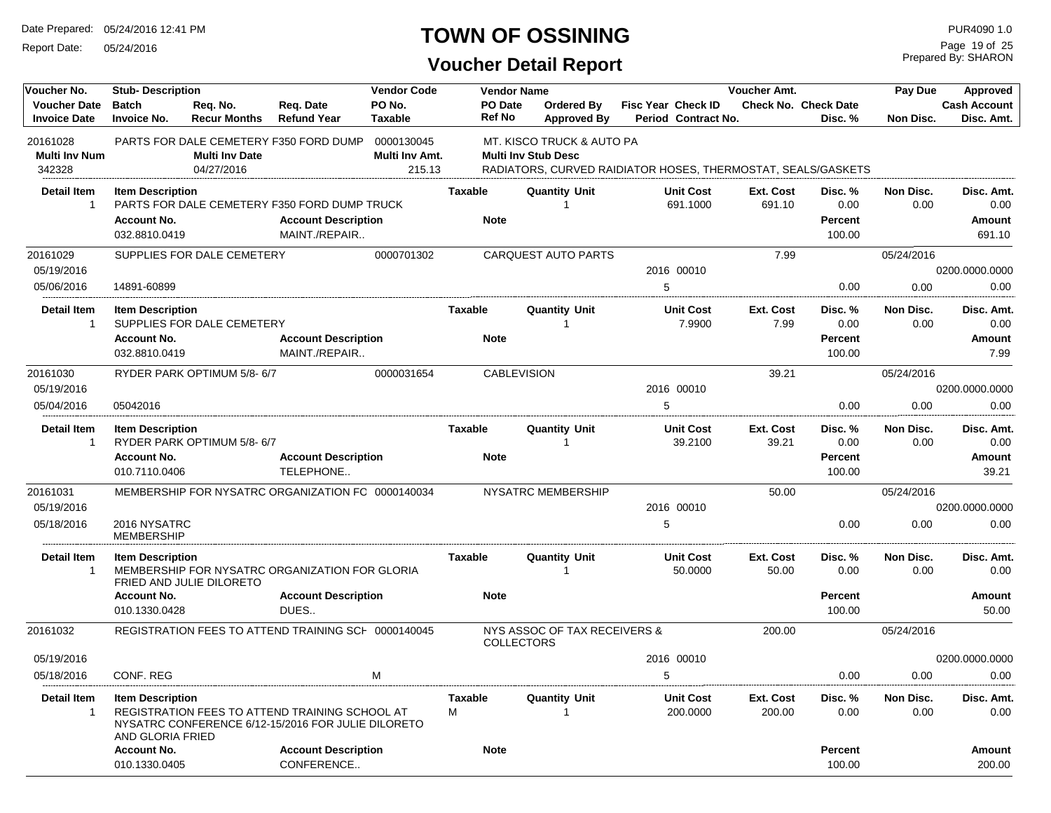Report Date: 05/24/2016

#### **TOWN OF OSSINING**

Prepared By: SHARON Page 19 of 25

| Voucher No.                                | <b>Stub-Description</b>                                        |                                     |                                                                                                      | <b>Vendor Code</b>                     | <b>Vendor Name</b>            |                                                         |                                                              | Voucher Amt.              |                                             | Pay Due           | Approved                               |
|--------------------------------------------|----------------------------------------------------------------|-------------------------------------|------------------------------------------------------------------------------------------------------|----------------------------------------|-------------------------------|---------------------------------------------------------|--------------------------------------------------------------|---------------------------|---------------------------------------------|-------------------|----------------------------------------|
| <b>Voucher Date</b><br><b>Invoice Date</b> | <b>Batch</b><br><b>Invoice No.</b>                             | Req. No.<br><b>Recur Months</b>     | Req. Date<br><b>Refund Year</b>                                                                      | PO No.<br><b>Taxable</b>               | PO Date<br><b>Ref No</b>      | <b>Ordered By</b><br><b>Approved By</b>                 | Fisc Year Check ID<br>Period Contract No.                    |                           | Check No. Check Date<br>Disc. %             | Non Disc.         | <b>Cash Account</b><br>Disc. Amt.      |
| 20161028<br><b>Multi Inv Num</b><br>342328 |                                                                | <b>Multi Inv Date</b><br>04/27/2016 | PARTS FOR DALE CEMETERY F350 FORD DUMP                                                               | 0000130045<br>Multi Inv Amt.<br>215.13 |                               | MT. KISCO TRUCK & AUTO PA<br><b>Multi Inv Stub Desc</b> | RADIATORS, CURVED RAIDIATOR HOSES, THERMOSTAT, SEALS/GASKETS |                           |                                             |                   |                                        |
| <b>Detail Item</b><br>$\mathbf{1}$         | <b>Item Description</b><br><b>Account No.</b><br>032.8810.0419 |                                     | PARTS FOR DALE CEMETERY F350 FORD DUMP TRUCK<br><b>Account Description</b><br>MAINT./REPAIR          |                                        | <b>Taxable</b><br><b>Note</b> | <b>Quantity Unit</b><br>$\overline{1}$                  | <b>Unit Cost</b><br>691.1000                                 | Ext. Cost<br>691.10       | Disc. %<br>0.00<br><b>Percent</b><br>100.00 | Non Disc.<br>0.00 | Disc. Amt.<br>0.00<br>Amount<br>691.10 |
| 20161029<br>05/19/2016                     |                                                                | SUPPLIES FOR DALE CEMETERY          |                                                                                                      | 0000701302                             |                               | <b>CARQUEST AUTO PARTS</b>                              | 2016 00010                                                   | 7.99                      |                                             | 05/24/2016        | 0200.0000.0000                         |
| 05/06/2016                                 | 14891-60899                                                    |                                     |                                                                                                      |                                        |                               |                                                         | 5                                                            |                           | 0.00                                        | 0.00              | 0.00                                   |
| <b>Detail Item</b><br>$\mathbf{1}$         | <b>Item Description</b><br><b>Account No.</b><br>032.8810.0419 | SUPPLIES FOR DALE CEMETERY          | <b>Account Description</b><br>MAINT./REPAIR                                                          |                                        | <b>Taxable</b><br><b>Note</b> | <b>Quantity Unit</b><br>$\overline{1}$                  | <b>Unit Cost</b><br>7.9900                                   | <b>Ext. Cost</b><br>7.99  | Disc. %<br>0.00<br><b>Percent</b><br>100.00 | Non Disc.<br>0.00 | Disc. Amt.<br>0.00<br>Amount<br>7.99   |
| 20161030                                   |                                                                | RYDER PARK OPTIMUM 5/8-6/7          |                                                                                                      | 0000031654                             |                               | <b>CABLEVISION</b>                                      |                                                              | 39.21                     |                                             | 05/24/2016        |                                        |
| 05/19/2016                                 |                                                                |                                     |                                                                                                      |                                        |                               |                                                         | 2016 00010                                                   |                           |                                             |                   | 0200.0000.0000                         |
| 05/04/2016                                 | 05042016                                                       |                                     |                                                                                                      |                                        |                               |                                                         | 5                                                            |                           | 0.00                                        | 0.00              | 0.00                                   |
| <b>Detail Item</b><br>$\mathbf{1}$         | <b>Item Description</b><br><b>Account No.</b><br>010.7110.0406 | RYDER PARK OPTIMUM 5/8-6/7          | <b>Account Description</b><br>TELEPHONE                                                              |                                        | <b>Taxable</b><br><b>Note</b> | <b>Quantity Unit</b><br>-1                              | <b>Unit Cost</b><br>39.2100                                  | <b>Ext. Cost</b><br>39.21 | Disc. %<br>0.00<br><b>Percent</b><br>100.00 | Non Disc.<br>0.00 | Disc. Amt.<br>0.00<br>Amount<br>39.21  |
| 20161031                                   |                                                                |                                     | MEMBERSHIP FOR NYSATRC ORGANIZATION FC 0000140034                                                    |                                        |                               | <b>NYSATRC MEMBERSHIP</b>                               |                                                              | 50.00                     |                                             | 05/24/2016        |                                        |
| 05/19/2016                                 |                                                                |                                     |                                                                                                      |                                        |                               |                                                         | 2016 00010                                                   |                           |                                             |                   | 0200.0000.0000                         |
| 05/18/2016                                 | 2016 NYSATRC<br><b>MEMBERSHIP</b>                              |                                     |                                                                                                      |                                        |                               |                                                         | 5                                                            |                           | 0.00                                        | 0.00              | 0.00                                   |
| <b>Detail Item</b><br>$\mathbf 1$          | <b>Item Description</b>                                        | FRIED AND JULIE DILORETO            | MEMBERSHIP FOR NYSATRC ORGANIZATION FOR GLORIA                                                       |                                        | <b>Taxable</b>                | <b>Quantity Unit</b><br>-1                              | <b>Unit Cost</b><br>50.0000                                  | Ext. Cost<br>50.00        | Disc. %<br>0.00                             | Non Disc.<br>0.00 | Disc. Amt.<br>0.00                     |
|                                            | <b>Account No.</b><br>010.1330.0428                            |                                     | <b>Account Description</b><br>DUES                                                                   |                                        | <b>Note</b>                   |                                                         |                                                              |                           | <b>Percent</b><br>100.00                    |                   | <b>Amount</b><br>50.00                 |
| 20161032                                   |                                                                |                                     | REGISTRATION FEES TO ATTEND TRAINING SCH 0000140045                                                  |                                        |                               | NYS ASSOC OF TAX RECEIVERS &<br><b>COLLECTORS</b>       |                                                              | 200.00                    |                                             | 05/24/2016        |                                        |
| 05/19/2016                                 |                                                                |                                     |                                                                                                      |                                        |                               |                                                         | 2016 00010                                                   |                           |                                             |                   | 0200.0000.0000                         |
| 05/18/2016                                 | CONF. REG                                                      |                                     |                                                                                                      | м                                      |                               |                                                         | 5                                                            |                           | 0.00                                        | 0.00              | 0.00                                   |
| <b>Detail Item</b><br>$\mathbf{1}$         | <b>Item Description</b><br>AND GLORIA FRIED                    |                                     | REGISTRATION FEES TO ATTEND TRAINING SCHOOL AT<br>NYSATRC CONFERENCE 6/12-15/2016 FOR JULIE DILORETO |                                        | <b>Taxable</b><br>М           | <b>Quantity Unit</b><br>$\mathbf{1}$                    | <b>Unit Cost</b><br>200.0000                                 | Ext. Cost<br>200.00       | Disc.%<br>0.00                              | Non Disc.<br>0.00 | Disc. Amt.<br>0.00                     |
|                                            | <b>Account No.</b><br>010.1330.0405                            |                                     | <b>Account Description</b><br>CONFERENCE                                                             |                                        | <b>Note</b>                   |                                                         |                                                              |                           | <b>Percent</b><br>100.00                    |                   | Amount<br>200.00                       |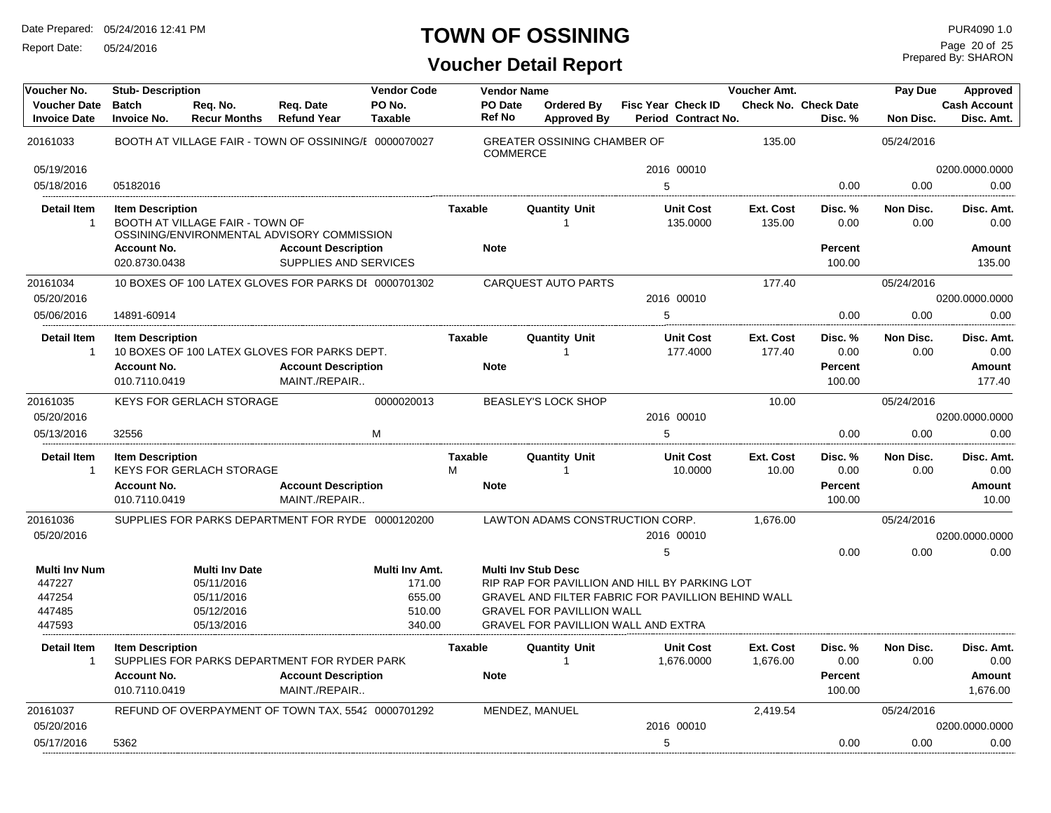Report Date: 05/24/2016

#### **TOWN OF OSSINING**

**Voucher Detail Report**

Prepared By: SHARON Page 20 of 25

| Voucher No.                                | <b>Stub-Description</b>             |                                     |                                                                            | <b>Vendor Code</b>       |                          | <b>Vendor Name</b>                                                          |                    |                                | Voucher Amt.          |                                        | Pay Due           | Approved                          |
|--------------------------------------------|-------------------------------------|-------------------------------------|----------------------------------------------------------------------------|--------------------------|--------------------------|-----------------------------------------------------------------------------|--------------------|--------------------------------|-----------------------|----------------------------------------|-------------------|-----------------------------------|
| <b>Voucher Date</b><br><b>Invoice Date</b> | <b>Batch</b><br><b>Invoice No.</b>  | Reg. No.<br><b>Recur Months</b>     | Reg. Date<br><b>Refund Year</b>                                            | PO No.<br><b>Taxable</b> | PO Date<br><b>Ref No</b> | <b>Ordered By</b><br><b>Approved By</b>                                     | Fisc Year Check ID | Period Contract No.            |                       | <b>Check No. Check Date</b><br>Disc. % | Non Disc.         | <b>Cash Account</b><br>Disc. Amt. |
| 20161033                                   |                                     |                                     | BOOTH AT VILLAGE FAIR - TOWN OF OSSINING/I 0000070027                      |                          |                          | <b>GREATER OSSINING CHAMBER OF</b><br><b>COMMERCE</b>                       |                    |                                | 135.00                |                                        | 05/24/2016        |                                   |
| 05/19/2016                                 |                                     |                                     |                                                                            |                          |                          |                                                                             |                    | 2016 00010                     |                       |                                        |                   | 0200.0000.0000                    |
| 05/18/2016                                 | 05182016                            |                                     |                                                                            |                          |                          |                                                                             | 5                  |                                |                       | 0.00                                   | 0.00              | 0.00                              |
| <b>Detail Item</b><br>$\overline{1}$       | <b>Item Description</b>             | BOOTH AT VILLAGE FAIR - TOWN OF     | OSSINING/ENVIRONMENTAL ADVISORY COMMISSION                                 |                          | <b>Taxable</b>           | <b>Quantity Unit</b>                                                        |                    | <b>Unit Cost</b><br>135.0000   | Ext. Cost<br>135.00   | Disc. %<br>0.00                        | Non Disc.<br>0.00 | Disc. Amt.<br>0.00                |
|                                            | <b>Account No.</b><br>020.8730.0438 |                                     | <b>Account Description</b><br>SUPPLIES AND SERVICES                        |                          | <b>Note</b>              |                                                                             |                    |                                |                       | <b>Percent</b><br>100.00               |                   | Amount<br>135.00                  |
| 20161034<br>05/20/2016                     |                                     |                                     | 10 BOXES OF 100 LATEX GLOVES FOR PARKS DI 0000701302                       |                          |                          | <b>CARQUEST AUTO PARTS</b>                                                  |                    | 2016 00010                     | 177.40                |                                        | 05/24/2016        | 0200.0000.0000                    |
| 05/06/2016                                 | 14891-60914                         |                                     |                                                                            |                          |                          |                                                                             | 5                  |                                |                       | 0.00                                   | 0.00              | 0.00                              |
| <b>Detail Item</b>                         | <b>Item Description</b>             |                                     |                                                                            |                          | <b>Taxable</b>           | <b>Quantity Unit</b>                                                        |                    | <b>Unit Cost</b>               | Ext. Cost             | Disc. %                                | Non Disc.         | Disc. Amt.                        |
| $\mathbf{1}$                               | <b>Account No.</b>                  |                                     | 10 BOXES OF 100 LATEX GLOVES FOR PARKS DEPT.<br><b>Account Description</b> |                          | <b>Note</b>              | $\mathbf{1}$                                                                |                    | 177.4000                       | 177.40                | 0.00<br><b>Percent</b>                 | 0.00              | 0.00<br><b>Amount</b>             |
|                                            | 010.7110.0419                       |                                     | MAINT./REPAIR                                                              |                          |                          |                                                                             |                    |                                |                       | 100.00                                 |                   | 177.40                            |
| 20161035                                   |                                     | <b>KEYS FOR GERLACH STORAGE</b>     |                                                                            | 0000020013               |                          | BEASLEY'S LOCK SHOP                                                         |                    |                                | 10.00                 |                                        | 05/24/2016        |                                   |
| 05/20/2016                                 |                                     |                                     |                                                                            |                          |                          |                                                                             |                    | 2016 00010                     |                       |                                        |                   | 0200.0000.0000                    |
| 05/13/2016                                 | 32556                               |                                     |                                                                            | M                        |                          |                                                                             | 5                  |                                |                       | 0.00                                   | 0.00              | 0.00                              |
| <b>Detail Item</b><br>$\overline{1}$       | <b>Item Description</b>             | <b>KEYS FOR GERLACH STORAGE</b>     |                                                                            |                          | <b>Taxable</b><br>M      | <b>Quantity Unit</b><br>$\overline{1}$                                      |                    | <b>Unit Cost</b><br>10.0000    | Ext. Cost<br>10.00    | Disc. %<br>0.00                        | Non Disc.<br>0.00 | Disc. Amt.<br>0.00                |
|                                            | <b>Account No.</b><br>010.7110.0419 |                                     | <b>Account Description</b><br>MAINT./REPAIR                                |                          | <b>Note</b>              |                                                                             |                    |                                |                       | <b>Percent</b><br>100.00               |                   | Amount<br>10.00                   |
| 20161036                                   |                                     |                                     | SUPPLIES FOR PARKS DEPARTMENT FOR RYDE 0000120200                          |                          |                          | LAWTON ADAMS CONSTRUCTION CORP.                                             |                    |                                | 1,676.00              |                                        | 05/24/2016        |                                   |
| 05/20/2016                                 |                                     |                                     |                                                                            |                          |                          |                                                                             |                    | 2016 00010                     |                       |                                        |                   | 0200.0000.0000                    |
|                                            |                                     |                                     |                                                                            |                          |                          |                                                                             | 5                  |                                |                       | 0.00                                   | 0.00              | 0.00                              |
| <b>Multi Inv Num</b><br>447227             |                                     | <b>Multi Inv Date</b><br>05/11/2016 |                                                                            | Multi Inv Amt.<br>171.00 |                          | <b>Multi Inv Stub Desc</b><br>RIP RAP FOR PAVILLION AND HILL BY PARKING LOT |                    |                                |                       |                                        |                   |                                   |
| 447254                                     |                                     | 05/11/2016                          |                                                                            | 655.00                   |                          | GRAVEL AND FILTER FABRIC FOR PAVILLION BEHIND WALL                          |                    |                                |                       |                                        |                   |                                   |
| 447485                                     |                                     | 05/12/2016                          |                                                                            | 510.00                   |                          | <b>GRAVEL FOR PAVILLION WALL</b>                                            |                    |                                |                       |                                        |                   |                                   |
| 447593                                     |                                     | 05/13/2016                          |                                                                            | 340.00                   |                          | <b>GRAVEL FOR PAVILLION WALL AND EXTRA</b>                                  |                    |                                |                       |                                        |                   |                                   |
| <b>Detail Item</b><br>$\overline{1}$       | <b>Item Description</b>             |                                     | SUPPLIES FOR PARKS DEPARTMENT FOR RYDER PARK                               |                          | <b>Taxable</b>           | <b>Quantity Unit</b><br>-1                                                  |                    | <b>Unit Cost</b><br>1,676.0000 | Ext. Cost<br>1,676.00 | Disc. %<br>0.00                        | Non Disc.<br>0.00 | Disc. Amt.<br>0.00                |
|                                            | <b>Account No.</b><br>010.7110.0419 |                                     | <b>Account Description</b><br>MAINT./REPAIR                                |                          | <b>Note</b>              |                                                                             |                    |                                |                       | <b>Percent</b><br>100.00               |                   | <b>Amount</b><br>1,676.00         |
| 20161037                                   |                                     |                                     | REFUND OF OVERPAYMENT OF TOWN TAX, 5542 0000701292                         |                          |                          | MENDEZ, MANUEL                                                              |                    |                                | 2,419.54              |                                        | 05/24/2016        |                                   |
| 05/20/2016                                 |                                     |                                     |                                                                            |                          |                          |                                                                             |                    | 2016 00010                     |                       |                                        |                   | 0200.0000.0000                    |
| 05/17/2016                                 | 5362                                |                                     |                                                                            |                          |                          |                                                                             | 5                  |                                |                       | 0.00                                   | 0.00              | 0.00                              |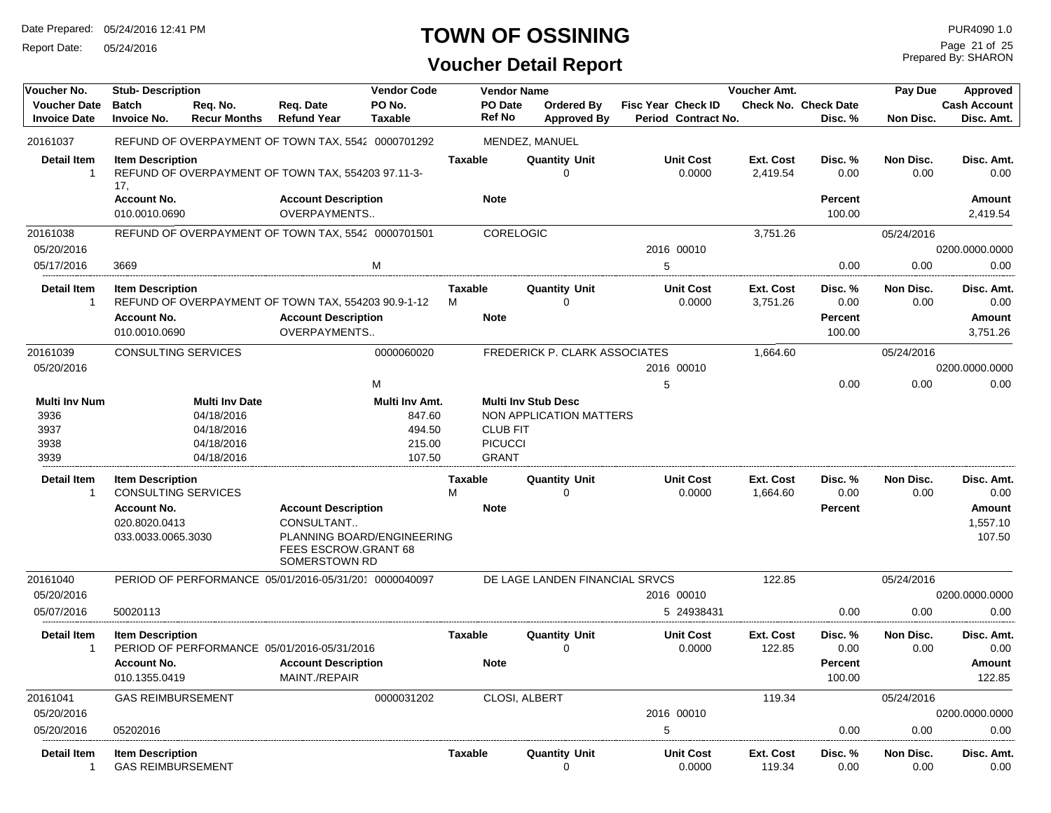Report Date: 05/24/2016

# **TOWN OF OSSINING**

# **Voucher Detail Report**

Prepared By: SHARON Page 21 of 25

| Voucher No.                                          | <b>Stub-Description</b>                                        |                                                                               |                                                                                                   | <b>Vendor Code</b>                                     |                                    | <b>Vendor Name</b>                                |                                                       |                                                  | <b>Voucher Amt.</b>   |                                             | Pay Due           | <b>Approved</b>                          |
|------------------------------------------------------|----------------------------------------------------------------|-------------------------------------------------------------------------------|---------------------------------------------------------------------------------------------------|--------------------------------------------------------|------------------------------------|---------------------------------------------------|-------------------------------------------------------|--------------------------------------------------|-----------------------|---------------------------------------------|-------------------|------------------------------------------|
| <b>Voucher Date</b><br><b>Invoice Date</b>           | <b>Batch</b><br><b>Invoice No.</b>                             | Req. No.<br><b>Recur Months</b>                                               | Req. Date<br><b>Refund Year</b>                                                                   | PO No.<br><b>Taxable</b>                               |                                    | PO Date<br><b>Ref No</b>                          | Ordered By<br><b>Approved By</b>                      | <b>Fisc Year Check ID</b><br>Period Contract No. |                       | <b>Check No. Check Date</b><br>Disc. %      | Non Disc.         | <b>Cash Account</b><br>Disc. Amt.        |
| 20161037                                             |                                                                |                                                                               | REFUND OF OVERPAYMENT OF TOWN TAX, 5542 0000701292                                                |                                                        |                                    |                                                   | MENDEZ, MANUEL                                        |                                                  |                       |                                             |                   |                                          |
| <b>Detail Item</b><br>$\overline{1}$                 | <b>Item Description</b><br>17,                                 |                                                                               | REFUND OF OVERPAYMENT OF TOWN TAX, 554203 97.11-3-                                                |                                                        | <b>Taxable</b>                     |                                                   | <b>Quantity Unit</b><br>$\Omega$                      | <b>Unit Cost</b><br>0.0000                       | Ext. Cost<br>2,419.54 | Disc. %<br>0.00                             | Non Disc.<br>0.00 | Disc. Amt.<br>0.00                       |
|                                                      | <b>Account No.</b><br>010.0010.0690                            |                                                                               | <b>Account Description</b><br><b>OVERPAYMENTS</b>                                                 |                                                        | <b>Note</b>                        |                                                   |                                                       |                                                  |                       | Percent<br>100.00                           |                   | Amount<br>2,419.54                       |
| 20161038                                             |                                                                |                                                                               | REFUND OF OVERPAYMENT OF TOWN TAX, 5542 0000701501                                                |                                                        |                                    | CORELOGIC                                         |                                                       |                                                  | 3,751.26              |                                             | 05/24/2016        |                                          |
| 05/20/2016                                           |                                                                |                                                                               |                                                                                                   |                                                        |                                    |                                                   |                                                       | 2016 00010                                       |                       |                                             |                   | 0200.0000.0000                           |
| 05/17/2016                                           | 3669                                                           |                                                                               |                                                                                                   | M                                                      |                                    |                                                   |                                                       | 5                                                |                       | 0.00                                        | 0.00              | 0.00                                     |
| <b>Detail Item</b><br>$\overline{1}$                 | <b>Item Description</b><br><b>Account No.</b><br>010.0010.0690 |                                                                               | REFUND OF OVERPAYMENT OF TOWN TAX, 554203 90.9-1-12<br><b>Account Description</b><br>OVERPAYMENTS |                                                        | <b>Taxable</b><br>м<br><b>Note</b> |                                                   | <b>Quantity Unit</b><br>$\Omega$                      | <b>Unit Cost</b><br>0.0000                       | Ext. Cost<br>3,751.26 | Disc. %<br>0.00<br><b>Percent</b><br>100.00 | Non Disc.<br>0.00 | Disc. Amt.<br>0.00<br>Amount<br>3,751.26 |
| 20161039                                             | <b>CONSULTING SERVICES</b>                                     |                                                                               |                                                                                                   | 0000060020                                             |                                    |                                                   | FREDERICK P. CLARK ASSOCIATES                         |                                                  | 1,664.60              |                                             | 05/24/2016        |                                          |
| 05/20/2016                                           |                                                                |                                                                               |                                                                                                   |                                                        |                                    |                                                   |                                                       | 2016 00010                                       |                       |                                             |                   | 0200.0000.0000                           |
|                                                      |                                                                |                                                                               |                                                                                                   | M                                                      |                                    |                                                   |                                                       | 5                                                |                       | 0.00                                        | 0.00              | 0.00                                     |
| <b>Multi Inv Num</b><br>3936<br>3937<br>3938<br>3939 |                                                                | <b>Multi Inv Date</b><br>04/18/2016<br>04/18/2016<br>04/18/2016<br>04/18/2016 |                                                                                                   | Multi Inv Amt.<br>847.60<br>494.50<br>215.00<br>107.50 |                                    | <b>CLUB FIT</b><br><b>PICUCCI</b><br><b>GRANT</b> | <b>Multi Inv Stub Desc</b><br>NON APPLICATION MATTERS |                                                  |                       |                                             |                   |                                          |
| <b>Detail Item</b>                                   | <b>Item Description</b>                                        |                                                                               |                                                                                                   |                                                        | <b>Taxable</b>                     |                                                   | <b>Quantity Unit</b>                                  | <b>Unit Cost</b>                                 | Ext. Cost             | Disc. %                                     | Non Disc.         | Disc. Amt.                               |
| $\overline{1}$                                       | <b>CONSULTING SERVICES</b>                                     |                                                                               |                                                                                                   |                                                        | M                                  |                                                   | $\Omega$                                              | 0.0000                                           | 1,664.60              | 0.00                                        | 0.00              | 0.00                                     |
|                                                      | <b>Account No.</b>                                             |                                                                               | <b>Account Description</b>                                                                        |                                                        | <b>Note</b>                        |                                                   |                                                       |                                                  |                       | Percent                                     |                   | Amount                                   |
|                                                      | 020.8020.0413<br>033.0033.0065.3030                            |                                                                               | CONSULTANT<br>PLANNING BOARD/ENGINEERING<br>FEES ESCROW.GRANT 68<br>SOMERSTOWN RD                 |                                                        |                                    |                                                   |                                                       |                                                  |                       |                                             |                   | 1,557.10<br>107.50                       |
| 20161040                                             |                                                                |                                                                               | PERIOD OF PERFORMANCE 05/01/2016-05/31/201 0000040097                                             |                                                        |                                    |                                                   | DE LAGE LANDEN FINANCIAL SRVCS                        |                                                  | 122.85                |                                             | 05/24/2016        |                                          |
| 05/20/2016                                           |                                                                |                                                                               |                                                                                                   |                                                        |                                    |                                                   |                                                       | 2016 00010                                       |                       |                                             |                   | 0200.0000.0000                           |
| 05/07/2016                                           | 50020113                                                       |                                                                               |                                                                                                   |                                                        |                                    |                                                   |                                                       | 5 24938431                                       |                       | 0.00                                        | 0.00              | 0.00                                     |
| <b>Detail Item</b><br>-1                             | <b>Item Description</b>                                        |                                                                               | PERIOD OF PERFORMANCE 05/01/2016-05/31/2016                                                       |                                                        | <b>Taxable</b>                     |                                                   | <b>Quantity Unit</b><br>$\Omega$                      | <b>Unit Cost</b><br>0.0000                       | Ext. Cost<br>122.85   | Disc. %<br>0.00                             | Non Disc.<br>0.00 | Disc. Amt.<br>0.00                       |
|                                                      | <b>Account No.</b>                                             |                                                                               | <b>Account Description</b>                                                                        |                                                        | <b>Note</b>                        |                                                   |                                                       |                                                  |                       | Percent                                     |                   | <b>Amount</b>                            |
|                                                      | 010.1355.0419                                                  |                                                                               | MAINT./REPAIR                                                                                     |                                                        |                                    |                                                   |                                                       |                                                  |                       | 100.00                                      |                   | 122.85                                   |
| 20161041                                             | <b>GAS REIMBURSEMENT</b>                                       |                                                                               |                                                                                                   | 0000031202                                             |                                    | CLOSI, ALBERT                                     |                                                       |                                                  | 119.34                |                                             | 05/24/2016        |                                          |
| 05/20/2016                                           |                                                                |                                                                               |                                                                                                   |                                                        |                                    |                                                   |                                                       | 2016 00010                                       |                       |                                             |                   | 0200.0000.0000                           |
| 05/20/2016                                           | 05202016                                                       |                                                                               |                                                                                                   |                                                        |                                    |                                                   |                                                       | 5                                                |                       | 0.00                                        | 0.00              | 0.00                                     |
| <b>Detail Item</b><br>-1                             | <b>Item Description</b><br><b>GAS REIMBURSEMENT</b>            |                                                                               |                                                                                                   |                                                        | <b>Taxable</b>                     |                                                   | <b>Quantity Unit</b><br>$\Omega$                      | <b>Unit Cost</b><br>0.0000                       | Ext. Cost<br>119.34   | Disc. %<br>0.00                             | Non Disc.<br>0.00 | Disc. Amt.<br>0.00                       |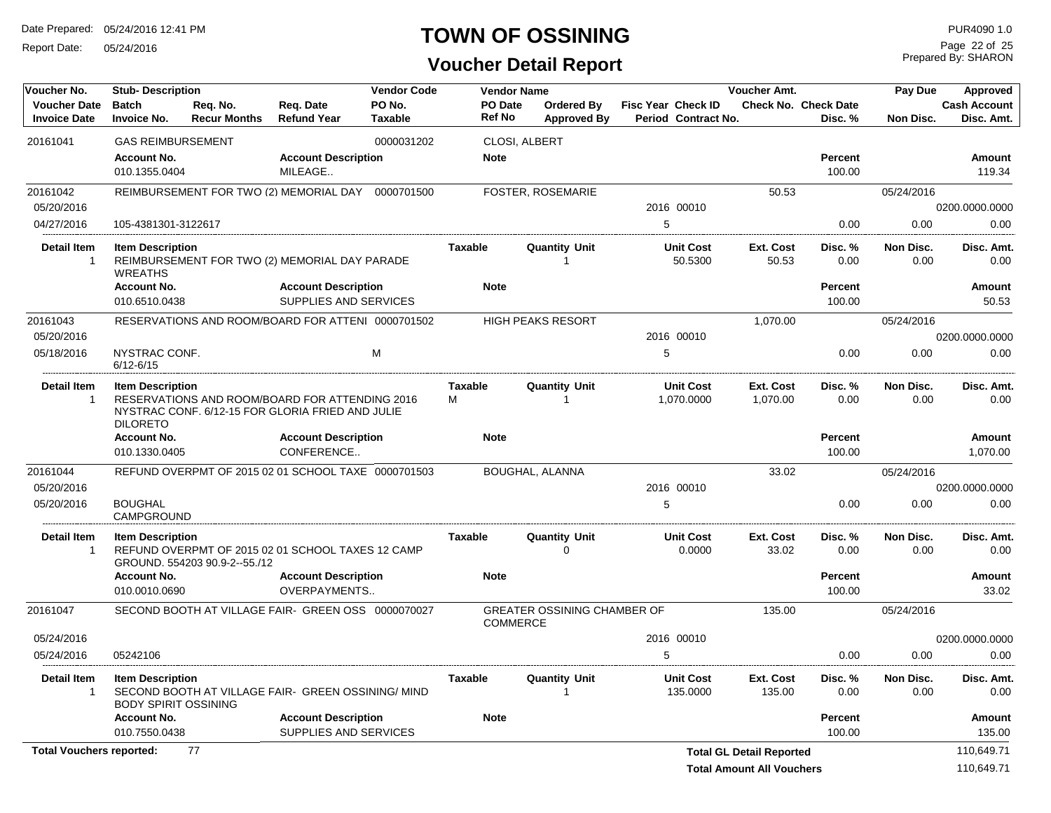Report Date: 05/24/2016

#### **TOWN OF OSSINING**

Prepared By: SHARON Page 22 of 25

#### **Voucher Detail Report**

| Voucher No.                                | <b>Stub-Description</b>                                |                                 |                                                                                                    | <b>Vendor Code</b>       |                                 | Voucher Amt.<br>Pay Due<br><b>Vendor Name</b>         |                                                  | Approved                        |                                        |                   |                                   |
|--------------------------------------------|--------------------------------------------------------|---------------------------------|----------------------------------------------------------------------------------------------------|--------------------------|---------------------------------|-------------------------------------------------------|--------------------------------------------------|---------------------------------|----------------------------------------|-------------------|-----------------------------------|
| <b>Voucher Date</b><br><b>Invoice Date</b> | <b>Batch</b><br><b>Invoice No.</b>                     | Reg. No.<br><b>Recur Months</b> | Reg. Date<br><b>Refund Year</b>                                                                    | PO No.<br><b>Taxable</b> | <b>PO</b> Date<br><b>Ref No</b> | Ordered By<br><b>Approved By</b>                      | <b>Fisc Year Check ID</b><br>Period Contract No. |                                 | <b>Check No. Check Date</b><br>Disc. % | Non Disc.         | <b>Cash Account</b><br>Disc. Amt. |
| 20161041                                   | <b>GAS REIMBURSEMENT</b>                               |                                 |                                                                                                    | 0000031202               |                                 | CLOSI, ALBERT                                         |                                                  |                                 |                                        |                   |                                   |
|                                            | <b>Account No.</b><br>010.1355.0404                    |                                 | <b>Account Description</b><br>MILEAGE                                                              |                          | <b>Note</b>                     |                                                       |                                                  |                                 | <b>Percent</b><br>100.00               |                   | Amount<br>119.34                  |
| 20161042                                   |                                                        |                                 | REIMBURSEMENT FOR TWO (2) MEMORIAL DAY                                                             | 0000701500               |                                 | FOSTER, ROSEMARIE                                     |                                                  | 50.53                           |                                        | 05/24/2016        |                                   |
| 05/20/2016                                 |                                                        |                                 |                                                                                                    |                          |                                 |                                                       | 2016 00010                                       |                                 |                                        |                   | 0200.0000.0000                    |
| 04/27/2016                                 | 105-4381301-3122617                                    |                                 |                                                                                                    |                          |                                 |                                                       | 5                                                |                                 | 0.00                                   | 0.00              | 0.00                              |
| <b>Detail Item</b><br>$\mathbf 1$          | <b>Item Description</b><br><b>WREATHS</b>              |                                 | REIMBURSEMENT FOR TWO (2) MEMORIAL DAY PARADE                                                      |                          | <b>Taxable</b>                  | <b>Quantity Unit</b>                                  | <b>Unit Cost</b><br>50.5300                      | <b>Ext. Cost</b><br>50.53       | Disc. %<br>0.00                        | Non Disc.<br>0.00 | Disc. Amt.<br>0.00                |
|                                            | <b>Account No.</b><br>010.6510.0438                    |                                 | <b>Account Description</b><br>SUPPLIES AND SERVICES                                                |                          | <b>Note</b>                     |                                                       |                                                  |                                 | <b>Percent</b><br>100.00               |                   | Amount<br>50.53                   |
| 20161043                                   |                                                        |                                 | RESERVATIONS AND ROOM/BOARD FOR ATTENI 0000701502                                                  |                          |                                 | <b>HIGH PEAKS RESORT</b>                              |                                                  | 1,070.00                        |                                        | 05/24/2016        |                                   |
| 05/20/2016                                 |                                                        |                                 |                                                                                                    |                          |                                 |                                                       | 2016 00010                                       |                                 |                                        |                   | 0200.0000.0000                    |
| 05/18/2016                                 | NYSTRAC CONF.<br>$6/12 - 6/15$                         |                                 |                                                                                                    | M                        |                                 |                                                       | 5                                                |                                 | 0.00                                   | 0.00              | 0.00                              |
| Detail Item<br>1                           | <b>Item Description</b><br><b>DILORETO</b>             |                                 | RESERVATIONS AND ROOM/BOARD FOR ATTENDING 2016<br>NYSTRAC CONF. 6/12-15 FOR GLORIA FRIED AND JULIE |                          | <b>Taxable</b><br>M             | <b>Quantity Unit</b><br>-1                            | <b>Unit Cost</b><br>1,070.0000                   | <b>Ext. Cost</b><br>1,070.00    | Disc. %<br>0.00                        | Non Disc.<br>0.00 | Disc. Amt.<br>0.00                |
|                                            | <b>Account No.</b><br>010.1330.0405                    |                                 | <b>Account Description</b><br>CONFERENCE                                                           |                          | <b>Note</b>                     |                                                       |                                                  |                                 | <b>Percent</b><br>100.00               |                   | <b>Amount</b><br>1,070.00         |
| 20161044                                   |                                                        |                                 | REFUND OVERPMT OF 2015 02 01 SCHOOL TAXE 0000701503                                                |                          |                                 | BOUGHAL, ALANNA                                       |                                                  | 33.02                           |                                        | 05/24/2016        |                                   |
| 05/20/2016                                 |                                                        |                                 |                                                                                                    |                          |                                 |                                                       | 2016 00010                                       |                                 |                                        |                   | 0200.0000.0000                    |
| 05/20/2016                                 | <b>BOUGHAL</b><br>CAMPGROUND                           |                                 |                                                                                                    |                          |                                 |                                                       | 5                                                |                                 | 0.00                                   | 0.00              | 0.00                              |
| <b>Detail Item</b><br>1                    | <b>Item Description</b>                                | GROUND. 554203 90.9-2--55./12   | REFUND OVERPMT OF 2015 02 01 SCHOOL TAXES 12 CAMP                                                  |                          | Taxable                         | <b>Quantity Unit</b><br>$\Omega$                      | <b>Unit Cost</b><br>0.0000                       | Ext. Cost<br>33.02              | Disc. %<br>0.00                        | Non Disc.<br>0.00 | Disc. Amt.<br>0.00                |
|                                            | <b>Account No.</b><br>010.0010.0690                    |                                 | <b>Account Description</b><br><b>OVERPAYMENTS</b>                                                  |                          | <b>Note</b>                     |                                                       |                                                  |                                 | <b>Percent</b><br>100.00               |                   | Amount<br>33.02                   |
| 20161047                                   |                                                        |                                 | SECOND BOOTH AT VILLAGE FAIR- GREEN OSS 0000070027                                                 |                          |                                 | <b>GREATER OSSINING CHAMBER OF</b><br><b>COMMERCE</b> |                                                  | 135.00                          |                                        | 05/24/2016        |                                   |
| 05/24/2016                                 |                                                        |                                 |                                                                                                    |                          |                                 |                                                       | 2016 00010                                       |                                 |                                        |                   | 0200.0000.0000                    |
| 05/24/2016                                 | 05242106                                               |                                 |                                                                                                    |                          |                                 |                                                       | 5                                                |                                 | 0.00                                   | 0.00              | 0.00                              |
| <b>Detail Item</b><br>-1                   | <b>Item Description</b><br><b>BODY SPIRIT OSSINING</b> |                                 | SECOND BOOTH AT VILLAGE FAIR- GREEN OSSINING/ MIND                                                 |                          | <b>Taxable</b>                  | <b>Quantity Unit</b><br>-1                            | <b>Unit Cost</b><br>135.0000                     | Ext. Cost<br>135.00             | Disc.%<br>0.00                         | Non Disc.<br>0.00 | Disc. Amt.<br>0.00                |
|                                            | <b>Account No.</b>                                     |                                 | <b>Account Description</b>                                                                         |                          | <b>Note</b>                     |                                                       |                                                  |                                 | <b>Percent</b>                         |                   | <b>Amount</b>                     |
|                                            | 010.7550.0438                                          |                                 | SUPPLIES AND SERVICES                                                                              |                          |                                 |                                                       |                                                  |                                 | 100.00                                 |                   | 135.00                            |
| <b>Total Vouchers reported:</b>            |                                                        | 77                              |                                                                                                    |                          |                                 |                                                       |                                                  | <b>Total GL Detail Reported</b> |                                        |                   | 110,649.71                        |
|                                            |                                                        |                                 |                                                                                                    |                          |                                 |                                                       |                                                  |                                 |                                        |                   |                                   |

**Total Amount All Vouchers** 110,649.71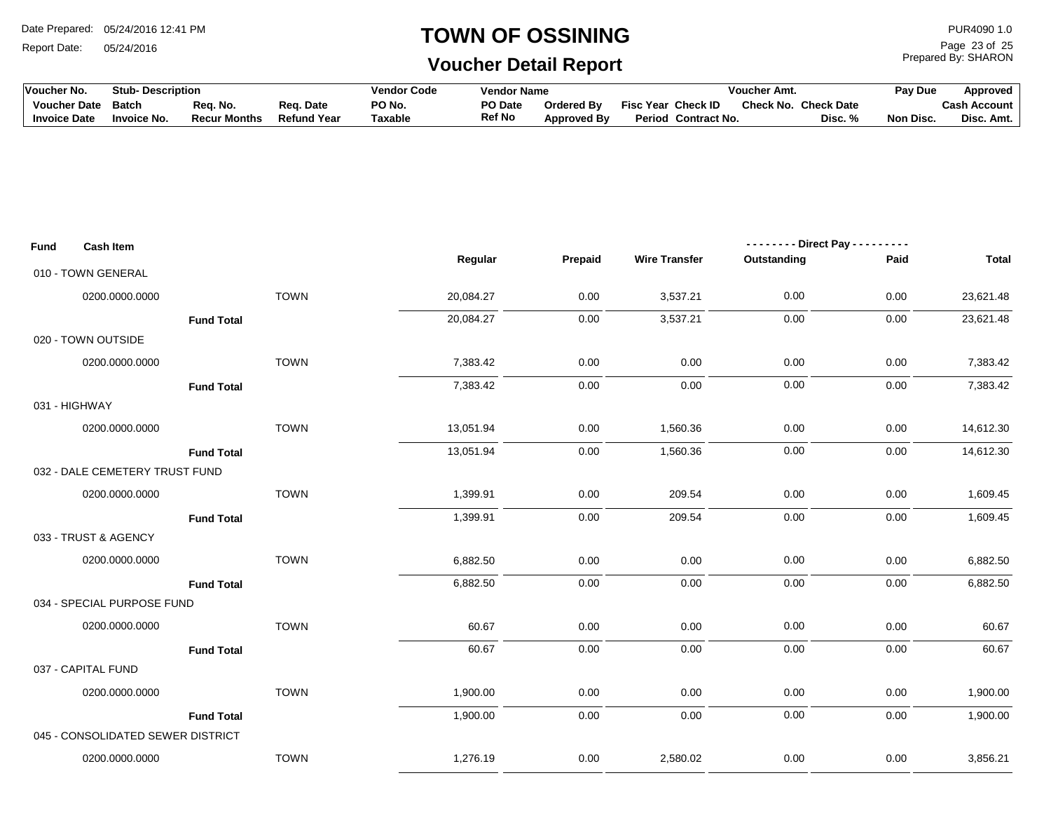Report Date: 05/24/2016

#### **TOWN OF OSSINING**

Prepared By: SHARON Page 23 of 25

| <b>Voucher No.</b>  | <b>Stub- Description</b> |                     |                    | <b>Vendor Code</b> | Vendor Name    |                    |                           | Voucher Amt. |            | Pay Due   | <b>Approved</b> |
|---------------------|--------------------------|---------------------|--------------------|--------------------|----------------|--------------------|---------------------------|--------------|------------|-----------|-----------------|
| <b>Voucher Date</b> | Batch                    | Rea. No.            | Reg. Date          | PO No.             | <b>PO Date</b> | <b>Ordered By</b>  | <b>Fisc Year Check ID</b> | Check No.    | Check Date |           | Cash Account ⊺  |
| <b>Invoice Date</b> | 'nvoice No.              | <b>Recur Months</b> | <b>Refund Year</b> | Taxable            | <b>Ref No</b>  | <b>Approved By</b> | Period Contract No.       |              | Disc. %    | Non Disc. | Disc. Amt.      |

| Fund          | <b>Cash Item</b>                  |                   |           |         | -------- Direct Pay --------- |             |      |              |  |
|---------------|-----------------------------------|-------------------|-----------|---------|-------------------------------|-------------|------|--------------|--|
|               |                                   |                   | Regular   | Prepaid | <b>Wire Transfer</b>          | Outstanding | Paid | <b>Total</b> |  |
|               | 010 - TOWN GENERAL                |                   |           |         |                               |             |      |              |  |
|               | 0200.0000.0000                    | <b>TOWN</b>       | 20,084.27 | 0.00    | 3,537.21                      | 0.00        | 0.00 | 23,621.48    |  |
|               |                                   | <b>Fund Total</b> | 20,084.27 | 0.00    | 3,537.21                      | 0.00        | 0.00 | 23,621.48    |  |
|               | 020 - TOWN OUTSIDE                |                   |           |         |                               |             |      |              |  |
|               | 0200.0000.0000                    | <b>TOWN</b>       | 7,383.42  | 0.00    | 0.00                          | 0.00        | 0.00 | 7,383.42     |  |
|               |                                   | <b>Fund Total</b> | 7,383.42  | 0.00    | 0.00                          | 0.00        | 0.00 | 7,383.42     |  |
| 031 - HIGHWAY |                                   |                   |           |         |                               |             |      |              |  |
|               | 0200.0000.0000                    | <b>TOWN</b>       | 13,051.94 | 0.00    | 1,560.36                      | 0.00        | 0.00 | 14,612.30    |  |
|               |                                   | <b>Fund Total</b> | 13,051.94 | 0.00    | 1,560.36                      | 0.00        | 0.00 | 14,612.30    |  |
|               | 032 - DALE CEMETERY TRUST FUND    |                   |           |         |                               |             |      |              |  |
|               | 0200.0000.0000                    | <b>TOWN</b>       | 1,399.91  | 0.00    | 209.54                        | 0.00        | 0.00 | 1,609.45     |  |
|               |                                   | <b>Fund Total</b> | 1,399.91  | 0.00    | 209.54                        | 0.00        | 0.00 | 1,609.45     |  |
|               | 033 - TRUST & AGENCY              |                   |           |         |                               |             |      |              |  |
|               | 0200.0000.0000                    | <b>TOWN</b>       | 6,882.50  | 0.00    | 0.00                          | 0.00        | 0.00 | 6,882.50     |  |
|               |                                   | <b>Fund Total</b> | 6,882.50  | 0.00    | 0.00                          | 0.00        | 0.00 | 6,882.50     |  |
|               | 034 - SPECIAL PURPOSE FUND        |                   |           |         |                               |             |      |              |  |
|               | 0200.0000.0000                    | <b>TOWN</b>       | 60.67     | 0.00    | 0.00                          | 0.00        | 0.00 | 60.67        |  |
|               |                                   | <b>Fund Total</b> | 60.67     | 0.00    | 0.00                          | 0.00        | 0.00 | 60.67        |  |
|               | 037 - CAPITAL FUND                |                   |           |         |                               |             |      |              |  |
|               | 0200.0000.0000                    | <b>TOWN</b>       | 1,900.00  | 0.00    | 0.00                          | 0.00        | 0.00 | 1,900.00     |  |
|               |                                   | <b>Fund Total</b> | 1,900.00  | 0.00    | 0.00                          | 0.00        | 0.00 | 1,900.00     |  |
|               | 045 - CONSOLIDATED SEWER DISTRICT |                   |           |         |                               |             |      |              |  |
|               | 0200.0000.0000                    | <b>TOWN</b>       | 1,276.19  | 0.00    | 2,580.02                      | 0.00        | 0.00 | 3,856.21     |  |
|               |                                   |                   |           |         |                               |             |      |              |  |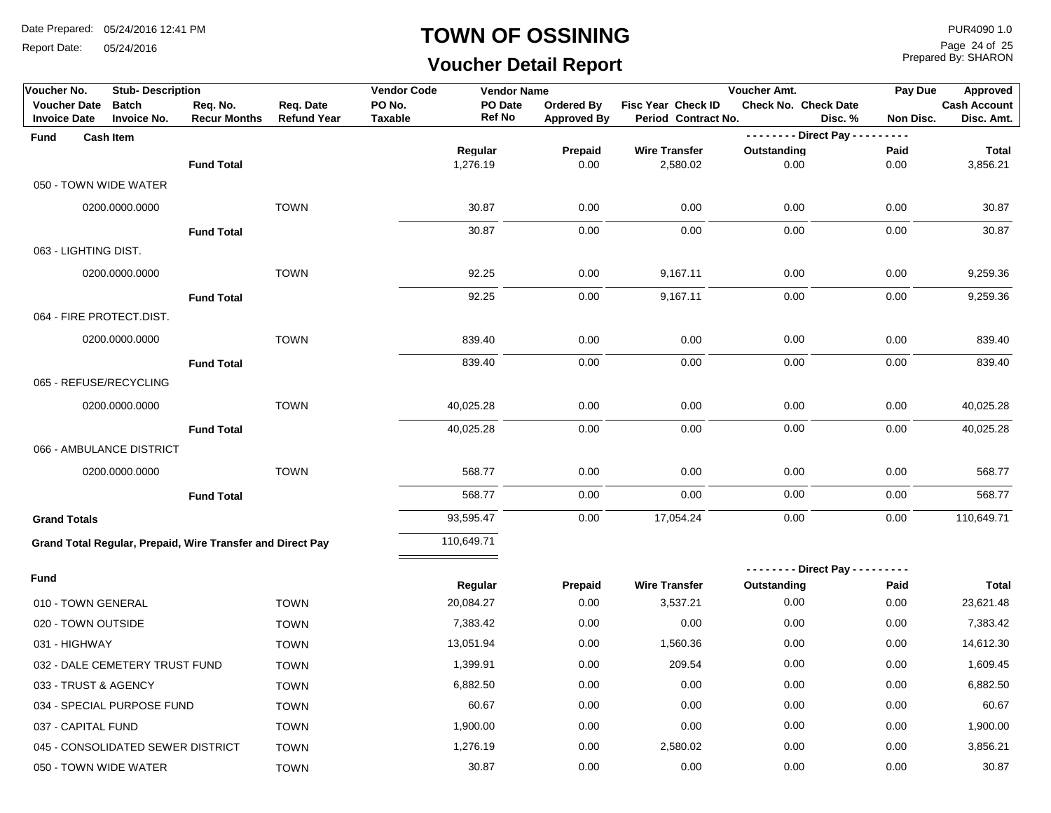Report Date: 05/24/2016

#### **TOWN OF OSSINING**

# **Voucher Detail Report**

Prepared By: SHARON Page 24 of 25

| Voucher No.                                | <b>Stub-Description</b>                                    |                                 |                                 | <b>Vendor Code</b><br><b>Vendor Name</b> |                          |                                         | Voucher Amt.                                     |                                  |                     | Pay Due<br><b>Approved</b>        |
|--------------------------------------------|------------------------------------------------------------|---------------------------------|---------------------------------|------------------------------------------|--------------------------|-----------------------------------------|--------------------------------------------------|----------------------------------|---------------------|-----------------------------------|
| <b>Voucher Date</b><br><b>Invoice Date</b> | <b>Batch</b><br><b>Invoice No.</b>                         | Req. No.<br><b>Recur Months</b> | Req. Date<br><b>Refund Year</b> | PO No.<br><b>Taxable</b>                 | PO Date<br><b>Ref No</b> | <b>Ordered By</b><br><b>Approved By</b> | <b>Fisc Year Check ID</b><br>Period Contract No. | <b>Check No. Check Date</b>      | Disc.%<br>Non Disc. | <b>Cash Account</b><br>Disc. Amt. |
| <b>Fund</b>                                | <b>Cash Item</b>                                           |                                 |                                 |                                          |                          |                                         |                                                  | - - - - - - - - Direct Pay - - - | $- - - -$           |                                   |
|                                            |                                                            |                                 |                                 |                                          | Regular                  | Prepaid                                 | <b>Wire Transfer</b>                             | Outstanding                      | Paid                | <b>Total</b>                      |
|                                            |                                                            | <b>Fund Total</b>               |                                 |                                          | 1,276.19                 | 0.00                                    | 2,580.02                                         | 0.00                             | 0.00                | 3,856.21                          |
| 050 - TOWN WIDE WATER                      |                                                            |                                 |                                 |                                          |                          |                                         |                                                  |                                  |                     |                                   |
|                                            | 0200.0000.0000                                             |                                 | <b>TOWN</b>                     |                                          | 30.87                    | 0.00                                    | 0.00                                             | 0.00                             | 0.00                | 30.87                             |
|                                            |                                                            | <b>Fund Total</b>               |                                 |                                          | 30.87                    | 0.00                                    | 0.00                                             | 0.00                             | 0.00                | 30.87                             |
| 063 - LIGHTING DIST.                       |                                                            |                                 |                                 |                                          |                          |                                         |                                                  |                                  |                     |                                   |
|                                            | 0200.0000.0000                                             |                                 | <b>TOWN</b>                     |                                          | 92.25                    | 0.00                                    | 9,167.11                                         | 0.00                             | 0.00                | 9,259.36                          |
|                                            |                                                            | <b>Fund Total</b>               |                                 |                                          | 92.25                    | 0.00                                    | 9,167.11                                         | 0.00                             | 0.00                | 9,259.36                          |
| 064 - FIRE PROTECT.DIST.                   |                                                            |                                 |                                 |                                          |                          |                                         |                                                  |                                  |                     |                                   |
|                                            | 0200.0000.0000                                             |                                 | <b>TOWN</b>                     |                                          | 839.40                   | 0.00                                    | 0.00                                             | 0.00                             | 0.00                | 839.40                            |
|                                            |                                                            | <b>Fund Total</b>               |                                 |                                          | 839.40                   | 0.00                                    | 0.00                                             | 0.00                             | 0.00                | 839.40                            |
| 065 - REFUSE/RECYCLING                     |                                                            |                                 |                                 |                                          |                          |                                         |                                                  |                                  |                     |                                   |
|                                            | 0200.0000.0000                                             |                                 | <b>TOWN</b>                     |                                          | 40,025.28                | 0.00                                    | 0.00                                             | 0.00                             | 0.00                | 40,025.28                         |
|                                            |                                                            | <b>Fund Total</b>               |                                 |                                          | 40,025.28                | 0.00                                    | 0.00                                             | 0.00                             | 0.00                | 40,025.28                         |
|                                            | 066 - AMBULANCE DISTRICT                                   |                                 |                                 |                                          |                          |                                         |                                                  |                                  |                     |                                   |
|                                            | 0200.0000.0000                                             |                                 | <b>TOWN</b>                     |                                          | 568.77                   | 0.00                                    | 0.00                                             | 0.00                             | 0.00                | 568.77                            |
|                                            |                                                            | <b>Fund Total</b>               |                                 |                                          | 568.77                   | 0.00                                    | 0.00                                             | 0.00                             | 0.00                | 568.77                            |
| <b>Grand Totals</b>                        |                                                            |                                 |                                 |                                          | 93,595.47                | 0.00                                    | 17,054.24                                        | 0.00                             | 0.00                | 110,649.71                        |
|                                            | Grand Total Regular, Prepaid, Wire Transfer and Direct Pay |                                 |                                 |                                          | 110,649.71               |                                         |                                                  |                                  |                     |                                   |
|                                            |                                                            |                                 |                                 |                                          |                          |                                         |                                                  | -------- Direct Pay ----         | -----               |                                   |
| <b>Fund</b>                                |                                                            |                                 |                                 |                                          | Regular                  | Prepaid                                 | <b>Wire Transfer</b>                             | Outstanding                      | Paid                | Total                             |
| 010 - TOWN GENERAL                         |                                                            |                                 | <b>TOWN</b>                     |                                          | 20,084.27                | 0.00                                    | 3,537.21                                         | 0.00                             | 0.00                | 23,621.48                         |
| 020 - TOWN OUTSIDE                         |                                                            |                                 | <b>TOWN</b>                     |                                          | 7,383.42                 | 0.00                                    | 0.00                                             | 0.00                             | 0.00                | 7,383.42                          |
| 031 - HIGHWAY                              |                                                            |                                 | <b>TOWN</b>                     |                                          | 13,051.94                | 0.00                                    | 1,560.36                                         | 0.00                             | 0.00                | 14,612.30                         |
|                                            | 032 - DALE CEMETERY TRUST FUND                             |                                 | <b>TOWN</b>                     |                                          | 1,399.91                 | 0.00                                    | 209.54                                           | 0.00                             | 0.00                | 1,609.45                          |
| 033 - TRUST & AGENCY                       |                                                            |                                 | <b>TOWN</b>                     |                                          | 6,882.50                 | 0.00                                    | 0.00                                             | 0.00                             | 0.00                | 6,882.50                          |
|                                            | 034 - SPECIAL PURPOSE FUND                                 |                                 | <b>TOWN</b>                     |                                          | 60.67                    | 0.00                                    | 0.00                                             | 0.00                             | 0.00                | 60.67                             |
| 037 - CAPITAL FUND                         |                                                            |                                 | <b>TOWN</b>                     |                                          | 1,900.00                 | 0.00                                    | 0.00                                             | 0.00                             | 0.00                | 1,900.00                          |
|                                            | 045 - CONSOLIDATED SEWER DISTRICT                          |                                 | <b>TOWN</b>                     |                                          | 1,276.19                 | 0.00                                    | 2,580.02                                         | 0.00                             | 0.00                | 3,856.21                          |
| 050 - TOWN WIDE WATER                      |                                                            |                                 | <b>TOWN</b>                     |                                          | 30.87                    | 0.00                                    | 0.00                                             | 0.00                             | 0.00                | 30.87                             |